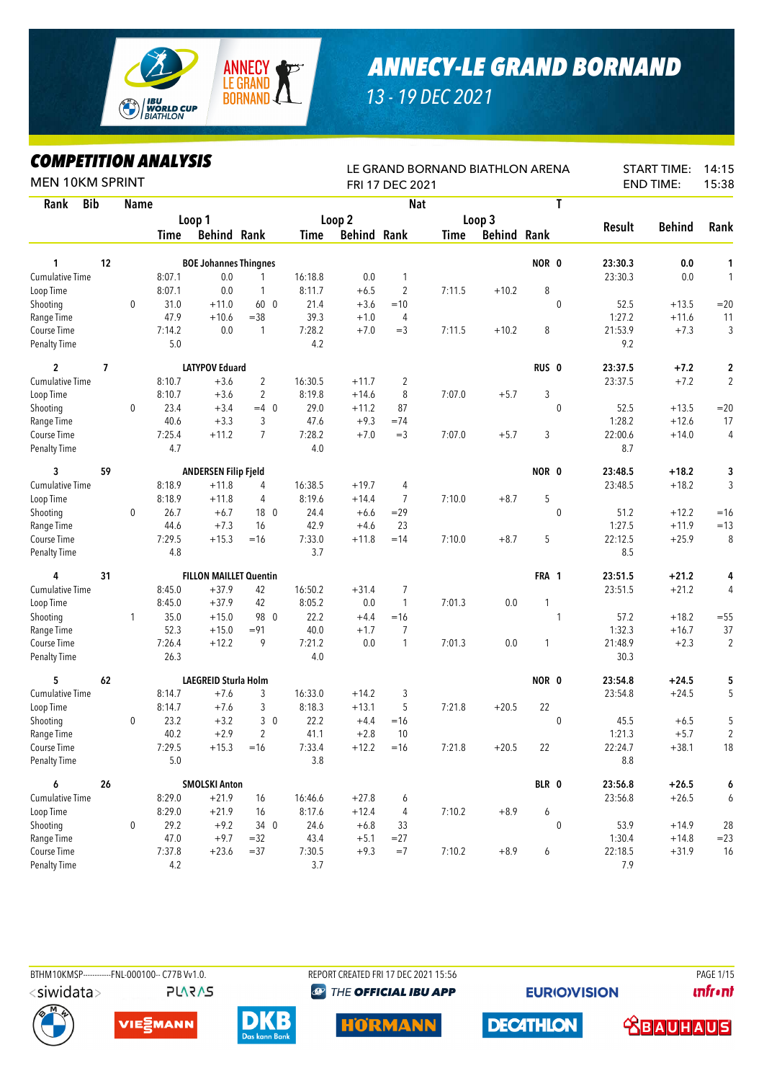

## *ANNECY-LE GRAND BORNAND*

*13 - 19 DEC 2021*

## *COMPETITION ANALYSIS*

| MPEHIUVN ANALTƏIƏ<br><b>MEN 10KM SPRINT</b> |            |             |         |                               |                 |         |                    | FRI 17 DEC 2021 | LE GRAND BORNAND BIATHLON ARENA |                    |                  |               | <b>START TIME:</b><br><b>END TIME:</b> | 14:15<br>15:38 |
|---------------------------------------------|------------|-------------|---------|-------------------------------|-----------------|---------|--------------------|-----------------|---------------------------------|--------------------|------------------|---------------|----------------------------------------|----------------|
| Rank                                        | <b>Bib</b> | <b>Name</b> |         |                               |                 |         |                    | <b>Nat</b>      |                                 |                    | T                |               |                                        |                |
|                                             |            |             |         | Loop 1                        |                 |         | Loop 2             |                 |                                 | Loop 3             |                  |               |                                        |                |
|                                             |            |             | Time    | <b>Behind Rank</b>            |                 | Time    | <b>Behind Rank</b> |                 | Time                            | <b>Behind Rank</b> |                  | <b>Result</b> | <b>Behind</b>                          | Rank           |
| 1                                           | 12         |             |         | <b>BOE Johannes Thingnes</b>  |                 |         |                    |                 |                                 |                    | NOR 0            | 23:30.3       | 0.0                                    | 1              |
| <b>Cumulative Time</b>                      |            |             | 8:07.1  | 0.0                           |                 | 16:18.8 | 0.0                | 1               |                                 |                    |                  | 23:30.3       | 0.0                                    | $\mathbf{1}$   |
| Loop Time                                   |            |             | 8:07.1  | 0.0                           | $\mathbf{1}$    | 8:11.7  | $+6.5$             | 2               | 7:11.5                          | $+10.2$            | 8                |               |                                        |                |
| Shooting                                    |            | $\mathbf 0$ | 31.0    | $+11.0$                       | 60 0            | 21.4    | $+3.6$             | $=10$           |                                 |                    | $\mathbf{0}$     | 52.5          | $+13.5$                                | $=20$          |
| Range Time                                  |            |             | 47.9    | $+10.6$                       | $= 38$          | 39.3    | $+1.0$             | $\overline{4}$  |                                 |                    |                  | 1:27.2        | $+11.6$                                | 11             |
| Course Time                                 |            |             | 7:14.2  | 0.0                           | $\mathbf{1}$    | 7:28.2  | $+7.0$             | $=3$            | 7:11.5                          | $+10.2$            | 8                | 21:53.9       | $+7.3$                                 | 3              |
| <b>Penalty Time</b>                         |            |             | 5.0     |                               |                 | 4.2     |                    |                 |                                 |                    |                  | 9.2           |                                        |                |
| 2                                           | 7          |             |         | <b>LATYPOV Eduard</b>         |                 |         |                    |                 |                                 |                    | RUS <sub>0</sub> | 23:37.5       | $+7.2$                                 | 2              |
| <b>Cumulative Time</b>                      |            |             | 8:10.7  | $+3.6$                        | 2               | 16:30.5 | $+11.7$            | $\overline{c}$  |                                 |                    |                  | 23:37.5       | $+7.2$                                 | $\overline{2}$ |
| Loop Time                                   |            |             | 8:10.7  | $+3.6$                        | $\overline{2}$  | 8:19.8  | $+14.6$            | 8               | 7:07.0                          | $+5.7$             | 3                |               |                                        |                |
| Shooting                                    |            | 0           | 23.4    | $+3.4$                        | $=4$ 0          | 29.0    | $+11.2$            | 87              |                                 |                    | $\mathbf 0$      | 52.5          | $+13.5$                                | $=20$          |
| Range Time                                  |            |             | 40.6    | $+3.3$                        | 3               | 47.6    | $+9.3$             | $=74$           |                                 |                    |                  | 1:28.2        | $+12.6$                                | 17             |
| Course Time                                 |            |             | 7:25.4  | $+11.2$                       | $\overline{7}$  | 7:28.2  | $+7.0$             | $=$ 3           | 7:07.0                          | $+5.7$             | 3                | 22:00.6       | $+14.0$                                | 4              |
| <b>Penalty Time</b>                         |            |             | 4.7     |                               |                 | 4.0     |                    |                 |                                 |                    |                  | 8.7           |                                        |                |
| 3                                           | 59         |             |         | <b>ANDERSEN Filip Fjeld</b>   |                 |         |                    |                 |                                 |                    | NOR 0            | 23:48.5       | $+18.2$                                | 3              |
| Cumulative Time                             |            |             | 8:18.9  | $+11.8$                       | 4               | 16:38.5 | $+19.7$            | 4               |                                 |                    |                  | 23:48.5       | $+18.2$                                | 3              |
| Loop Time                                   |            |             | 8:18.9  | $+11.8$                       | 4               | 8:19.6  | $+14.4$            | $\overline{7}$  | 7:10.0                          | $+8.7$             | 5                |               |                                        |                |
| Shooting                                    |            | 0           | 26.7    | $+6.7$                        | 18 <sub>0</sub> | 24.4    | $+6.6$             | $=29$           |                                 |                    | $\mathbf 0$      | 51.2          | $+12.2$                                | $=16$          |
| Range Time                                  |            |             | 44.6    | $+7.3$                        | 16              | 42.9    | $+4.6$             | 23              |                                 |                    |                  | 1:27.5        | $+11.9$                                | $=13$          |
| Course Time                                 |            |             | 7:29.5  | $+15.3$                       | $=16$           | 7:33.0  | $+11.8$            | $=14$           | 7:10.0                          | $+8.7$             | 5                | 22:12.5       | $+25.9$                                | 8              |
| <b>Penalty Time</b>                         |            |             | 4.8     |                               |                 | 3.7     |                    |                 |                                 |                    |                  | 8.5           |                                        |                |
| 4                                           | 31         |             |         | <b>FILLON MAILLET Quentin</b> |                 |         |                    |                 |                                 |                    | FRA 1            | 23:51.5       | $+21.2$                                | 4              |
| Cumulative Time                             |            |             | 8:45.0  | $+37.9$                       | 42              | 16:50.2 | $+31.4$            | 7               |                                 |                    |                  | 23:51.5       | $+21.2$                                | 4              |
| Loop Time                                   |            |             | 8:45.0  | $+37.9$                       | 42              | 8:05.2  | 0.0                | $\mathbf{1}$    | 7:01.3                          | 0.0                | 1                |               |                                        |                |
| Shooting                                    |            | 1           | 35.0    | $+15.0$                       | 98 0            | 22.2    | $+4.4$             | $=16$           |                                 |                    | 1                | 57.2          | $+18.2$                                | $= 55$         |
| Range Time                                  |            |             | 52.3    | $+15.0$                       | $= 91$          | 40.0    | $+1.7$             | 7               |                                 |                    |                  | 1:32.3        | $+16.7$                                | 37             |
| Course Time                                 |            |             | 7:26.4  | $+12.2$                       | 9               | 7:21.2  | 0.0                | 1               | 7:01.3                          | 0.0                | 1                | 21:48.9       | $+2.3$                                 | $\overline{2}$ |
| <b>Penalty Time</b>                         |            |             | 26.3    |                               |                 | 4.0     |                    |                 |                                 |                    |                  | 30.3          |                                        |                |
| 5                                           | 62         |             |         | <b>LAEGREID Sturla Holm</b>   |                 |         |                    |                 |                                 |                    | NOR 0            | 23:54.8       | $+24.5$                                | 5              |
| <b>Cumulative Time</b>                      |            |             | 8:14.7  | $+7.6$                        | 3               | 16:33.0 | $+14.2$            | 3               |                                 |                    |                  | 23:54.8       | $+24.5$                                | 5              |
| Loop Time                                   |            |             | 8:14.7  | $+7.6$                        | 3               | 8:18.3  | $+13.1$            | 5               | 7:21.8                          | $+20.5$            | 22               |               |                                        |                |
| Shooting                                    |            | 0           | 23.2    | $+3.2$                        | 3 <sub>0</sub>  | 22.2    | $+4.4$             | $=16$           |                                 |                    | $\mathbf{0}$     | 45.5          | $+6.5$                                 | $\sqrt{5}$     |
| Range Time                                  |            |             | 40.2    | $+2.9$                        | 2               | 41.1    | $+2.8$             | 10              |                                 |                    |                  | 1:21.3        | $+5.7$                                 | $\overline{2}$ |
| Course Time                                 |            |             | 7:29.5  | $+15.3$                       | $=16$           | 7:33.4  | $+12.2$            | $=16$           | 7:21.8                          | $+20.5$            | 22               | 22:24.7       | $+38.1$                                | 18             |
| <b>Penalty Time</b>                         |            |             | $5.0\,$ |                               |                 | 3.8     |                    |                 |                                 |                    |                  | $8.8\,$       |                                        |                |
| 6                                           | 26         |             |         | <b>SMOLSKI Anton</b>          |                 |         |                    |                 |                                 |                    | BLR 0            | 23:56.8       | $+26.5$                                | 6              |
| <b>Cumulative Time</b>                      |            |             | 8:29.0  | $+21.9$                       | 16              | 16:46.6 | $+27.8$            | 6               |                                 |                    |                  | 23:56.8       | $+26.5$                                | 6              |
| Loop Time                                   |            |             | 8:29.0  | $+21.9$                       | 16              | 8:17.6  | $+12.4$            | 4               | 7:10.2                          | $+8.9$             | 6                |               |                                        |                |
| Shooting                                    |            | 0           | 29.2    | $+9.2$                        | 34 0            | 24.6    | $+6.8$             | 33              |                                 |                    | 0                | 53.9          | $+14.9$                                | 28             |
| Range Time                                  |            |             | 47.0    | $+9.7$                        | $=32$           | 43.4    | $+5.1$             | $=27$           |                                 |                    |                  | 1:30.4        | $+14.8$                                | $= 23$         |
| Course Time                                 |            |             | 7:37.8  | $+23.6$                       | $= 37$          | 7:30.5  | $+9.3$             | $=7$            | 7:10.2                          | $+8.9$             | 6                | 22:18.5       | $+31.9$                                | 16             |
| Penalty Time                                |            |             | 4.2     |                               |                 | 3.7     |                    |                 |                                 |                    |                  | 7.9           |                                        |                |



**PLARAS** 

BTHM10KMSP------------FNL-000100-- C77B Vv1.0. REPORT CREATED FRI 17 DEC 2021 15:56 PAGE 1/15**@ THE OFFICIAL IBU APP** 

**EURIO)VISION** 

**unfront** 











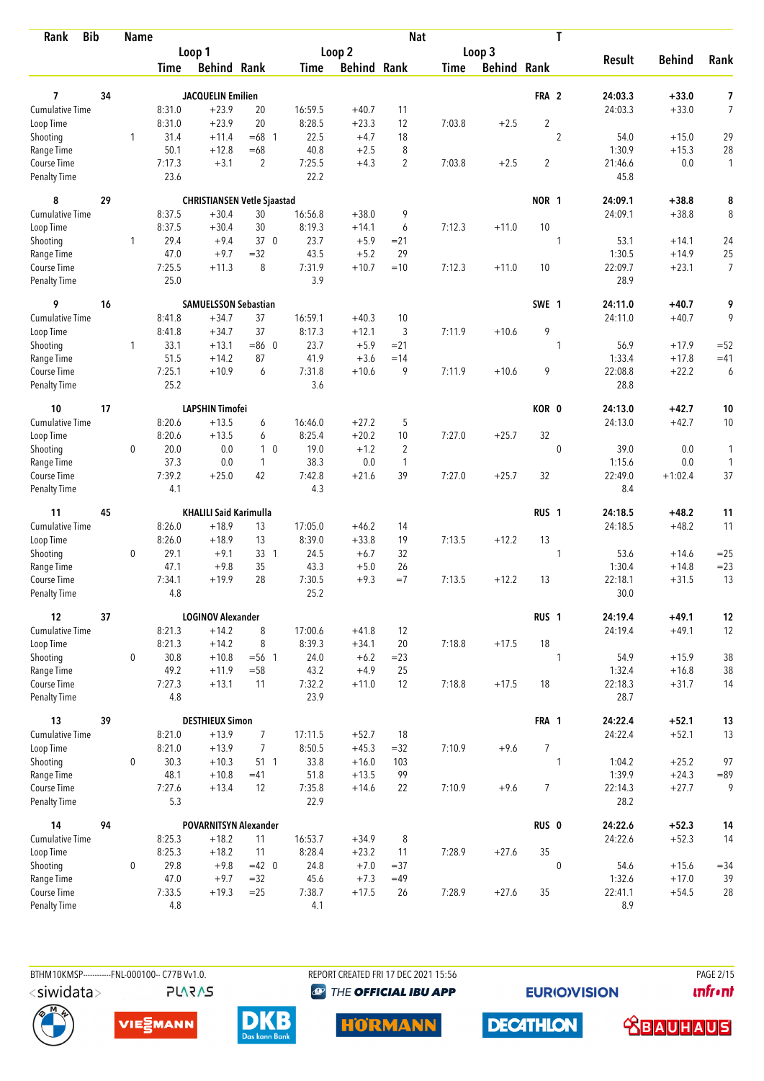| Rank                               | <b>Bib</b> | <b>Name</b> |                |                                    |                 |                |                    | <b>Nat</b>     |        |             |                  | T              |                   |                    |                |
|------------------------------------|------------|-------------|----------------|------------------------------------|-----------------|----------------|--------------------|----------------|--------|-------------|------------------|----------------|-------------------|--------------------|----------------|
|                                    |            |             |                | Loop 1                             |                 |                | Loop 2             |                |        | Loop 3      |                  |                | <b>Result</b>     | <b>Behind</b>      |                |
|                                    |            |             | Time           | <b>Behind Rank</b>                 |                 | Time           | <b>Behind Rank</b> |                | Time   | Behind Rank |                  |                |                   |                    | Rank           |
| $\overline{ }$                     | 34         |             |                | <b>JACQUELIN Emilien</b>           |                 |                |                    |                |        |             | FRA 2            |                | 24:03.3           | $+33.0$            | 7              |
| <b>Cumulative Time</b>             |            |             | 8:31.0         | $+23.9$                            | 20              | 16:59.5        | $+40.7$            | 11             |        |             |                  |                | 24:03.3           | $+33.0$            | $\overline{7}$ |
| Loop Time                          |            |             | 8:31.0         | $+23.9$                            | 20              | 8:28.5         | $+23.3$            | 12             | 7:03.8 | $+2.5$      | $\sqrt{2}$       |                |                   |                    |                |
| Shooting                           |            | 1           | 31.4           | $+11.4$                            | $=68$ 1         | 22.5           | $+4.7$             | 18             |        |             |                  | $\overline{2}$ | 54.0              | $+15.0$            | 29             |
| Range Time                         |            |             | 50.1           | $+12.8$                            | $=68$           | 40.8           | $+2.5$             | 8              |        |             |                  |                | 1:30.9            | $+15.3$            | 28             |
| Course Time                        |            |             | 7:17.3         | $+3.1$                             | $\overline{2}$  | 7:25.5         | $+4.3$             | $\overline{c}$ | 7:03.8 | $+2.5$      | 2                |                | 21:46.6           | 0.0                | $\mathbf{1}$   |
| <b>Penalty Time</b>                |            |             | 23.6           |                                    |                 | 22.2           |                    |                |        |             |                  |                | 45.8              |                    |                |
| 8                                  | 29         |             |                | <b>CHRISTIANSEN Vetle Sjaastad</b> |                 |                |                    |                |        |             | NOR 1            |                | 24:09.1           | $+38.8$            | 8              |
| <b>Cumulative Time</b>             |            |             | 8:37.5         | $+30.4$                            | 30              | 16:56.8        | $+38.0$            | 9              |        |             |                  |                | 24:09.1           | $+38.8$            | 8              |
| Loop Time                          |            |             | 8:37.5         | $+30.4$                            | 30              | 8:19.3         | $+14.1$            | 6              | 7:12.3 | $+11.0$     | 10               |                |                   |                    |                |
| Shooting                           |            | 1           | 29.4           | $+9.4$                             | 37 0            | 23.7           | $+5.9$             | $= 21$         |        |             |                  | 1              | 53.1              | $+14.1$            | 24             |
| Range Time                         |            |             | 47.0           | $+9.7$                             | $= 32$          | 43.5           | $+5.2$             | 29             |        |             |                  |                | 1:30.5            | $+14.9$            | 25             |
| Course Time                        |            |             | 7:25.5         | $+11.3$                            | 8               | 7:31.9         | $+10.7$            | $=10$          | 7:12.3 | $+11.0$     | 10               |                | 22:09.7           | $+23.1$            | 7              |
| Penalty Time                       |            |             | 25.0           |                                    |                 | 3.9            |                    |                |        |             |                  |                | 28.9              |                    |                |
| 9                                  | 16         |             |                | <b>SAMUELSSON Sebastian</b>        |                 |                |                    |                |        |             | SWE 1            |                | 24:11.0           | $+40.7$            | 9              |
| <b>Cumulative Time</b>             |            |             | 8:41.8         | $+34.7$                            | 37              | 16:59.1        | $+40.3$            | 10             |        |             |                  |                | 24:11.0           | $+40.7$            | 9              |
| Loop Time                          |            |             | 8:41.8         | $+34.7$                            | 37              | 8:17.3         | $+12.1$            | 3              | 7:11.9 | $+10.6$     | 9                |                |                   |                    |                |
| Shooting                           |            | 1           | 33.1           | $+13.1$                            | $= 86$ 0        | 23.7           | $+5.9$             | $= 21$         |        |             |                  | 1              | 56.9              | $+17.9$            | $=52$          |
| Range Time                         |            |             | 51.5           | $+14.2$                            | 87              | 41.9           | $+3.6$             | $=14$          |        |             |                  |                | 1:33.4            | $+17.8$            | $=41$          |
| Course Time<br><b>Penalty Time</b> |            |             | 7:25.1<br>25.2 | $+10.9$                            | 6               | 7:31.8<br>3.6  | $+10.6$            | 9              | 7:11.9 | $+10.6$     | 9                |                | 22:08.8<br>28.8   | $+22.2$            | 6              |
| 10                                 | 17         |             |                | <b>LAPSHIN Timofei</b>             |                 |                |                    |                |        |             | KOR <sub>0</sub> |                | 24:13.0           | $+42.7$            | 10             |
| <b>Cumulative Time</b>             |            |             | 8:20.6         | $+13.5$                            | 6               | 16:46.0        | $+27.2$            | 5              |        |             |                  |                | 24:13.0           | $+42.7$            | 10             |
| Loop Time                          |            |             | 8:20.6         | $+13.5$                            | 6               | 8:25.4         | $+20.2$            | 10             | 7:27.0 | $+25.7$     | 32               |                |                   |                    |                |
| Shooting                           |            | 0           | 20.0           | 0.0                                | 1 <sub>0</sub>  | 19.0           | $+1.2$             | $\overline{2}$ |        |             |                  | $\mathbf{0}$   | 39.0              | 0.0                | 1              |
| Range Time                         |            |             | 37.3           | 0.0                                | $\mathbf{1}$    | 38.3           | 0.0                | $\mathbf{1}$   |        |             |                  |                | 1:15.6            | 0.0                | $\mathbf{1}$   |
| Course Time                        |            |             | 7:39.2         | $+25.0$                            | 42              | 7:42.8         | $+21.6$            | 39             | 7:27.0 | $+25.7$     | 32               |                | 22:49.0           | $+1:02.4$          | 37             |
| <b>Penalty Time</b>                |            |             | 4.1            |                                    |                 | 4.3            |                    |                |        |             |                  |                | 8.4               |                    |                |
| 11                                 | 45         |             |                | <b>KHALILI Said Karimulla</b>      |                 |                |                    |                |        |             | RUS <sub>1</sub> |                | 24:18.5           | $+48.2$            | 11             |
| <b>Cumulative Time</b>             |            |             | 8:26.0         | $+18.9$                            | 13              | 17:05.0        | $+46.2$            | 14             |        |             |                  |                | 24:18.5           | $+48.2$            | 11             |
| Loop Time                          |            |             | 8:26.0         | $+18.9$                            | 13              | 8:39.0         | $+33.8$            | 19             | 7:13.5 | $+12.2$     | 13               |                |                   |                    |                |
| Shooting                           |            | $\mathbf 0$ | 29.1           | $+9.1$                             | 33 1            | 24.5           | $+6.7$             | 32             |        |             |                  | 1              | 53.6              | $+14.6$            | $=25$          |
| Range Time                         |            |             | 47.1           | $+9.8$                             | 35              | 43.3           | $+5.0$             | 26             |        |             |                  |                | 1:30.4            | $+14.8$            | $= 23$         |
| Course Time                        |            |             | 7:34.1         | $+19.9$                            | 28              | 7:30.5         | $+9.3$             | $=7$           | 7:13.5 | $+12.2$     | 13               |                | 22:18.1           | $+31.5$            | 13             |
| <b>Penalty Time</b>                |            |             | 4.8            |                                    |                 | 25.2           |                    |                |        |             |                  |                | 30.0              |                    |                |
| 12                                 | 37         |             |                | <b>LOGINOV Alexander</b>           |                 |                |                    |                |        |             | RUS <sub>1</sub> |                | 24:19.4           | $+49.1$            | 12             |
| <b>Cumulative Time</b>             |            |             | 8:21.3         | $+14.2$                            | 8               | 17:00.6        | $+41.8$            | 12             |        |             |                  |                | 24:19.4           | $+49.1$            | 12             |
| Loop Time                          |            |             | 8:21.3         | $+14.2$                            | 8               | 8:39.3         | $+34.1$            | 20             | 7:18.8 | $+17.5$     | 18               |                |                   |                    |                |
| Shooting                           |            | $\mathbf 0$ | 30.8           | $+10.8$                            | $= 56$ 1        | 24.0           | $+6.2$             | $= 23$         |        |             |                  | 1              | 54.9              | $+15.9$            | 38             |
| Range Time<br>Course Time          |            |             | 49.2<br>7:27.3 | $+11.9$<br>$+13.1$                 | $= 58$<br>11    | 43.2<br>7:32.2 | $+4.9$<br>$+11.0$  | 25<br>12       | 7:18.8 | $+17.5$     | 18               |                | 1:32.4<br>22:18.3 | $+16.8$<br>$+31.7$ | 38<br>14       |
| Penalty Time                       |            |             | 4.8            |                                    |                 | 23.9           |                    |                |        |             |                  |                | 28.7              |                    |                |
| 13                                 | 39         |             |                | <b>DESTHIEUX Simon</b>             |                 |                |                    |                |        |             | FRA 1            |                | 24:22.4           | $+52.1$            | 13             |
| <b>Cumulative Time</b>             |            |             | 8:21.0         | $+13.9$                            | $\overline{7}$  | 17:11.5        | $+52.7$            | 18             |        |             |                  |                | 24:22.4           | $+52.1$            | 13             |
| Loop Time                          |            |             | 8:21.0         | $+13.9$                            | $\overline{7}$  | 8:50.5         | $+45.3$            | $=32$          | 7:10.9 | $+9.6$      | $\overline{7}$   |                |                   |                    |                |
| Shooting                           |            | $\mathbf 0$ | 30.3           | $+10.3$                            | 51 <sub>1</sub> | 33.8           | $+16.0$            | 103            |        |             |                  | 1              | 1:04.2            | $+25.2$            | 97             |
| Range Time                         |            |             | 48.1           | $+10.8$                            | $=41$           | 51.8           | $+13.5$            | 99             |        |             |                  |                | 1:39.9            | $+24.3$            | $= 89$         |
| Course Time                        |            |             | 7:27.6         | $+13.4$                            | 12              | 7:35.8         | $+14.6$            | 22             | 7:10.9 | $+9.6$      | $\overline{7}$   |                | 22:14.3           | $+27.7$            | 9              |
| <b>Penalty Time</b>                |            |             | 5.3            |                                    |                 | 22.9           |                    |                |        |             |                  |                | 28.2              |                    |                |
| 14                                 | 94         |             |                | <b>POVARNITSYN Alexander</b>       |                 |                |                    |                |        |             | RUS <sub>0</sub> |                | 24:22.6           | $+52.3$            | 14             |
| Cumulative Time                    |            |             | 8:25.3         | $+18.2$                            | 11              | 16:53.7        | $+34.9$            | 8              |        |             |                  |                | 24:22.6           | $+52.3$            | 14             |
| Loop Time                          |            |             | 8:25.3         | $+18.2$                            | 11              | 8:28.4         | $+23.2$            | 11             | 7:28.9 | $+27.6$     | 35               |                |                   |                    |                |
| Shooting                           |            | $\mathbf 0$ | 29.8           | $+9.8$                             | $=42$ 0         | 24.8           | $+7.0$             | $= 37$         |        |             |                  | $\mathbf{0}$   | 54.6              | $+15.6$            | $= 34$         |
| Range Time                         |            |             | 47.0           | $+9.7$                             | $= 32$          | 45.6           | $+7.3$             | $=49$          |        |             |                  |                | 1:32.6            | $+17.0$            | 39             |
| Course Time<br><b>Penalty Time</b> |            |             | 7:33.5<br>4.8  | $+19.3$                            | $=25$           | 7:38.7<br>4.1  | $+17.5$            | 26             | 7:28.9 | $+27.6$     | 35               |                | 22:41.1<br>8.9    | $+54.5$            | 28             |
|                                    |            |             |                |                                    |                 |                |                    |                |        |             |                  |                |                   |                    |                |



BTHM10KMSP------------FNL-000100-- C77B Vv1.0.

**PLARAS** 

REPORT CREATED FRI 17 DEC 2021 15:56 **<sup><sup>3</sup>** THE OFFICIAL IBU APP</sup>

**EURIOVISION** 

**DECATHLON** 

**PAGE 2/15** *<u><u>Infront</u>*</u>









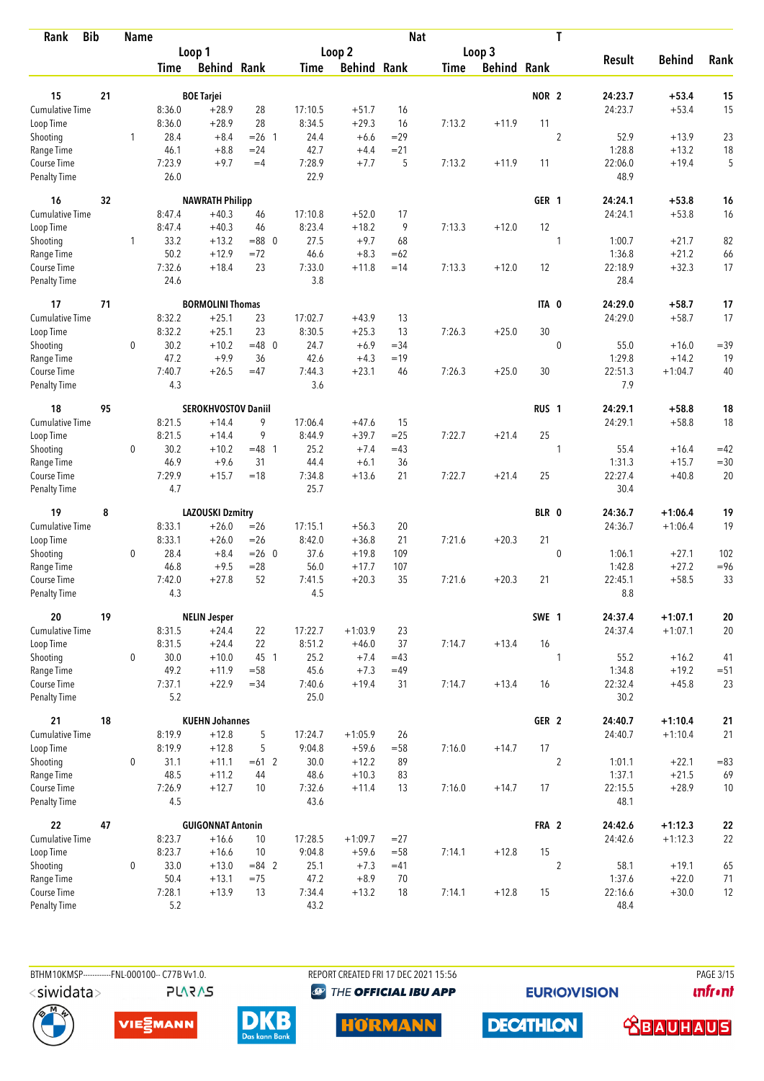| Rank                               | <b>Bib</b> | <b>Name</b> |               |                            |                 |                |                    | <b>Nat</b>  |        |                    |                  | T              |                 |                    |            |
|------------------------------------|------------|-------------|---------------|----------------------------|-----------------|----------------|--------------------|-------------|--------|--------------------|------------------|----------------|-----------------|--------------------|------------|
|                                    |            |             |               | Loop 1                     |                 |                | Loop 2             |             |        | Loop 3             |                  |                |                 |                    |            |
|                                    |            |             | Time          | <b>Behind Rank</b>         |                 | Time           | <b>Behind Rank</b> |             | Time   | <b>Behind Rank</b> |                  |                | <b>Result</b>   | <b>Behind</b>      | Rank       |
| 15                                 | 21         |             |               | <b>BOE Tarjei</b>          |                 |                |                    |             |        |                    | NOR <sub>2</sub> |                | 24:23.7         | $+53.4$            | 15         |
| Cumulative Time                    |            |             | 8:36.0        | $+28.9$                    | 28              | 17:10.5        | $+51.7$            | 16          |        |                    |                  |                | 24:23.7         | $+53.4$            | 15         |
| Loop Time                          |            |             | 8:36.0        | $+28.9$                    | 28              | 8:34.5         | $+29.3$            | 16          | 7:13.2 | $+11.9$            | 11               |                |                 |                    |            |
| Shooting                           |            | 1           | 28.4          | $+8.4$                     | $= 26$ 1        | 24.4           | $+6.6$             | $=29$       |        |                    |                  | $\overline{c}$ | 52.9            | $+13.9$            | 23         |
| Range Time                         |            |             | 46.1          | $+8.8$                     | $= 24$          | 42.7           | $+4.4$             | $= 21$      |        |                    |                  |                | 1:28.8          | $+13.2$            | 18         |
| Course Time                        |            |             | 7:23.9        | $+9.7$                     | $=4$            | 7:28.9         | $+7.7$             | 5           | 7:13.2 | $+11.9$            | 11               |                | 22:06.0         | $+19.4$            | 5          |
| <b>Penalty Time</b>                |            |             | 26.0          |                            |                 | 22.9           |                    |             |        |                    |                  |                | 48.9            |                    |            |
| 16                                 | 32         |             |               | <b>NAWRATH Philipp</b>     |                 |                |                    |             |        |                    | GER <sub>1</sub> |                | 24:24.1         | $+53.8$            | 16         |
| <b>Cumulative Time</b>             |            |             | 8:47.4        | $+40.3$                    | 46              | 17:10.8        | $+52.0$            | 17          |        |                    |                  |                | 24:24.1         | $+53.8$            | 16         |
| Loop Time                          |            |             | 8:47.4        | $+40.3$                    | 46              | 8:23.4         | $+18.2$            | 9           | 7:13.3 | $+12.0$            | 12               |                |                 |                    |            |
| Shooting                           |            | 1           | 33.2          | $+13.2$                    | $= 88$ 0        | 27.5           | $+9.7$             | 68          |        |                    |                  | 1              | 1:00.7          | $+21.7$            | 82         |
| Range Time                         |            |             | 50.2          | $+12.9$                    | $= 72$          | 46.6           | $+8.3$             | $=62$       |        |                    |                  |                | 1:36.8          | $+21.2$            | 66         |
| Course Time                        |            |             | 7:32.6        | $+18.4$                    | 23              | 7:33.0         | $+11.8$            | $=14$       | 7:13.3 | $+12.0$            | 12               |                | 22:18.9         | $+32.3$            | 17         |
| <b>Penalty Time</b>                |            |             | 24.6          |                            |                 | 3.8            |                    |             |        |                    |                  |                | 28.4            |                    |            |
| 17                                 | 71         |             |               | <b>BORMOLINI Thomas</b>    |                 |                |                    |             |        |                    | ITA 0            |                | 24:29.0         | $+58.7$            | 17         |
| <b>Cumulative Time</b>             |            |             | 8:32.2        | $+25.1$                    | 23              | 17:02.7        | $+43.9$            | 13          |        |                    |                  |                | 24:29.0         | $+58.7$            | 17         |
| Loop Time                          |            |             | 8:32.2        | $+25.1$                    | 23              | 8:30.5         | $+25.3$            | 13          | 7:26.3 | $+25.0$            | 30               |                |                 |                    |            |
| Shooting                           |            | 0           | 30.2          | $+10.2$                    | $=48$ 0         | 24.7           | $+6.9$             | $= 34$      |        |                    |                  | $\mathbf 0$    | 55.0            | $+16.0$            | $=39$      |
| Range Time                         |            |             | 47.2          | $+9.9$                     | 36              | 42.6           | $+4.3$             | $=19$       |        |                    |                  |                | 1:29.8          | $+14.2$            | 19         |
| Course Time<br>Penalty Time        |            |             | 7:40.7<br>4.3 | $+26.5$                    | $=47$           | 7:44.3<br>3.6  | $+23.1$            | 46          | 7:26.3 | $+25.0$            | 30               |                | 22:51.3<br>7.9  | $+1:04.7$          | 40         |
|                                    |            |             |               |                            |                 |                |                    |             |        |                    |                  |                |                 |                    |            |
| 18                                 | 95         |             |               | <b>SEROKHVOSTOV Daniil</b> |                 |                |                    |             |        |                    | RUS <sub>1</sub> |                | 24:29.1         | $+58.8$            | 18         |
| Cumulative Time                    |            |             | 8:21.5        | $+14.4$                    | 9               | 17:06.4        | $+47.6$            | 15          |        |                    |                  |                | 24:29.1         | $+58.8$            | 18         |
| Loop Time                          |            |             | 8:21.5        | $+14.4$                    | 9               | 8:44.9         | $+39.7$            | $=25$       | 7:22.7 | $+21.4$            | 25               |                |                 |                    |            |
| Shooting                           |            | 0           | 30.2<br>46.9  | $+10.2$<br>$+9.6$          | $=48$ 1<br>31   | 25.2           | $+7.4$             | $=43$<br>36 |        |                    |                  | 1              | 55.4<br>1:31.3  | $+16.4$<br>$+15.7$ | $=42$      |
| Range Time                         |            |             | 7:29.9        |                            | $=18$           | 44.4           | $+6.1$             | 21          | 7:22.7 |                    | 25               |                | 22:27.4         | $+40.8$            | $=30$      |
| Course Time<br><b>Penalty Time</b> |            |             | 4.7           | $+15.7$                    |                 | 7:34.8<br>25.7 | $+13.6$            |             |        | $+21.4$            |                  |                | 30.4            |                    | 20         |
| 19                                 | 8          |             |               | <b>LAZOUSKI Dzmitry</b>    |                 |                |                    |             |        |                    | BLR 0            |                | 24:36.7         | $+1:06.4$          | 19         |
| Cumulative Time                    |            |             | 8:33.1        | $+26.0$                    | $=26$           | 17:15.1        | $+56.3$            | 20          |        |                    |                  |                | 24:36.7         | $+1:06.4$          | 19         |
| Loop Time                          |            |             | 8:33.1        | $+26.0$                    | $=26$           | 8:42.0         | $+36.8$            | 21          | 7:21.6 | $+20.3$            | 21               |                |                 |                    |            |
| Shooting                           |            | $\mathbf 0$ | 28.4          | $+8.4$                     | $= 26$ 0        | 37.6           | $+19.8$            | 109         |        |                    |                  | $\mathbf 0$    | 1:06.1          | $+27.1$            | 102        |
| Range Time                         |            |             | 46.8          | $+9.5$                     | $= 28$          | 56.0           | $+17.7$            | 107         |        |                    |                  |                | 1:42.8          | $+27.2$            | $= 96$     |
| Course Time                        |            |             | 7:42.0        | $+27.8$                    | 52              | 7:41.5         | $+20.3$            | 35          | 7:21.6 | $+20.3$            | 21               |                | 22:45.1         | $+58.5$            | 33         |
| Penalty Time                       |            |             | 4.3           |                            |                 | 4.5            |                    |             |        |                    |                  |                | 8.8             |                    |            |
| 20                                 | 19         |             |               | <b>NELIN Jesper</b>        |                 |                |                    |             |        |                    | SWE 1            |                | 24:37.4         | $+1:07.1$          | ${\bf 20}$ |
| Cumulative Time                    |            |             | 8:31.5        | $+24.4$                    | 22              | 17:22.7        | $+1:03.9$          | 23          |        |                    |                  |                | 24:37.4         | $+1:07.1$          | 20         |
| Loop Time                          |            |             | 8:31.5        | $+24.4$                    | 22              | 8:51.2         | $+46.0$            | 37          | 7:14.7 | $+13.4$            | 16               |                |                 |                    |            |
| Shooting                           |            | 0           | 30.0          | $+10.0$                    | 45 1            | 25.2           | $+7.4$             | $=43$       |        |                    |                  | 1              | 55.2            | $+16.2$            | 41         |
| Range Time                         |            |             | 49.2          | $+11.9$                    | $= 58$          | 45.6           | $+7.3$             | $=49$       |        |                    |                  |                | 1:34.8          | $+19.2$            | $= 51$     |
| Course Time<br>Penalty Time        |            |             | 7:37.1<br>5.2 | $+22.9$                    | $= 34$          | 7:40.6<br>25.0 | $+19.4$            | 31          | 7:14.7 | $+13.4$            | 16               |                | 22:32.4<br>30.2 | $+45.8$            | 23         |
| 21                                 | 18         |             |               | <b>KUEHN Johannes</b>      |                 |                |                    |             |        |                    | GER 2            |                | 24:40.7         | $+1:10.4$          | 21         |
| Cumulative Time                    |            |             | 8:19.9        | $+12.8$                    | 5               | 17:24.7        | $+1:05.9$          | 26          |        |                    |                  |                | 24:40.7         | $+1:10.4$          | 21         |
| Loop Time                          |            |             | 8:19.9        | $+12.8$                    | 5               | 9:04.8         | $+59.6$            | $= 58$      | 7:16.0 | $+14.7$            | 17               |                |                 |                    |            |
| Shooting                           |            | 0           | 31.1          | $+11.1$                    | $=61$ 2         | 30.0           | $+12.2$            | 89          |        |                    |                  | $\overline{2}$ | 1:01.1          | $+22.1$            | $= 83$     |
| Range Time                         |            |             | 48.5          | $+11.2$                    | 44              | 48.6           | $+10.3$            | 83          |        |                    |                  |                | 1:37.1          | $+21.5$            | 69         |
| Course Time                        |            |             | 7:26.9        | $+12.7$                    | 10 <sup>°</sup> | 7:32.6         | $+11.4$            | 13          | 7:16.0 | $+14.7$            | 17               |                | 22:15.5         | $+28.9$            | 10         |
| Penalty Time                       |            |             | 4.5           |                            |                 | 43.6           |                    |             |        |                    |                  |                | 48.1            |                    |            |
| 22                                 | 47         |             |               | <b>GUIGONNAT Antonin</b>   |                 |                |                    |             |        |                    | FRA 2            |                | 24:42.6         | $+1:12.3$          | ${\bf 22}$ |
| Cumulative Time                    |            |             | 8:23.7        | $+16.6$                    | 10              | 17:28.5        | $+1:09.7$          | $= 27$      |        |                    |                  |                | 24:42.6         | $+1:12.3$          | 22         |
| Loop Time                          |            |             | 8:23.7        | $+16.6$                    | 10              | 9:04.8         | $+59.6$            | $=58$       | 7:14.1 | $+12.8$            | 15               |                |                 |                    |            |
| Shooting                           |            | 0           | 33.0          | $+13.0$                    | $= 84$ 2        | 25.1           | $+7.3$             | $=41$       |        |                    |                  | $\overline{c}$ | 58.1            | $+19.1$            | 65         |
| Range Time                         |            |             | 50.4          | $+13.1$                    | $=75$           | 47.2           | $+8.9$             | 70          |        |                    |                  |                | 1:37.6          | $+22.0$            | 71         |
| Course Time                        |            |             | 7:28.1        | $+13.9$                    | 13              | 7:34.4         | $+13.2$            | 18          | 7:14.1 | $+12.8$            | 15               |                | 22:16.6         | $+30.0$            | 12         |
| <b>Penalty Time</b>                |            |             | 5.2           |                            |                 | 43.2           |                    |             |        |                    |                  |                | 48.4            |                    |            |

BTHM10KMSP------------FNL-000100-- C77B Vv1.0. **PLARAS** 

REPORT CREATED FRI 17 DEC 2021 15:56 **<sup><sup>3</sup>** THE OFFICIAL IBU APP</sup>

**HORMANN** 

**EURIOVISION** 

PAGE 3/15 *<u><u>Infront</u>*</u>









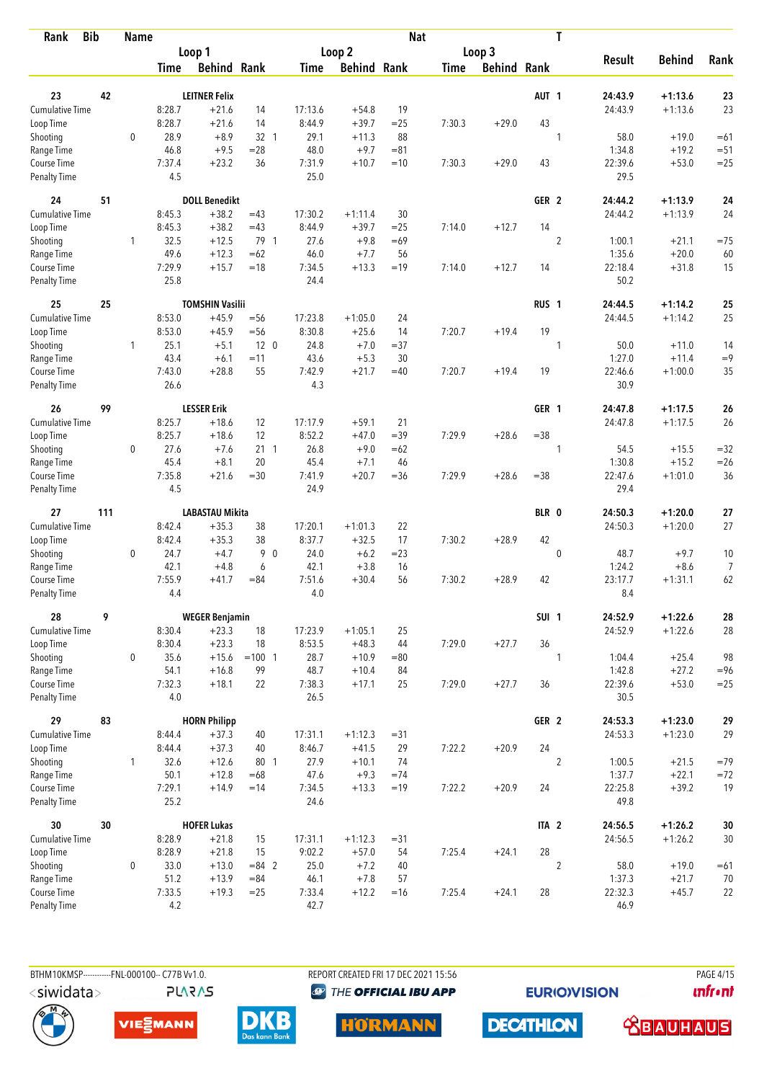| <b>Bib</b><br>Rank                 |     | <b>Name</b> |                |                        |                 |                |                    | <b>Nat</b> |             |                    | T                |                 |               |        |
|------------------------------------|-----|-------------|----------------|------------------------|-----------------|----------------|--------------------|------------|-------------|--------------------|------------------|-----------------|---------------|--------|
|                                    |     |             |                | Loop 1                 |                 |                | Loop 2             |            |             | Loop 3             |                  |                 |               |        |
|                                    |     |             | Time           | <b>Behind Rank</b>     |                 | Time           | <b>Behind Rank</b> |            | <b>Time</b> | <b>Behind Rank</b> |                  | <b>Result</b>   | <b>Behind</b> | Rank   |
| 23                                 | 42  |             |                | <b>LEITNER Felix</b>   |                 |                |                    |            |             |                    | AUT <sub>1</sub> | 24:43.9         | $+1:13.6$     | 23     |
| <b>Cumulative Time</b>             |     |             | 8:28.7         | $+21.6$                | 14              | 17:13.6        | $+54.8$            | 19         |             |                    |                  | 24:43.9         | $+1:13.6$     | 23     |
| Loop Time                          |     |             | 8:28.7         | $+21.6$                | 14              | 8:44.9         | $+39.7$            | $= 25$     | 7:30.3      | $+29.0$            | 43               |                 |               |        |
| Shooting                           |     | $\mathbf 0$ | 28.9           | $+8.9$                 | $32 \quad 1$    | 29.1           | $+11.3$            | 88         |             |                    | 1                | 58.0            | $+19.0$       | $=61$  |
| Range Time                         |     |             | 46.8           | $+9.5$                 | $= 28$          | 48.0           | $+9.7$             | $= 81$     |             |                    |                  | 1:34.8          | $+19.2$       | $=51$  |
| Course Time                        |     |             | 7:37.4         | $+23.2$                | 36              | 7:31.9         | $+10.7$            | $=10$      | 7:30.3      | $+29.0$            | 43               | 22:39.6         | $+53.0$       | $=25$  |
| <b>Penalty Time</b>                |     |             | 4.5            |                        |                 | 25.0           |                    |            |             |                    |                  | 29.5            |               |        |
| 24                                 | 51  |             |                | <b>DOLL Benedikt</b>   |                 |                |                    |            |             |                    | GER <sub>2</sub> | 24:44.2         | $+1:13.9$     | 24     |
| Cumulative Time                    |     |             | 8:45.3         | $+38.2$                | $=43$           | 17:30.2        | $+1:11.4$          | 30         |             |                    |                  | 24:44.2         | $+1:13.9$     | 24     |
| Loop Time                          |     |             | 8:45.3         | $+38.2$                | $=43$           | 8:44.9         | $+39.7$            | $= 25$     | 7:14.0      | $+12.7$            | 14               |                 |               |        |
| Shooting                           |     | 1           | 32.5           | $+12.5$                | 79 1            | 27.6           | $+9.8$             | $=69$      |             |                    | $\overline{2}$   | 1:00.1          | $+21.1$       | $=75$  |
| Range Time                         |     |             | 49.6           | $+12.3$                | $=62$           | 46.0           | $+7.7$             | 56         |             |                    |                  | 1:35.6          | $+20.0$       | 60     |
| Course Time                        |     |             | 7:29.9         | $+15.7$                | $=18$           | 7:34.5         | $+13.3$            | $=19$      | 7:14.0      | $+12.7$            | 14               | 22:18.4         | $+31.8$       | 15     |
| Penalty Time                       |     |             | 25.8           |                        |                 | 24.4           |                    |            |             |                    |                  | 50.2            |               |        |
| 25                                 | 25  |             |                | <b>TOMSHIN Vasilii</b> |                 |                |                    |            |             |                    | RUS <sub>1</sub> | 24:44.5         | $+1:14.2$     | 25     |
| <b>Cumulative Time</b>             |     |             | 8:53.0         | $+45.9$                | $=$ 56          | 17:23.8        | $+1:05.0$          | 24         |             |                    |                  | 24:44.5         | $+1:14.2$     | 25     |
| Loop Time                          |     |             | 8:53.0         | $+45.9$                | $=$ 56          | 8:30.8         | $+25.6$            | 14         | 7:20.7      | $+19.4$            | 19               |                 |               |        |
| Shooting                           |     | 1           | 25.1           | $+5.1$                 | 12 <sub>0</sub> | 24.8           | $+7.0$             | $= 37$     |             |                    | 1                | 50.0            | $+11.0$       | 14     |
| Range Time                         |     |             | 43.4           | $+6.1$                 | $=11$           | 43.6           | $+5.3$             | 30         |             |                    |                  | 1:27.0          | $+11.4$       | $=9$   |
| Course Time<br><b>Penalty Time</b> |     |             | 7:43.0<br>26.6 | $+28.8$                | 55              | 7:42.9<br>4.3  | $+21.7$            | $=40$      | 7:20.7      | $+19.4$            | 19               | 22:46.6<br>30.9 | $+1:00.0$     | 35     |
| 26                                 | 99  |             |                | <b>LESSER Erik</b>     |                 |                |                    |            |             |                    | GER 1            | 24:47.8         | $+1:17.5$     | 26     |
| Cumulative Time                    |     |             | 8:25.7         | $+18.6$                | 12              | 17:17.9        | $+59.1$            | 21         |             |                    |                  | 24:47.8         | $+1:17.5$     | 26     |
| Loop Time                          |     |             | 8:25.7         | $+18.6$                | 12              | 8:52.2         | $+47.0$            | $=39$      | 7:29.9      | $+28.6$            | $= 38$           |                 |               |        |
| Shooting                           |     | 0           | 27.6           | $+7.6$                 | 21 1            | 26.8           | $+9.0$             | $=62$      |             |                    | 1                | 54.5            | $+15.5$       | $= 32$ |
| Range Time                         |     |             | 45.4           | $+8.1$                 | 20              | 45.4           | $+7.1$             | 46         |             |                    |                  | 1:30.8          | $+15.2$       | $=26$  |
| Course Time                        |     |             | 7:35.8         | $+21.6$                | $=30$           | 7:41.9         | $+20.7$            | $=36$      | 7:29.9      | $+28.6$            | $= 38$           | 22:47.6         | $+1:01.0$     | 36     |
| <b>Penalty Time</b>                |     |             | 4.5            |                        |                 | 24.9           |                    |            |             |                    |                  | 29.4            |               |        |
| 27                                 | 111 |             |                | <b>LABASTAU Mikita</b> |                 |                |                    |            |             |                    | BLR 0            | 24:50.3         | $+1:20.0$     | $27$   |
| Cumulative Time                    |     |             | 8:42.4         | $+35.3$                | 38              | 17:20.1        | $+1:01.3$          | 22         |             |                    |                  | 24:50.3         | $+1:20.0$     | 27     |
| Loop Time                          |     |             | 8:42.4         | $+35.3$                | 38              | 8:37.7         | $+32.5$            | 17         | 7:30.2      | $+28.9$            | 42               |                 |               |        |
| Shooting                           |     | 0           | 24.7           | $+4.7$                 | 9 0             | 24.0           | $+6.2$             | $= 23$     |             |                    | $\mathbf 0$      | 48.7            | $+9.7$        | 10     |
| Range Time                         |     |             | 42.1           | $+4.8$                 | 6               | 42.1           | $+3.8$             | 16         |             |                    |                  | 1:24.2          | $+8.6$        | 7      |
| Course Time                        |     |             | 7:55.9         | $+41.7$                | $= 84$          | 7:51.6         | $+30.4$            | 56         | 7:30.2      | $+28.9$            | 42               | 23:17.7         | $+1:31.1$     | 62     |
| <b>Penalty Time</b>                |     |             | 4.4            |                        |                 | 4.0            |                    |            |             |                    |                  | 8.4             |               |        |
| 28                                 | 9   |             |                | <b>WEGER Benjamin</b>  |                 |                |                    |            |             |                    | SUI <sub>1</sub> | 24:52.9         | $+1:22.6$     | 28     |
| <b>Cumulative Time</b>             |     |             | 8:30.4         | $+23.3$                | 18              | 17:23.9        | $+1:05.1$          | 25         |             |                    |                  | 24:52.9         | $+1:22.6$     | 28     |
| Loop Time                          |     |             | 8:30.4         | $+23.3$                | 18              | 8:53.5         | $+48.3$            | 44         | 7:29.0      | $+27.7$            | 36               |                 |               |        |
| Shooting                           |     | 0           | 35.6           | $+15.6$                | $=100$ 1        | 28.7           | $+10.9$            | $= 80$     |             |                    | 1                | 1:04.4          | $+25.4$       | 98     |
| Range Time                         |     |             | 54.1           | $+16.8$                | 99              | 48.7           | $+10.4$            | 84         |             |                    |                  | 1:42.8          | $+27.2$       | $= 96$ |
| Course Time<br>Penalty Time        |     |             | 7:32.3<br>4.0  | $+18.1$                | 22              | 7:38.3<br>26.5 | $+17.1$            | 25         | 7:29.0      | $+27.7$            | 36               | 22:39.6<br>30.5 | $+53.0$       | $=25$  |
| 29                                 | 83  |             |                | <b>HORN Philipp</b>    |                 |                |                    |            |             |                    | GER 2            | 24:53.3         | $+1:23.0$     | 29     |
| Cumulative Time                    |     |             | 8:44.4         | $+37.3$                | 40              | 17:31.1        | $+1:12.3$          | $= 31$     |             |                    |                  | 24:53.3         | $+1:23.0$     | 29     |
| Loop Time                          |     |             | 8:44.4         | $+37.3$                | 40              | 8:46.7         | $+41.5$            | 29         | 7:22.2      | $+20.9$            | 24               |                 |               |        |
| Shooting                           |     | 1           | 32.6           | $+12.6$                | 80 1            | 27.9           | $+10.1$            | 74         |             |                    | $\overline{2}$   | 1:00.5          | $+21.5$       | $=79$  |
| Range Time                         |     |             | 50.1           | $+12.8$                | $=68$           | 47.6           | $+9.3$             | $= 74$     |             |                    |                  | 1:37.7          | $+22.1$       | $= 72$ |
| Course Time                        |     |             | 7:29.1         | $+14.9$                | $=14$           | 7:34.5         | $+13.3$            | $=19$      | 7:22.2      | $+20.9$            | 24               | 22:25.8         | $+39.2$       | 19     |
| Penalty Time                       |     |             | 25.2           |                        |                 | 24.6           |                    |            |             |                    |                  | 49.8            |               |        |
| 30                                 | 30  |             |                | <b>HOFER Lukas</b>     |                 |                |                    |            |             |                    | ITA <sub>2</sub> | 24:56.5         | $+1:26.2$     | 30     |
| Cumulative Time                    |     |             | 8:28.9         | $+21.8$                | 15              | 17:31.1        | $+1:12.3$          | $= 31$     |             |                    |                  | 24:56.5         | $+1:26.2$     | 30     |
| Loop Time                          |     |             | 8:28.9         | $+21.8$                | 15              | 9:02.2         | $+57.0$            | 54         | 7:25.4      | $+24.1$            | 28               |                 |               |        |
| Shooting                           |     | 0           | 33.0           | $+13.0$                | $= 84$ 2        | 25.0           | $+7.2$             | 40         |             |                    | $\overline{2}$   | 58.0            | $+19.0$       | $=61$  |
| Range Time                         |     |             | 51.2           | $+13.9$                | $= 84$          | 46.1           | $+7.8$             | 57         |             |                    |                  | 1:37.3          | $+21.7$       | 70     |
| Course Time                        |     |             | 7:33.5         | $+19.3$                | $=25$           | 7:33.4         | $+12.2$            | $=16$      | 7:25.4      | $+24.1$            | 28               | 22:32.3         | $+45.7$       | 22     |
| Penalty Time                       |     |             | 4.2            |                        |                 | 42.7           |                    |            |             |                    |                  | 46.9            |               |        |

BTHM10KMSP------------FNL-000100-- C77B Vv1.0. **PLARAS**  REPORT CREATED FRI 17 DEC 2021 15:56 **<sup><sup>3</sup>** THE OFFICIAL IBU APP</sup>

**EURIOVISION** 











 **<u>CBAUHAUS</u>** 

**PAGE 4/15** 

*<u><u>Infront</u>*</u>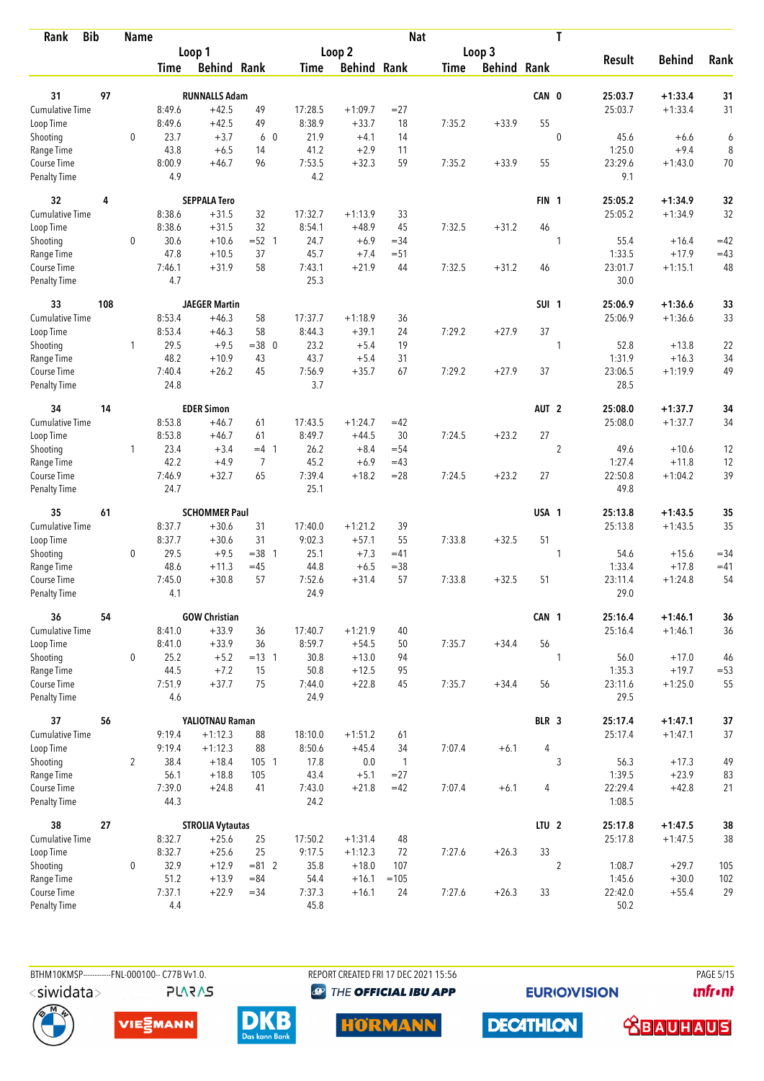| <b>Bib</b><br>Rank          |     | <b>Name</b>    |               |                         |                |                |                    | <b>Nat</b>     |             |                    |                  | T              |                 |               |        |
|-----------------------------|-----|----------------|---------------|-------------------------|----------------|----------------|--------------------|----------------|-------------|--------------------|------------------|----------------|-----------------|---------------|--------|
|                             |     |                |               | Loop 1                  |                |                | Loop 2             |                |             | Loop 3             |                  |                |                 |               |        |
|                             |     |                | Time          | <b>Behind Rank</b>      |                | Time           | <b>Behind Rank</b> |                | <b>Time</b> | <b>Behind Rank</b> |                  |                | <b>Result</b>   | <b>Behind</b> | Rank   |
| 31                          | 97  |                |               | <b>RUNNALLS Adam</b>    |                |                |                    |                |             |                    | CAN 0            |                | 25:03.7         | $+1:33.4$     | 31     |
| <b>Cumulative Time</b>      |     |                | 8:49.6        | $+42.5$                 | 49             | 17:28.5        | $+1:09.7$          | $= 27$         |             |                    |                  |                | 25:03.7         | $+1:33.4$     | 31     |
| Loop Time                   |     |                | 8:49.6        | $+42.5$                 | 49             | 8:38.9         | $+33.7$            | 18             | 7:35.2      | $+33.9$            | 55               |                |                 |               |        |
| Shooting                    |     | 0              | 23.7          | $+3.7$                  | 6 0            | 21.9           | $+4.1$             | 14             |             |                    |                  | $\mathbf 0$    | 45.6            | $+6.6$        | 6      |
| Range Time                  |     |                | 43.8          | $+6.5$                  | 14             | 41.2           | $+2.9$             | 11             |             |                    |                  |                | 1:25.0          | $+9.4$        | 8      |
| Course Time                 |     |                | 8:00.9        | $+46.7$                 | 96             | 7:53.5         | $+32.3$            | 59             | 7:35.2      | $+33.9$            | 55               |                | 23:29.6         | $+1:43.0$     | $70$   |
| <b>Penalty Time</b>         |     |                | 4.9           |                         |                | 4.2            |                    |                |             |                    |                  |                | 9.1             |               |        |
| 32                          | 4   |                |               | <b>SEPPALA Tero</b>     |                |                |                    |                |             |                    | FIN <sub>1</sub> |                | 25:05.2         | $+1:34.9$     | 32     |
| Cumulative Time             |     |                | 8:38.6        | $+31.5$                 | 32             | 17:32.7        | $+1:13.9$          | 33             |             |                    |                  |                | 25:05.2         | $+1:34.9$     | 32     |
| Loop Time                   |     |                | 8:38.6        | $+31.5$                 | 32             | 8:54.1         | $+48.9$            | 45             | 7:32.5      | $+31.2$            | 46               |                |                 |               |        |
| Shooting                    |     | 0              | 30.6          | $+10.6$                 | $= 52 \quad 1$ | 24.7           | $+6.9$             | $=34$          |             |                    |                  | 1              | 55.4            | $+16.4$       | $=42$  |
| Range Time                  |     |                | 47.8          | $+10.5$                 | 37             | 45.7           | $+7.4$             | $= 51$         |             |                    |                  |                | 1:33.5          | $+17.9$       | $=43$  |
| Course Time                 |     |                | 7:46.1        | $+31.9$                 | 58             | 7:43.1         | $+21.9$            | 44             | 7:32.5      | $+31.2$            | 46               |                | 23:01.7         | $+1:15.1$     | 48     |
| Penalty Time                |     |                | 4.7           |                         |                | 25.3           |                    |                |             |                    |                  |                | 30.0            |               |        |
| 33                          | 108 |                |               | <b>JAEGER Martin</b>    |                |                |                    |                |             |                    | SUI <sub>1</sub> |                | 25:06.9         | $+1:36.6$     | 33     |
| <b>Cumulative Time</b>      |     |                | 8:53.4        | $+46.3$                 | 58             | 17:37.7        | $+1:18.9$          | 36             |             |                    |                  |                | 25:06.9         | $+1:36.6$     | 33     |
| Loop Time                   |     |                | 8:53.4        | $+46.3$                 | 58             | 8:44.3         | $+39.1$            | 24             | 7:29.2      | $+27.9$            | 37               |                |                 |               |        |
| Shooting                    |     | 1              | 29.5          | $+9.5$                  | $=38$ 0        | 23.2           | $+5.4$             | 19             |             |                    |                  | 1              | 52.8            | $+13.8$       | 22     |
| Range Time                  |     |                | 48.2          | $+10.9$                 | 43             | 43.7           | $+5.4$             | 31             |             |                    |                  |                | 1:31.9          | $+16.3$       | 34     |
| Course Time                 |     |                | 7:40.4        | $+26.2$                 | 45             | 7:56.9         | $+35.7$            | 67             | 7:29.2      | $+27.9$            | 37               |                | 23:06.5         | $+1:19.9$     | 49     |
| <b>Penalty Time</b>         |     |                | 24.8          |                         |                | 3.7            |                    |                |             |                    |                  |                | 28.5            |               |        |
| 34                          | 14  |                |               | <b>EDER Simon</b>       |                |                |                    |                |             |                    | AUT <sub>2</sub> |                | 25:08.0         | $+1:37.7$     | 34     |
| <b>Cumulative Time</b>      |     |                | 8:53.8        | $+46.7$                 | 61             | 17:43.5        | $+1:24.7$          | $=42$          |             |                    |                  |                | 25:08.0         | $+1:37.7$     | 34     |
| Loop Time                   |     |                | 8:53.8        | $+46.7$                 | 61             | 8:49.7         | $+44.5$            | 30             | 7:24.5      | $+23.2$            | 27               |                |                 |               |        |
| Shooting                    |     | $\mathbf{1}$   | 23.4          | $+3.4$                  | $=4$ 1         | 26.2           | $+8.4$             | $= 54$         |             |                    |                  | $\overline{2}$ | 49.6            | $+10.6$       | 12     |
| Range Time                  |     |                | 42.2          | $+4.9$                  | $\overline{7}$ | 45.2           | $+6.9$             | $=43$          |             |                    |                  |                | 1:27.4          | $+11.8$       | 12     |
| Course Time                 |     |                | 7:46.9        | $+32.7$                 | 65             | 7:39.4         | $+18.2$            | $= 28$         | 7:24.5      | $+23.2$            | 27               |                | 22:50.8         | $+1:04.2$     | 39     |
| <b>Penalty Time</b>         |     |                | 24.7          |                         |                | 25.1           |                    |                |             |                    |                  |                | 49.8            |               |        |
| 35                          | 61  |                |               | <b>SCHOMMER Paul</b>    |                |                |                    |                |             |                    | USA 1            |                | 25:13.8         | $+1:43.5$     | 35     |
| Cumulative Time             |     |                | 8:37.7        | $+30.6$                 | 31             | 17:40.0        | $+1:21.2$          | 39             |             |                    |                  |                | 25:13.8         | $+1:43.5$     | 35     |
| Loop Time                   |     |                | 8:37.7        | $+30.6$                 | 31             | 9:02.3         | $+57.1$            | 55             | 7:33.8      | $+32.5$            | 51               |                |                 |               |        |
| Shooting                    |     | 0              | 29.5          | $+9.5$                  | $= 38$ 1       | 25.1           | $+7.3$             | $=41$          |             |                    |                  | 1              | 54.6            | $+15.6$       | $= 34$ |
| Range Time                  |     |                | 48.6          | $+11.3$                 | $=45$          | 44.8           | $+6.5$             | $= 38$         |             |                    |                  |                | 1:33.4          | $+17.8$       | $=41$  |
| Course Time                 |     |                | 7:45.0        | $+30.8$                 | 57             | 7:52.6         | $+31.4$            | 57             | 7:33.8      | $+32.5$            | 51               |                | 23:11.4         | $+1:24.8$     | 54     |
| <b>Penalty Time</b>         |     |                | 4.1           |                         |                | 24.9           |                    |                |             |                    |                  |                | 29.0            |               |        |
| 36                          | 54  |                |               | <b>GOW Christian</b>    |                |                |                    |                |             |                    | CAN 1            |                | 25:16.4         | $+1:46.1$     | 36     |
| <b>Cumulative Time</b>      |     |                | 8:41.0        | $+33.9$                 | 36             | 17:40.7        | $+1:21.9$          | 40             |             |                    |                  |                | 25:16.4         | $+1:46.1$     | 36     |
| Loop Time                   |     |                | 8:41.0        | $+33.9$                 | 36             | 8:59.7         | $+54.5$            | 50             | 7:35.7      | $+34.4$            | 56               |                |                 |               |        |
| Shooting                    |     | 0              | 25.2          | $+5.2$                  | $= 13 \quad 1$ | 30.8           | $+13.0$            | 94             |             |                    |                  | 1              | 56.0            | $+17.0$       | 46     |
| Range Time                  |     |                | 44.5          | $+7.2$                  | 15             | 50.8           | $+12.5$            | 95             |             |                    |                  |                | 1:35.3          | $+19.7$       | $= 53$ |
| Course Time<br>Penalty Time |     |                | 7:51.9<br>4.6 | $+37.7$                 | 75             | 7:44.0<br>24.9 | $+22.8$            | 45             | 7:35.7      | $+34.4$            | 56               |                | 23:11.6<br>29.5 | $+1:25.0$     | 55     |
| 37                          | 56  |                |               | YALIOTNAU Raman         |                |                |                    |                |             |                    | BLR 3            |                | 25:17.4         | $+1:47.1$     | $37\,$ |
| Cumulative Time             |     |                | 9:19.4        | $+1:12.3$               | 88             | 18:10.0        | $+1:51.2$          | 61             |             |                    |                  |                | 25:17.4         | $+1:47.1$     | 37     |
| Loop Time                   |     |                | 9:19.4        | $+1:12.3$               | 88             | 8:50.6         | $+45.4$            | 34             | 7:07.4      | $+6.1$             | 4                |                |                 |               |        |
| Shooting                    |     | $\overline{2}$ | 38.4          | $+18.4$                 | $105 - 1$      | 17.8           | $0.0\,$            | $\overline{1}$ |             |                    |                  | $\mathfrak{Z}$ | 56.3            | $+17.3$       | 49     |
| Range Time                  |     |                | 56.1          | $+18.8$                 | 105            | 43.4           | $+5.1$             | $= 27$         |             |                    |                  |                | 1:39.5          | $+23.9$       | 83     |
| Course Time                 |     |                | 7:39.0        | $+24.8$                 | 41             | 7:43.0         | $+21.8$            | $=42$          | 7:07.4      | $+6.1$             | 4                |                | 22:29.4         | $+42.8$       | 21     |
| Penalty Time                |     |                | 44.3          |                         |                | 24.2           |                    |                |             |                    |                  |                | 1:08.5          |               |        |
| 38                          | 27  |                |               | <b>STROLIA Vytautas</b> |                |                |                    |                |             |                    | LTU <sub>2</sub> |                | 25:17.8         | $+1:47.5$     | 38     |
| Cumulative Time             |     |                | 8:32.7        | $+25.6$                 | 25             | 17:50.2        | $+1:31.4$          | 48             |             |                    |                  |                | 25:17.8         | $+1:47.5$     | 38     |
| Loop Time                   |     |                | 8:32.7        | $+25.6$                 | 25             | 9:17.5         | $+1:12.3$          | 72             | 7:27.6      | $+26.3$            | 33               |                |                 |               |        |
| Shooting                    |     | 0              | 32.9          | $+12.9$                 | $= 81$ 2       | 35.8           | $+18.0$            | 107            |             |                    |                  | $\overline{2}$ | 1:08.7          | $+29.7$       | 105    |
| Range Time                  |     |                | 51.2          | $+13.9$                 | $= 84$         | 54.4           | $+16.1$            | $=105$         |             |                    |                  |                | 1:45.6          | $+30.0$       | 102    |
| Course Time                 |     |                | 7:37.1        | $+22.9$                 | $= 34$         | 7:37.3         | $+16.1$            | 24             | 7:27.6      | $+26.3$            | 33               |                | 22:42.0         | $+55.4$       | 29     |
| <b>Penalty Time</b>         |     |                | 4.4           |                         |                | 45.8           |                    |                |             |                    |                  |                | 50.2            |               |        |

**PLARAS** 

BTHM10KMSP-----------FNL-000100-- C77B Vv1.0. REPORT CREATED FRI 17 DEC 2021 15:56 PAGE 5/15 **<sup><sup>3</sup>** THE OFFICIAL IBU APP</sup>

**EURIOVISION** 

*<u><u>Infront</u>*</u>











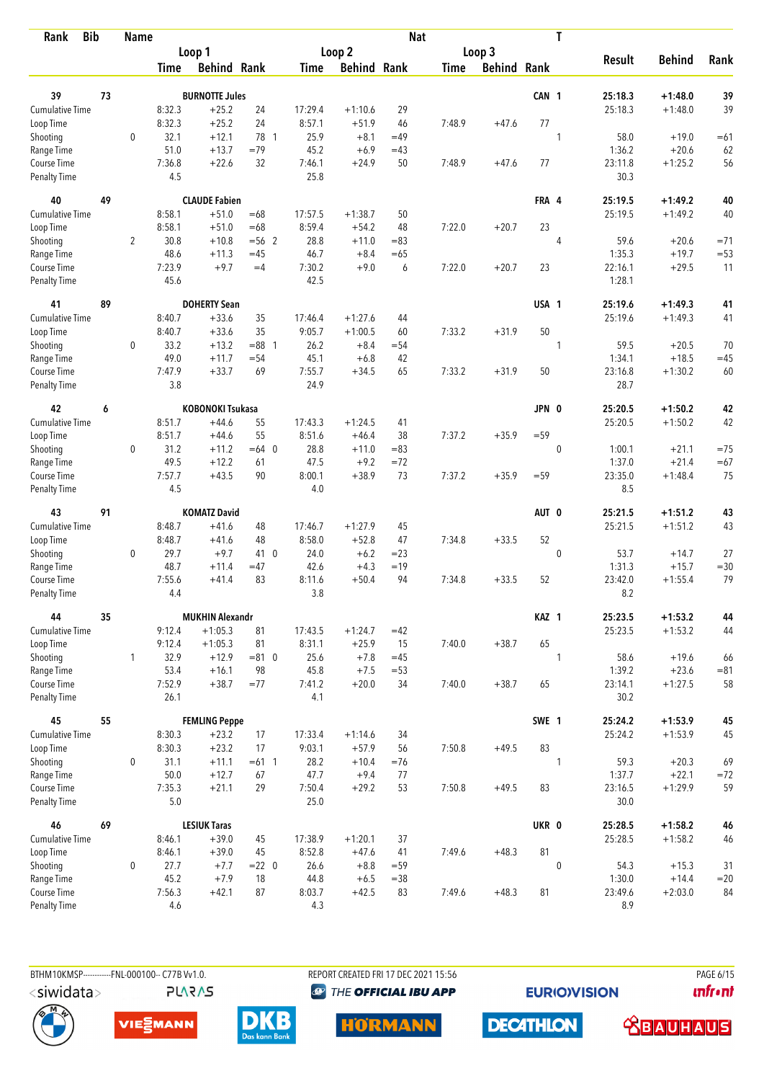| Rank                               | <b>Bib</b> | <b>Name</b>    |                |                         |              |                |                    | <b>Nat</b> |             |                    |                  | T              |                   |                      |        |
|------------------------------------|------------|----------------|----------------|-------------------------|--------------|----------------|--------------------|------------|-------------|--------------------|------------------|----------------|-------------------|----------------------|--------|
|                                    |            |                |                | Loop 1                  |              |                | Loop <sub>2</sub>  |            |             | Loop 3             |                  |                |                   |                      |        |
|                                    |            |                | <b>Time</b>    | <b>Behind Rank</b>      |              | <b>Time</b>    | <b>Behind Rank</b> |            | <b>Time</b> | <b>Behind Rank</b> |                  |                | <b>Result</b>     | <b>Behind</b>        | Rank   |
| 39                                 | 73         |                |                | <b>BURNOTTE Jules</b>   |              |                |                    |            |             |                    | CAN <sub>1</sub> |                | 25:18.3           | $+1:48.0$            | 39     |
| Cumulative Time                    |            |                | 8:32.3         | $+25.2$                 | 24           | 17:29.4        | $+1:10.6$          | 29         |             |                    |                  |                | 25:18.3           | $+1:48.0$            | 39     |
| Loop Time                          |            |                | 8:32.3         | $+25.2$                 | 24           | 8:57.1         | $+51.9$            | 46         | 7:48.9      | $+47.6$            | 77               |                |                   |                      |        |
| Shooting                           |            | $\mathbf 0$    | 32.1           | $+12.1$                 | 78 1         | 25.9           | $+8.1$             | $=49$      |             |                    |                  | $\mathbf{1}$   | 58.0              | $+19.0$              | $=61$  |
| Range Time                         |            |                | 51.0           | $+13.7$                 | $=79$        | 45.2           | $+6.9$             | $=43$      |             |                    |                  |                | 1:36.2            | $+20.6$              | 62     |
| Course Time                        |            |                | 7:36.8         | $+22.6$                 | 32           | 7:46.1         | $+24.9$            | 50         | 7:48.9      | $+47.6$            | 77               |                | 23:11.8           | $+1:25.2$            | 56     |
| <b>Penalty Time</b>                |            |                | 4.5            |                         |              | 25.8           |                    |            |             |                    |                  |                | 30.3              |                      |        |
| 40                                 | 49         |                |                | <b>CLAUDE Fabien</b>    |              |                |                    |            |             |                    | FRA 4            |                | 25:19.5           | $+1:49.2$            | 40     |
| Cumulative Time                    |            |                | 8:58.1         | $+51.0$                 | $=68$        | 17:57.5        | $+1:38.7$          | 50         |             |                    |                  |                | 25:19.5           | $+1:49.2$            | 40     |
| Loop Time                          |            |                | 8:58.1         | $+51.0$                 | $=68$        | 8:59.4         | $+54.2$            | 48         | 7:22.0      | $+20.7$            | 23               |                |                   |                      |        |
| Shooting                           |            | $\overline{2}$ | 30.8           | $+10.8$                 | $= 56$ 2     | 28.8           | $+11.0$            | $=83$      |             |                    |                  | $\overline{4}$ | 59.6              | $+20.6$              | $= 71$ |
| Range Time                         |            |                | 48.6           | $+11.3$                 | $=45$        | 46.7           | $+8.4$             | $=65$      |             |                    |                  |                | 1:35.3            | $+19.7$              | $= 53$ |
| Course Time                        |            |                | 7:23.9         | $+9.7$                  | $=4$         | 7:30.2         | $+9.0$             | 6          | 7:22.0      | $+20.7$            | 23               |                | 22:16.1           | $+29.5$              | 11     |
| <b>Penalty Time</b>                |            |                | 45.6           |                         |              | 42.5           |                    |            |             |                    |                  |                | 1:28.1            |                      |        |
| 41                                 | 89         |                |                | <b>DOHERTY Sean</b>     |              |                |                    |            |             |                    | USA 1            |                | 25:19.6           | $+1:49.3$            | 41     |
| Cumulative Time                    |            |                | 8:40.7         | $+33.6$                 | 35           | 17:46.4        | $+1:27.6$          | 44         |             |                    |                  |                | 25:19.6           | $+1:49.3$            | 41     |
| Loop Time                          |            |                | 8:40.7         | $+33.6$                 | 35           | 9:05.7         | $+1:00.5$          | 60         | 7:33.2      | $+31.9$            | 50               |                |                   |                      |        |
| Shooting                           |            | 0              | 33.2           | $+13.2$                 | $= 88$ 1     | 26.2           | $+8.4$             | $= 54$     |             |                    |                  | 1              | 59.5              | $+20.5$              | 70     |
| Range Time                         |            |                | 49.0           | $+11.7$                 | $= 54$       | 45.1           | $+6.8$             | 42         |             |                    |                  |                | 1:34.1            | $+18.5$              | $=45$  |
| Course Time<br><b>Penalty Time</b> |            |                | 7:47.9<br>3.8  | $+33.7$                 | 69           | 7:55.7<br>24.9 | $+34.5$            | 65         | 7:33.2      | $+31.9$            | 50               |                | 23:16.8<br>28.7   | $+1:30.2$            | 60     |
| 42                                 | 6          |                |                | <b>KOBONOKI Tsukasa</b> |              |                |                    |            |             |                    | JPN 0            |                | 25:20.5           | $+1:50.2$            | 42     |
| Cumulative Time                    |            |                | 8:51.7         | $+44.6$                 | 55           | 17:43.3        | $+1:24.5$          | 41         |             |                    |                  |                | 25:20.5           | $+1:50.2$            | 42     |
| Loop Time                          |            |                | 8:51.7         | $+44.6$                 | 55           | 8:51.6         | $+46.4$            | 38         | 7:37.2      | $+35.9$            | $= 59$           |                |                   |                      |        |
| Shooting                           |            | 0              | 31.2           | $+11.2$                 | $=64$ 0      | 28.8           | $+11.0$            | $= 83$     |             |                    |                  | $\mathbf 0$    | 1:00.1            | $+21.1$              | $=75$  |
| Range Time                         |            |                | 49.5           | $+12.2$                 | 61           | 47.5           | $+9.2$             | $=72$      |             |                    |                  |                | 1:37.0            | $+21.4$              | $=67$  |
| Course Time                        |            |                | 7:57.7         | $+43.5$                 | 90           | 8:00.1         | $+38.9$            | 73         | 7:37.2      | $+35.9$            | $= 59$           |                | 23:35.0           | $+1:48.4$            | 75     |
| <b>Penalty Time</b>                |            |                | 4.5            |                         |              | 4.0            |                    |            |             |                    |                  |                | 8.5               |                      |        |
| 43                                 | 91         |                |                | <b>KOMATZ David</b>     |              |                |                    |            |             |                    | AUT 0            |                | 25:21.5           | $+1:51.2$            | 43     |
| Cumulative Time                    |            |                | 8:48.7         | $+41.6$                 | 48           | 17:46.7        | $+1:27.9$          | 45         |             |                    |                  |                | 25:21.5           | $+1:51.2$            | 43     |
| Loop Time                          |            |                | 8:48.7         | $+41.6$                 | 48           | 8:58.0         | $+52.8$            | 47         | 7:34.8      | $+33.5$            | 52               |                |                   |                      |        |
| Shooting                           |            | 0              | 29.7           | $+9.7$                  | 41 0         | 24.0           | $+6.2$             | $= 23$     |             |                    |                  | $\mathbf 0$    | 53.7              | $+14.7$              | 27     |
| Range Time                         |            |                | 48.7           | $+11.4$                 | $=47$        | 42.6           | $+4.3$             | $=19$      |             |                    |                  |                | 1:31.3            | $+15.7$              | $= 30$ |
| Course Time                        |            |                | 7:55.6         | $+41.4$                 | 83           | 8:11.6         | $+50.4$            | 94         | 7:34.8      | $+33.5$            | 52               |                | 23:42.0           | $+1:55.4$            | 79     |
| <b>Penalty Time</b>                |            |                | 4.4            |                         |              | 3.8            |                    |            |             |                    |                  |                | 8.2               |                      |        |
| 44                                 | 35         |                |                | <b>MUKHIN Alexandr</b>  |              |                |                    |            |             |                    | KAZ 1            |                | 25:23.5           | $+1:53.2$            | 44     |
| <b>Cumulative Time</b>             |            |                | 9:12.4         | $+1:05.3$               | 81           | 17:43.5        | $+1:24.7$          | $=42$      |             |                    |                  |                | 25:23.5           | $+1:53.2$            | 44     |
| Loop Time                          |            |                | 9:12.4         | $+1:05.3$               | 81           | 8:31.1         | $+25.9$            | 15         | 7:40.0      | $+38.7$            | 65               |                |                   |                      |        |
| Shooting                           |            | $\mathbf{1}$   | 32.9           | $+12.9$                 | $= 81$ 0     | 25.6           | $+7.8$             | $=45$      |             |                    |                  | 1              | 58.6              | $+19.6$              | 66     |
| Range Time<br>Course Time          |            |                | 53.4<br>7:52.9 | $+16.1$<br>$+38.7$      | 98<br>$= 77$ | 45.8<br>7:41.2 | $+7.5$<br>$+20.0$  | $= 53$     |             |                    | 65               |                | 1:39.2<br>23:14.1 | $+23.6$<br>$+1:27.5$ | $= 81$ |
| Penalty Time                       |            |                | 26.1           |                         |              | 4.1            |                    | 34         | 7:40.0      | $+38.7$            |                  |                | 30.2              |                      | 58     |
| 45                                 | 55         |                |                | <b>FEMLING Peppe</b>    |              |                |                    |            |             |                    | SWE 1            |                | 25:24.2           | $+1:53.9$            | 45     |
| <b>Cumulative Time</b>             |            |                | 8:30.3         | $+23.2$                 | 17           | 17:33.4        | $+1:14.6$          | 34         |             |                    |                  |                | 25:24.2           | $+1:53.9$            | 45     |
| Loop Time                          |            |                | 8:30.3         | $+23.2$                 | 17           | 9:03.1         | $+57.9$            | 56         | 7:50.8      | $+49.5$            | 83               |                |                   |                      |        |
| Shooting                           |            | 0              | 31.1           | $+11.1$                 | $=61$ 1      | 28.2           | $+10.4$            | $=76$      |             |                    |                  | 1              | 59.3              | $+20.3$              | 69     |
| Range Time                         |            |                | 50.0           | $+12.7$                 | 67           | 47.7           | $+9.4$             | 77         |             |                    |                  |                | 1:37.7            | $+22.1$              | $= 72$ |
| Course Time                        |            |                | 7:35.3         | $+21.1$                 | 29           | 7:50.4         | $+29.2$            | 53         | 7:50.8      | $+49.5$            | 83               |                | 23:16.5           | $+1:29.9$            | 59     |
| Penalty Time                       |            |                | $5.0\,$        |                         |              | 25.0           |                    |            |             |                    |                  |                | 30.0              |                      |        |
| 46                                 | 69         |                |                | <b>LESIUK Taras</b>     |              |                |                    |            |             |                    | UKR 0            |                | 25:28.5           | $+1:58.2$            | 46     |
| <b>Cumulative Time</b>             |            |                | 8:46.1         | $+39.0$                 | 45           | 17:38.9        | $+1:20.1$          | 37         |             |                    |                  |                | 25:28.5           | $+1:58.2$            | 46     |
| Loop Time                          |            |                | 8:46.1         | $+39.0$                 | 45           | 8:52.8         | $+47.6$            | 41         | 7:49.6      | $+48.3$            | 81               |                |                   |                      |        |
| Shooting                           |            | 0              | 27.7           | $+7.7$                  | $= 22 \ 0$   | 26.6           | $+8.8$             | $= 59$     |             |                    |                  | $\mathbf{0}$   | 54.3              | $+15.3$              | 31     |
| Range Time                         |            |                | 45.2           | $+7.9$                  | 18           | 44.8           | $+6.5$             | $= 38$     |             |                    |                  |                | 1:30.0            | $+14.4$              | $=20$  |
| Course Time                        |            |                | 7:56.3         | $+42.1$                 | 87           | 8:03.7         | $+42.5$            | 83         | 7:49.6      | $+48.3$            | 81               |                | 23:49.6           | $+2:03.0$            | 84     |
| Penalty Time                       |            |                | 4.6            |                         |              | 4.3            |                    |            |             |                    |                  |                | 8.9               |                      |        |

BTHM10KMSP------------FNL-000100-- C77B Vv1.0. **PLARAS**  REPORT CREATED FRI 17 DEC 2021 15:56 **<sup><sup>3</sup>** THE OFFICIAL IBU APP</sup>

**EURIOVISION** 

PAGE 6/15 *<u><u>Infront</u>*</u>







**HORMANN** 



 **<u>CBAUHAUS</u>**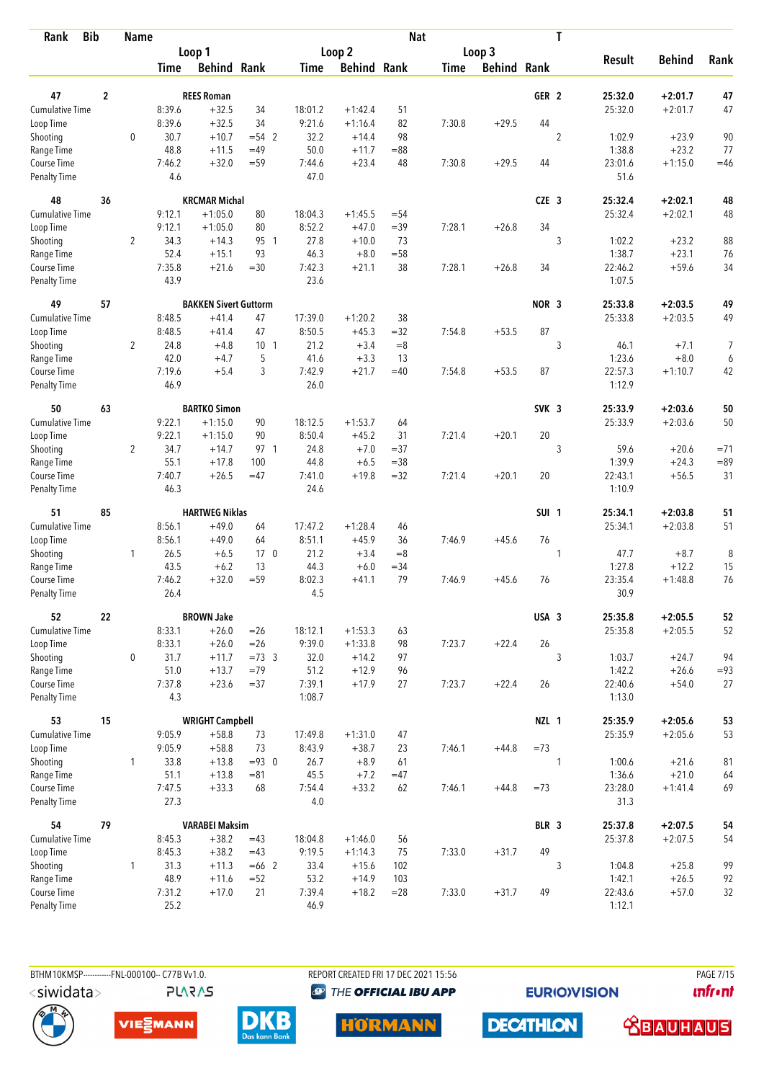| <b>Bib</b><br>Rank          |                         | <b>Name</b>    |                  |                              |                 |                |                      | <b>Nat</b>    |             |                    |                  | T              |                 |                  |        |
|-----------------------------|-------------------------|----------------|------------------|------------------------------|-----------------|----------------|----------------------|---------------|-------------|--------------------|------------------|----------------|-----------------|------------------|--------|
|                             |                         |                |                  | Loop 1                       |                 |                | Loop 2               |               |             | Loop 3             |                  |                |                 |                  |        |
|                             |                         |                | Time             | <b>Behind Rank</b>           |                 | Time           | <b>Behind Rank</b>   |               | <b>Time</b> | <b>Behind Rank</b> |                  |                | <b>Result</b>   | <b>Behind</b>    | Rank   |
| 47                          | $\overline{\mathbf{2}}$ |                |                  | <b>REES Roman</b>            |                 |                |                      |               |             |                    | GER <sub>2</sub> |                | 25:32.0         | $+2:01.7$        | 47     |
| Cumulative Time             |                         |                | 8:39.6           | $+32.5$                      | 34              | 18:01.2        | $+1:42.4$            | 51            |             |                    |                  |                | 25:32.0         | $+2:01.7$        | 47     |
| Loop Time                   |                         |                | 8:39.6           | $+32.5$                      | 34              | 9:21.6         | $+1:16.4$            | 82            | 7:30.8      | $+29.5$            | 44               |                |                 |                  |        |
| Shooting                    |                         | 0              | 30.7             | $+10.7$                      | $= 54$ 2        | 32.2           | $+14.4$              | 98            |             |                    |                  | $\overline{2}$ | 1:02.9          | $+23.9$          | 90     |
| Range Time                  |                         |                | 48.8             | $+11.5$                      | $=49$           | 50.0           | $+11.7$              | $= 88$        |             |                    |                  |                | 1:38.8          | $+23.2$          | 77     |
| Course Time                 |                         |                | 7:46.2           | $+32.0$                      | $= 59$          | 7:44.6         | $+23.4$              | 48            | 7:30.8      | $+29.5$            | 44               |                | 23:01.6         | $+1:15.0$        | $=46$  |
| <b>Penalty Time</b>         |                         |                | 4.6              |                              |                 | 47.0           |                      |               |             |                    |                  |                | 51.6            |                  |        |
| 48                          | 36                      |                |                  | <b>KRCMAR Michal</b>         |                 |                |                      |               |             |                    | $CZE$ 3          |                | 25:32.4         | $+2:02.1$        | 48     |
| Cumulative Time             |                         |                | 9:12.1           | $+1:05.0$                    | 80              | 18:04.3        | $+1:45.5$            | $= 54$        |             |                    |                  |                | 25:32.4         | $+2:02.1$        | 48     |
| Loop Time                   |                         |                | 9:12.1           | $+1:05.0$                    | 80              | 8:52.2         | $+47.0$              | $=39$         | 7:28.1      | $+26.8$            | 34               |                |                 |                  |        |
| Shooting                    |                         | 2              | 34.3             | $+14.3$                      | 95 1            | 27.8           | $+10.0$              | 73            |             |                    |                  | 3              | 1:02.2          | $+23.2$          | 88     |
| Range Time                  |                         |                | 52.4             | $+15.1$                      | 93              | 46.3           | $+8.0$               | $= 58$        |             |                    |                  |                | 1:38.7          | $+23.1$          | 76     |
| Course Time                 |                         |                | 7:35.8           | $+21.6$                      | $=30$           | 7:42.3         | $+21.1$              | 38            | 7:28.1      | $+26.8$            | 34               |                | 22:46.2         | $+59.6$          | 34     |
| <b>Penalty Time</b>         |                         |                | 43.9             |                              |                 | 23.6           |                      |               |             |                    |                  |                | 1:07.5          |                  |        |
| 49                          | 57                      |                |                  | <b>BAKKEN Sivert Guttorm</b> |                 |                |                      |               |             |                    | NOR <sub>3</sub> |                | 25:33.8         | $+2:03.5$        | 49     |
| <b>Cumulative Time</b>      |                         |                | 8:48.5<br>8:48.5 | $+41.4$                      | 47<br>47        | 17:39.0        | $+1:20.2$<br>$+45.3$ | 38            | 7:54.8      | $+53.5$            | 87               |                | 25:33.8         | $+2:03.5$        | 49     |
| Loop Time                   |                         |                | 24.8             | $+41.4$<br>$+4.8$            | 10 <sub>1</sub> | 8:50.5<br>21.2 | $+3.4$               | $=32$<br>$=8$ |             |                    |                  |                |                 |                  |        |
| Shooting<br>Range Time      |                         | $\overline{2}$ | 42.0             | $+4.7$                       | 5               | 41.6           | $+3.3$               | 13            |             |                    |                  | 3              | 46.1<br>1:23.6  | $+7.1$<br>$+8.0$ | 7<br>6 |
| Course Time                 |                         |                | 7:19.6           | $+5.4$                       | 3               | 7:42.9         | $+21.7$              | $=40$         | 7:54.8      | $+53.5$            | 87               |                | 22:57.3         | $+1:10.7$        | 42     |
| Penalty Time                |                         |                | 46.9             |                              |                 | 26.0           |                      |               |             |                    |                  |                | 1:12.9          |                  |        |
| 50                          | 63                      |                |                  | <b>BARTKO Simon</b>          |                 |                |                      |               |             |                    | SVK <sub>3</sub> |                | 25:33.9         | $+2:03.6$        | 50     |
| Cumulative Time             |                         |                | 9:22.1           | $+1:15.0$                    | 90              | 18:12.5        | $+1:53.7$            | 64            |             |                    |                  |                | 25:33.9         | $+2:03.6$        | 50     |
| Loop Time                   |                         |                | 9:22.1           | $+1:15.0$                    | 90              | 8:50.4         | $+45.2$              | 31            | 7:21.4      | $+20.1$            | 20               |                |                 |                  |        |
| Shooting                    |                         | $\overline{2}$ | 34.7             | $+14.7$                      | 97 1            | 24.8           | $+7.0$               | $= 37$        |             |                    |                  | 3              | 59.6            | $+20.6$          | $=71$  |
| Range Time                  |                         |                | 55.1             | $+17.8$                      | 100             | 44.8           | $+6.5$               | $= 38$        |             |                    |                  |                | 1:39.9          | $+24.3$          | $= 89$ |
| Course Time                 |                         |                | 7:40.7           | $+26.5$                      | $=47$           | 7:41.0         | $+19.8$              | $= 32$        | 7:21.4      | $+20.1$            | 20               |                | 22:43.1         | $+56.5$          | 31     |
| <b>Penalty Time</b>         |                         |                | 46.3             |                              |                 | 24.6           |                      |               |             |                    |                  |                | 1:10.9          |                  |        |
| 51                          | 85                      |                |                  | <b>HARTWEG Niklas</b>        |                 |                |                      |               |             |                    | SUI <sub>1</sub> |                | 25:34.1         | $+2:03.8$        | 51     |
| <b>Cumulative Time</b>      |                         |                | 8:56.1           | $+49.0$                      | 64              | 17:47.2        | $+1:28.4$            | 46            |             |                    |                  |                | 25:34.1         | $+2:03.8$        | 51     |
| Loop Time                   |                         |                | 8:56.1           | $+49.0$                      | 64              | 8:51.1         | $+45.9$              | 36            | 7:46.9      | $+45.6$            | 76               |                |                 |                  |        |
| Shooting                    |                         | 1              | 26.5             | $+6.5$                       | 17 <sub>0</sub> | 21.2           | $+3.4$               | $= 8$         |             |                    |                  | 1              | 47.7            | $+8.7$           | 8      |
| Range Time                  |                         |                | 43.5             | $+6.2$                       | 13              | 44.3           | $+6.0$               | $=34$         |             |                    |                  |                | 1:27.8          | $+12.2$          | 15     |
| Course Time<br>Penalty Time |                         |                | 7:46.2<br>26.4   | $+32.0$                      | $= 59$          | 8:02.3<br>4.5  | $+41.1$              | 79            | 7:46.9      | $+45.6$            | 76               |                | 23:35.4<br>30.9 | $+1:48.8$        | 76     |
| 52                          | 22                      |                |                  | <b>BROWN Jake</b>            |                 |                |                      |               |             |                    | USA 3            |                | 25:35.8         | $+2:05.5$        | 52     |
| Cumulative Time             |                         |                | 8:33.1           | $+26.0$                      | $=26$           | 18:12.1        | $+1:53.3$            | 63            |             |                    |                  |                | 25:35.8         | $+2:05.5$        | 52     |
| Loop Time                   |                         |                | 8:33.1           | $+26.0$                      | $=26$           | 9:39.0         | $+1:33.8$            | 98            | 7:23.7      | $+22.4$            | 26               |                |                 |                  |        |
| Shooting                    |                         | $\mathbf 0$    | 31.7             | $+11.7$                      | $=73.3$         | 32.0           | $+14.2$              | 97            |             |                    |                  | 3              | 1:03.7          | $+24.7$          | 94     |
| Range Time                  |                         |                | 51.0             | $+13.7$                      | $=79$           | 51.2           | $+12.9$              | 96            |             |                    |                  |                | 1:42.2          | $+26.6$          | $= 93$ |
| Course Time                 |                         |                | 7:37.8           | $+23.6$                      | $= 37$          | 7:39.1         | $+17.9$              | 27            | 7:23.7      | $+22.4$            | 26               |                | 22:40.6         | $+54.0$          | 27     |
| Penalty Time                |                         |                | 4.3              |                              |                 | 1:08.7         |                      |               |             |                    |                  |                | 1:13.0          |                  |        |
| 53                          | 15                      |                |                  | <b>WRIGHT Campbell</b>       |                 |                |                      |               |             |                    | NZL 1            |                | 25:35.9         | $+2:05.6$        | 53     |
| Cumulative Time             |                         |                | 9:05.9           | $+58.8$                      | 73              | 17:49.8        | $+1:31.0$            | 47            |             |                    |                  |                | 25:35.9         | $+2:05.6$        | 53     |
| Loop Time                   |                         |                | 9:05.9           | $+58.8$                      | 73              | 8:43.9         | $+38.7$              | 23            | 7:46.1      | $+44.8$            | $=73$            |                |                 |                  |        |
| Shooting                    |                         | 1              | 33.8             | $+13.8$                      | $= 93.0$        | 26.7           | $+8.9$               | 61            |             |                    |                  | 1              | 1:00.6          | $+21.6$          | 81     |
| Range Time                  |                         |                | 51.1             | $+13.8$                      | $= 81$          | 45.5           | $+7.2$               | $=47$         |             |                    |                  |                | 1:36.6          | $+21.0$          | 64     |
| Course Time<br>Penalty Time |                         |                | 7:47.5<br>27.3   | $+33.3$                      | 68              | 7:54.4<br>4.0  | $+33.2$              | 62            | 7:46.1      | $+44.8$            | $=73$            |                | 23:28.0<br>31.3 | $+1:41.4$        | 69     |
| 54                          | 79                      |                |                  | <b>VARABEI Maksim</b>        |                 |                |                      |               |             |                    | BLR 3            |                | 25:37.8         | $+2:07.5$        | 54     |
| Cumulative Time             |                         |                | 8:45.3           | $+38.2$                      | $=43$           | 18:04.8        | $+1:46.0$            | 56            |             |                    |                  |                | 25:37.8         | $+2:07.5$        | 54     |
| Loop Time                   |                         |                | 8:45.3           | $+38.2$                      | $=43$           | 9:19.5         | $+1:14.3$            | 75            | 7:33.0      | $+31.7$            | 49               |                |                 |                  |        |
| Shooting                    |                         | $\mathbf{1}$   | 31.3             | $+11.3$                      | $= 66$ 2        | 33.4           | $+15.6$              | 102           |             |                    |                  | 3              | 1:04.8          | $+25.8$          | 99     |
| Range Time                  |                         |                | 48.9             | $+11.6$                      | $=52$           | 53.2           | $+14.9$              | 103           |             |                    |                  |                | 1:42.1          | $+26.5$          | 92     |
| Course Time                 |                         |                | 7:31.2           | $+17.0$                      | 21              | 7:39.4         | $+18.2$              | $= 28$        | 7:33.0      | $+31.7$            | 49               |                | 22:43.6         | $+57.0$          | 32     |
| <b>Penalty Time</b>         |                         |                | 25.2             |                              |                 | 46.9           |                      |               |             |                    |                  |                | 1:12.1          |                  |        |

BTHM10KMSP------------FNL-000100-- C77B Vv1.0. **PLARAS**  REPORT CREATED FRI 17 DEC 2021 15:56 **<sup><sup>3</sup>** THE OFFICIAL IBU APP</sup>

**EURIOVISION** 

**PAGE 7/15** *<u><u>Infront</u>*</u>









**DECATHLON** 

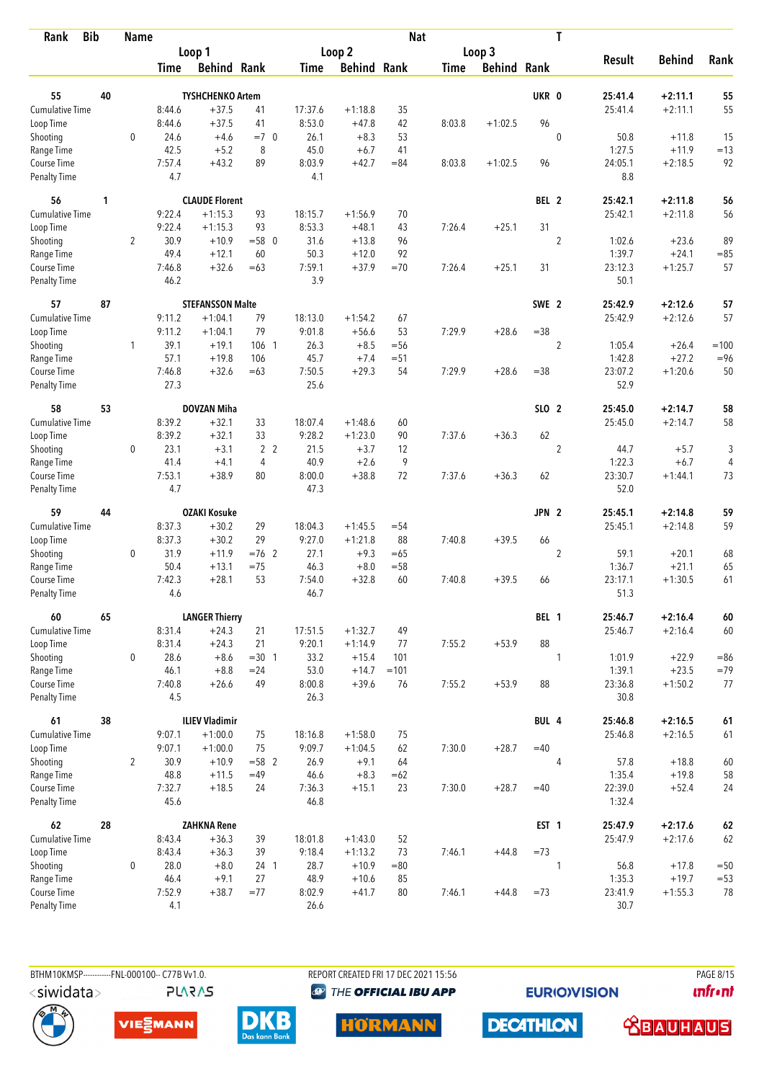| <b>Bib</b><br>Rank                 |    | <b>Name</b>    |                |                         |                |                |                    | <b>Nat</b> |             |                    |                  | T              |                   |               |        |
|------------------------------------|----|----------------|----------------|-------------------------|----------------|----------------|--------------------|------------|-------------|--------------------|------------------|----------------|-------------------|---------------|--------|
|                                    |    |                |                | Loop 1                  |                |                | Loop 2             |            |             | Loop 3             |                  |                |                   |               |        |
|                                    |    |                | Time           | <b>Behind Rank</b>      |                | Time           | <b>Behind Rank</b> |            | <b>Time</b> | <b>Behind Rank</b> |                  |                | <b>Result</b>     | <b>Behind</b> | Rank   |
| 55                                 | 40 |                |                | <b>TYSHCHENKO Artem</b> |                |                |                    |            |             |                    | UKR 0            |                | 25:41.4           | $+2:11.1$     | 55     |
| <b>Cumulative Time</b>             |    |                | 8:44.6         | $+37.5$                 | 41             | 17:37.6        | $+1:18.8$          | 35         |             |                    |                  |                | 25:41.4           | $+2:11.1$     | 55     |
| Loop Time                          |    |                | 8:44.6         | $+37.5$                 | 41             | 8:53.0         | $+47.8$            | 42         | 8:03.8      | $+1:02.5$          | 96               |                |                   |               |        |
|                                    |    | 0              | 24.6           | $+4.6$                  | $=7$ 0         | 26.1           | $+8.3$             | 53         |             |                    |                  | $\mathbf 0$    | 50.8              | $+11.8$       | 15     |
| Shooting<br>Range Time             |    |                | 42.5           | $+5.2$                  | 8              | 45.0           | $+6.7$             | 41         |             |                    |                  |                | 1:27.5            | $+11.9$       | $=13$  |
| Course Time                        |    |                | 7:57.4         | $+43.2$                 | 89             | 8:03.9         | $+42.7$            | $= 84$     | 8:03.8      | $+1:02.5$          | 96               |                | 24:05.1           | $+2:18.5$     | 92     |
| <b>Penalty Time</b>                |    |                | 4.7            |                         |                | 4.1            |                    |            |             |                    |                  |                | 8.8               |               |        |
| 56                                 | 1  |                |                | <b>CLAUDE Florent</b>   |                |                |                    |            |             |                    | BEL 2            |                | 25:42.1           | $+2:11.8$     | 56     |
| Cumulative Time                    |    |                | 9:22.4         | $+1:15.3$               | 93             | 18:15.7        | $+1:56.9$          | 70         |             |                    |                  |                | 25:42.1           | $+2:11.8$     | 56     |
| Loop Time                          |    |                | 9:22.4         | $+1:15.3$               | 93             | 8:53.3         | $+48.1$            | 43         | 7:26.4      | $+25.1$            | 31               |                |                   |               |        |
| Shooting                           |    | 2              | 30.9           | $+10.9$                 | $= 580$        | 31.6           | $+13.8$            | 96         |             |                    |                  | $\overline{2}$ | 1:02.6            | $+23.6$       | 89     |
| Range Time                         |    |                | 49.4           | $+12.1$                 | 60             | 50.3           | $+12.0$            | 92         |             |                    |                  |                | 1:39.7            | $+24.1$       | $= 85$ |
| Course Time                        |    |                | 7:46.8         | $+32.6$                 | $=63$          | 7:59.1         | $+37.9$            | $=70$      | 7:26.4      | $+25.1$            | 31               |                | 23:12.3           | $+1:25.7$     | 57     |
| Penalty Time                       |    |                | 46.2           |                         |                | 3.9            |                    |            |             |                    |                  |                | 50.1              |               |        |
| 57                                 | 87 |                |                | <b>STEFANSSON Malte</b> |                |                |                    |            |             |                    | SWE 2            |                | 25:42.9           | $+2:12.6$     | 57     |
| Cumulative Time                    |    |                | 9:11.2         | $+1:04.1$               | 79             | 18:13.0        | $+1:54.2$          | 67         |             |                    |                  |                | 25:42.9           | $+2:12.6$     | 57     |
| Loop Time                          |    |                | 9:11.2         | $+1:04.1$               | 79             | 9:01.8         | $+56.6$            | 53         | 7:29.9      | $+28.6$            | $= 38$           |                |                   |               |        |
| Shooting                           |    | 1              | 39.1           | $+19.1$                 | 106 1          | 26.3           | $+8.5$             | $=$ 56     |             |                    |                  | $\sqrt{2}$     | 1:05.4            | $+26.4$       | $=100$ |
| Range Time                         |    |                | 57.1           | $+19.8$                 | 106            | 45.7           | $+7.4$             | $= 51$     |             |                    |                  |                | 1:42.8            | $+27.2$       | $= 96$ |
| Course Time                        |    |                | 7:46.8         | $+32.6$                 | $=63$          | 7:50.5         | $+29.3$            | 54         | 7:29.9      | $+28.6$            | $= 38$           |                | 23:07.2           | $+1:20.6$     | 50     |
| Penalty Time                       |    |                | 27.3           |                         |                | 25.6           |                    |            |             |                    |                  |                | 52.9              |               |        |
| 58                                 | 53 |                |                | <b>DOVZAN Miha</b>      |                |                |                    |            |             |                    | SLO 2            |                | 25:45.0           | $+2:14.7$     | 58     |
| <b>Cumulative Time</b>             |    |                | 8:39.2         | $+32.1$                 | 33             | 18:07.4        | $+1:48.6$          | 60         |             |                    |                  |                | 25:45.0           | $+2:14.7$     | 58     |
| Loop Time                          |    |                | 8:39.2         | $+32.1$                 | 33             | 9:28.2         | $+1:23.0$          | 90         | 7:37.6      | $+36.3$            | 62               |                |                   |               |        |
| Shooting                           |    | 0              | 23.1           | $+3.1$                  | 2 <sub>2</sub> | 21.5           | $+3.7$             | 12         |             |                    |                  | $\overline{2}$ | 44.7              | $+5.7$        | 3      |
| Range Time                         |    |                | 41.4           | $+4.1$                  | 4              | 40.9           | $+2.6$             | 9          |             |                    |                  |                | 1:22.3            | $+6.7$        | 4      |
| Course Time                        |    |                | 7:53.1         | $+38.9$                 | 80             | 8:00.0         | $+38.8$            | 72         | 7:37.6      | $+36.3$            | 62               |                | 23:30.7           | $+1:44.1$     | 73     |
| <b>Penalty Time</b>                |    |                | 4.7            |                         |                | 47.3           |                    |            |             |                    |                  |                | 52.0              |               |        |
| 59                                 | 44 |                |                | <b>OZAKI Kosuke</b>     |                |                |                    |            |             |                    | JPN <sub>2</sub> |                | 25:45.1           | $+2:14.8$     | 59     |
| Cumulative Time                    |    |                | 8:37.3         | $+30.2$                 | 29             | 18:04.3        | $+1:45.5$          | $= 54$     |             |                    |                  |                | 25:45.1           | $+2:14.8$     | 59     |
| Loop Time                          |    |                | 8:37.3         | $+30.2$                 | 29             | 9:27.0         | $+1:21.8$          | 88         | 7:40.8      | $+39.5$            | 66               |                |                   |               |        |
| Shooting                           |    | 0              | 31.9           | $+11.9$                 | $=76$ 2        | 27.1           | $+9.3$             | $=65$      |             |                    |                  | $\overline{2}$ | 59.1              | $+20.1$       | 68     |
| Range Time                         |    |                | 50.4           | $+13.1$                 | $= 75$         | 46.3           | $+8.0$             | $= 58$     |             |                    |                  |                | 1:36.7            | $+21.1$       | 65     |
| Course Time<br><b>Penalty Time</b> |    |                | 7:42.3<br>4.6  | $+28.1$                 | 53             | 7:54.0<br>46.7 | $+32.8$            | 60         | 7:40.8      | $+39.5$            | 66               |                | 23:17.1<br>51.3   | $+1:30.5$     | 61     |
|                                    |    |                |                |                         |                |                |                    |            |             |                    |                  |                |                   |               |        |
| 60                                 | 65 |                |                | <b>LANGER Thierry</b>   |                |                |                    |            |             |                    | BEL 1            |                | 25:46.7           | $+2:16.4$     | 60     |
| <b>Cumulative Time</b>             |    |                | 8:31.4         | $+24.3$                 | 21             | 17:51.5        | $+1:32.7$          | 49         |             |                    |                  |                | 25:46.7           | $+2:16.4$     | 60     |
| Loop Time                          |    |                | 8:31.4         | $+24.3$                 | 21             | 9:20.1         | $+1:14.9$          | 77         | 7:55.2      | $+53.9$            | 88               |                |                   |               |        |
| Shooting                           |    | 0              | 28.6           | $+8.6$                  | $=30$ 1        | 33.2           | $+15.4$            | 101        |             |                    |                  | 1              | 1:01.9            | $+22.9$       | $= 86$ |
| Range Time                         |    |                | 46.1           | $+8.8$                  | $= 24$         | 53.0           | $+14.7$            | $=101$     |             |                    |                  |                | 1:39.1            | $+23.5$       | $=79$  |
| Course Time<br>Penalty Time        |    |                | 7:40.8<br>4.5  | $+26.6$                 | 49             | 8:00.8<br>26.3 | $+39.6$            | 76         | 7:55.2      | $+53.9$            | 88               |                | 23:36.8<br>30.8   | $+1:50.2$     | 77     |
|                                    |    |                |                |                         |                |                |                    |            |             |                    |                  |                |                   |               |        |
| 61<br><b>Cumulative Time</b>       | 38 |                |                | <b>ILIEV Vladimir</b>   |                |                |                    |            |             |                    | BUL 4            |                | 25:46.8           | $+2:16.5$     | $61\,$ |
|                                    |    |                | 9:07.1         | $+1:00.0$               | 75<br>75       | 18:16.8        | $+1:58.0$          | 75         |             |                    | $=40$            |                | 25:46.8           | $+2:16.5$     | 61     |
| Loop Time                          |    |                | 9:07.1         | $+1:00.0$               |                | 9:09.7         | $+1:04.5$          | 62         | 7:30.0      | $+28.7$            |                  |                |                   |               |        |
| Shooting                           |    | $\overline{2}$ | 30.9           | $+10.9$                 | $= 58$ 2       | 26.9           | $+9.1$             | 64         |             |                    |                  | 4              | 57.8              | $+18.8$       | 60     |
| Range Time<br>Course Time          |    |                | 48.8           | $+11.5$                 | $=49$          | 46.6           | $+8.3$             | $=62$      |             | $+28.7$            |                  |                | 1:35.4            | $+19.8$       | 58     |
| Penalty Time                       |    |                | 7:32.7<br>45.6 | $+18.5$                 | 24             | 7:36.3<br>46.8 | $+15.1$            | 23         | 7:30.0      |                    | $=40$            |                | 22:39.0<br>1:32.4 | $+52.4$       | 24     |
| 62                                 | 28 |                |                | <b>ZAHKNA Rene</b>      |                |                |                    |            |             |                    | EST <sub>1</sub> |                | 25:47.9           | $+2:17.6$     | 62     |
| Cumulative Time                    |    |                | 8:43.4         | $+36.3$                 | 39             | 18:01.8        | $+1:43.0$          | 52         |             |                    |                  |                | 25:47.9           | $+2:17.6$     | 62     |
| Loop Time                          |    |                | 8:43.4         | $+36.3$                 | 39             | 9:18.4         | $+1:13.2$          | 73         | 7:46.1      | $+44.8$            | $=73$            |                |                   |               |        |
| Shooting                           |    | $\mathbf 0$    | 28.0           | $+8.0$                  | 24 1           | 28.7           | $+10.9$            | $= 80$     |             |                    |                  | 1              | 56.8              | $+17.8$       | $=50$  |
| Range Time                         |    |                | 46.4           | $+9.1$                  | 27             | 48.9           | $+10.6$            | 85         |             |                    |                  |                | 1:35.3            | $+19.7$       | $= 53$ |
| Course Time                        |    |                | 7:52.9         | $+38.7$                 | $= 77$         | 8:02.9         | $+41.7$            | 80         | 7:46.1      | $+44.8$            | $=73$            |                | 23:41.9           | $+1:55.3$     | 78     |
| Penalty Time                       |    |                | 4.1            |                         |                | 26.6           |                    |            |             |                    |                  |                | 30.7              |               |        |

BTHM10KMSP------------FNL-000100-- C77B Vv1.0. **PLARAS**  REPORT CREATED FRI 17 DEC 2021 15:56 **<sup><sup>3</sup>** THE OFFICIAL IBU APP</sup>

**EURIOVISION** 

**PAGE 8/15** *<u><u>Infront</u>*</u>









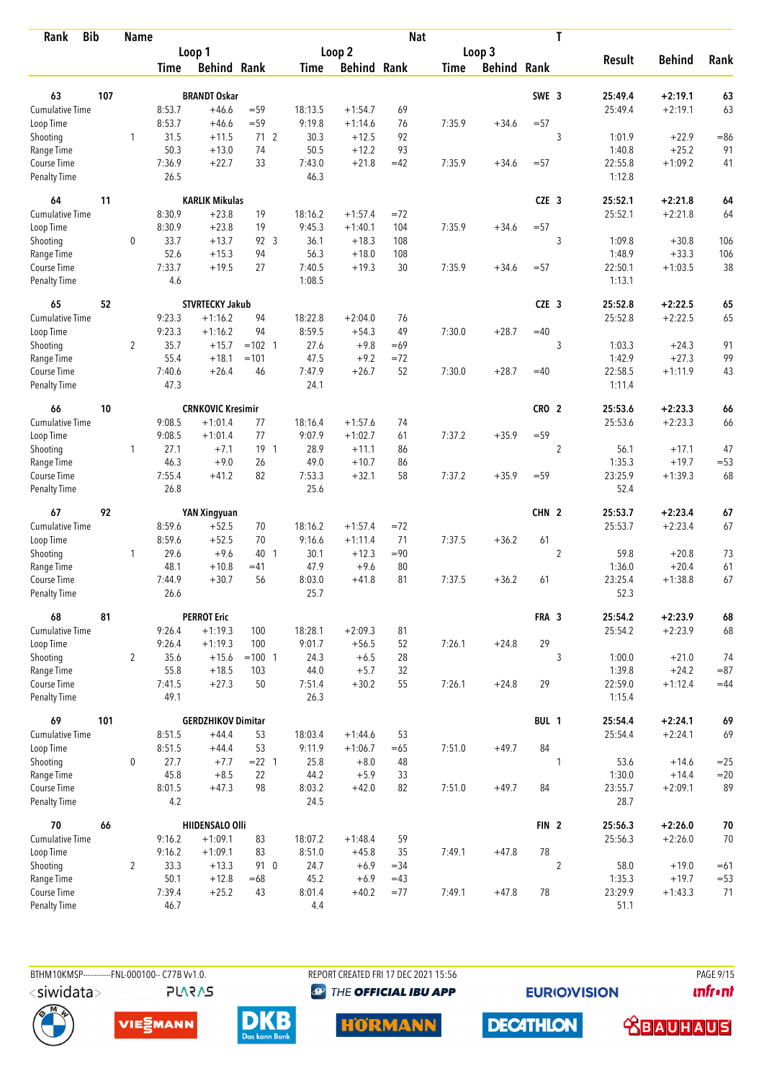| Rank                        | <b>Bib</b> | <b>Name</b>    |                |                           |                |                |                    | <b>Nat</b> |             |                    |                  | T              |                   |               |            |
|-----------------------------|------------|----------------|----------------|---------------------------|----------------|----------------|--------------------|------------|-------------|--------------------|------------------|----------------|-------------------|---------------|------------|
|                             |            |                |                | Loop 1                    |                |                | Loop 2             |            |             | Loop 3             |                  |                |                   |               |            |
|                             |            |                | Time           | <b>Behind Rank</b>        |                | Time           | <b>Behind Rank</b> |            | <b>Time</b> | <b>Behind Rank</b> |                  |                | <b>Result</b>     | <b>Behind</b> | Rank       |
| 63                          | 107        |                |                | <b>BRANDT Oskar</b>       |                |                |                    |            |             |                    | SWE 3            |                | 25:49.4           | $+2:19.1$     | 63         |
| <b>Cumulative Time</b>      |            |                | 8:53.7         | $+46.6$                   | $= 59$         | 18:13.5        | $+1:54.7$          | 69         |             |                    |                  |                | 25:49.4           | $+2:19.1$     | 63         |
| Loop Time                   |            |                | 8:53.7         | $+46.6$                   | $= 59$         | 9:19.8         | $+1:14.6$          | 76         | 7:35.9      | $+34.6$            | $= 57$           |                |                   |               |            |
| Shooting                    |            | 1              | 31.5           | $+11.5$                   | 712            | 30.3           | $+12.5$            | 92         |             |                    |                  | 3              | 1:01.9            | $+22.9$       | $=86$      |
| Range Time                  |            |                | 50.3           | $+13.0$                   | 74             | 50.5           | $+12.2$            | 93         |             |                    |                  |                | 1:40.8            | $+25.2$       | 91         |
| Course Time                 |            |                | 7:36.9         | $+22.7$                   | 33             | 7:43.0         | $+21.8$            | $=42$      | 7:35.9      | $+34.6$            | $= 57$           |                | 22:55.8           | $+1:09.2$     | 41         |
| <b>Penalty Time</b>         |            |                | 26.5           |                           |                | 46.3           |                    |            |             |                    |                  |                | 1:12.8            |               |            |
| 64                          | 11         |                |                | <b>KARLIK Mikulas</b>     |                |                |                    |            |             |                    | CZE <sub>3</sub> |                | 25:52.1           | $+2:21.8$     | 64         |
| Cumulative Time             |            |                | 8:30.9         | $+23.8$                   | 19             | 18:16.2        | $+1:57.4$          | $=72$      |             |                    |                  |                | 25:52.1           | $+2:21.8$     | 64         |
| Loop Time                   |            |                | 8:30.9         | $+23.8$                   | 19             | 9:45.3         | $+1:40.1$          | 104        | 7:35.9      | $+34.6$            | $= 57$           |                |                   |               |            |
| Shooting                    |            | 0              | 33.7           | $+13.7$                   | 92 3           | 36.1           | $+18.3$            | 108        |             |                    |                  | 3              | 1:09.8            | $+30.8$       | 106        |
| Range Time                  |            |                | 52.6           | $+15.3$                   | 94             | 56.3           | $+18.0$            | 108        |             |                    |                  |                | 1:48.9            | $+33.3$       | 106        |
| Course Time                 |            |                | 7:33.7         | $+19.5$                   | 27             | 7:40.5         | $+19.3$            | 30         | 7:35.9      | $+34.6$            | $= 57$           |                | 22:50.1           | $+1:03.5$     | 38         |
| Penalty Time                |            |                | 4.6            |                           |                | 1:08.5         |                    |            |             |                    |                  |                | 1:13.1            |               |            |
| 65                          | 52         |                |                | <b>STVRTECKY Jakub</b>    |                |                |                    |            |             |                    | CZE <sub>3</sub> |                | 25:52.8           | $+2:22.5$     | 65         |
| Cumulative Time             |            |                | 9:23.3         | $+1:16.2$                 | 94             | 18:22.8        | $+2:04.0$          | 76         |             |                    |                  |                | 25:52.8           | $+2:22.5$     | 65         |
| Loop Time                   |            |                | 9:23.3         | $+1:16.2$                 | 94             | 8:59.5         | $+54.3$            | 49         | 7:30.0      | $+28.7$            | $=40$            |                |                   |               |            |
| Shooting                    |            | $\overline{2}$ | 35.7           | $+15.7$                   | $=102$ 1       | 27.6           | $+9.8$             | $=69$      |             |                    |                  | 3              | 1:03.3            | $+24.3$       | 91         |
| Range Time                  |            |                | 55.4           | $+18.1$                   | $=101$         | 47.5           | $+9.2$             | $=72$      |             |                    |                  |                | 1:42.9            | $+27.3$       | 99         |
| Course Time                 |            |                | 7:40.6         | $+26.4$                   | 46             | 7:47.9         | $+26.7$            | 52         | 7:30.0      | $+28.7$            | $=40$            |                | 22:58.5           | $+1:11.9$     | 43         |
| Penalty Time                |            |                | 47.3           |                           |                | 24.1           |                    |            |             |                    |                  |                | 1:11.4            |               |            |
| 66                          | 10         |                |                | <b>CRNKOVIC Kresimir</b>  |                |                |                    |            |             |                    | CRO <sub>2</sub> |                | 25:53.6           | $+2:23.3$     | 66         |
| Cumulative Time             |            |                | 9:08.5         | $+1:01.4$                 | 77             | 18:16.4        | $+1:57.6$          | 74         |             |                    |                  |                | 25:53.6           | $+2:23.3$     | 66         |
| Loop Time                   |            |                | 9:08.5         | $+1:01.4$                 | 77             | 9:07.9         | $+1:02.7$          | 61         | 7:37.2      | $+35.9$            | $= 59$           |                |                   |               |            |
| Shooting                    |            | $\mathbf{1}$   | 27.1           | $+7.1$                    | $19-1$         | 28.9           | $+11.1$            | 86         |             |                    |                  | $\overline{2}$ | 56.1              | $+17.1$       | 47         |
| Range Time                  |            |                | 46.3           | $+9.0$                    | 26             | 49.0           | $+10.7$            | 86         |             |                    |                  |                | 1:35.3            | $+19.7$       | $= 53$     |
| Course Time                 |            |                | 7:55.4         | $+41.2$                   | 82             | 7:53.3         | $+32.1$            | 58         | 7:37.2      | $+35.9$            | $= 59$           |                | 23:25.9           | $+1:39.3$     | 68         |
| <b>Penalty Time</b>         |            |                | 26.8           |                           |                | 25.6           |                    |            |             |                    |                  |                | 52.4              |               |            |
| 67                          | 92         |                |                | YAN Xingyuan              |                |                |                    |            |             |                    | CHN <sub>2</sub> |                | 25:53.7           | $+2:23.4$     | 67         |
| <b>Cumulative Time</b>      |            |                | 8:59.6         | $+52.5$                   | 70             | 18:16.2        | $+1:57.4$          | $= 72$     |             |                    |                  |                | 25:53.7           | $+2:23.4$     | 67         |
| Loop Time                   |            |                | 8:59.6         | $+52.5$                   | 70             | 9:16.6         | $+1:11.4$          | 71         | 7:37.5      | $+36.2$            | 61               |                |                   |               |            |
| Shooting                    |            | 1              | 29.6           | $+9.6$                    | 40 1           | 30.1           | $+12.3$            | $= 90$     |             |                    |                  | $\overline{2}$ | 59.8              | $+20.8$       | 73         |
| Range Time                  |            |                | 48.1           | $+10.8$                   | $=41$          | 47.9           | $+9.6$             | 80         |             |                    |                  |                | 1:36.0            | $+20.4$       | 61         |
| Course Time                 |            |                | 7:44.9         | $+30.7$                   | 56             | 8:03.0         | $+41.8$            | 81         | 7:37.5      | $+36.2$            | 61               |                | 23:25.4           | $+1:38.8$     | 67         |
| Penalty Time                |            |                | 26.6           |                           |                | 25.7           |                    |            |             |                    |                  |                | 52.3              |               |            |
| 68                          | 81         |                |                | <b>PERROT Eric</b>        |                |                |                    |            |             |                    | FRA 3            |                | 25:54.2           | $+2:23.9$     | 68         |
| <b>Cumulative Time</b>      |            |                | 9:26.4         | $+1:19.3$                 | 100            | 18:28.1        | $+2:09.3$          | 81         |             |                    |                  |                | 25:54.2           | $+2:23.9$     | 68         |
| Loop Time                   |            |                | 9:26.4         | $+1:19.3$                 | 100            | 9:01.7         | $+56.5$            | 52         | 7:26.1      | $+24.8$            | 29               |                |                   |               |            |
| Shooting                    |            | $\overline{2}$ | 35.6           | $+15.6$                   | $=100$ 1       | 24.3           | $+6.5$             | 28         |             |                    |                  | 3              | 1:00.0            | $+21.0$       | 74         |
| Range Time                  |            |                | 55.8           | $+18.5$                   | 103            | 44.0           | $+5.7$             | 32         |             |                    |                  |                | 1:39.8            | $+24.2$       | $= 87$     |
| Course Time<br>Penalty Time |            |                | 7:41.5<br>49.1 | $+27.3$                   | 50             | 7:51.4<br>26.3 | $+30.2$            | 55         | 7:26.1      | $+24.8$            | 29               |                | 22:59.0<br>1:15.4 | $+1:12.4$     | $=44$      |
| 69                          | 101        |                |                | <b>GERDZHIKOV Dimitar</b> |                |                |                    |            |             |                    | BUL 1            |                | 25:54.4           | $+2:24.1$     | 69         |
| <b>Cumulative Time</b>      |            |                | 8:51.5         | $+44.4$                   | 53             | 18:03.4        | $+1:44.6$          | 53         |             |                    |                  |                | 25:54.4           | $+2:24.1$     | 69         |
| Loop Time                   |            |                | 8:51.5         | $+44.4$                   | 53             | 9:11.9         | $+1:06.7$          | $=65$      | 7:51.0      | $+49.7$            | 84               |                |                   |               |            |
| Shooting                    |            | 0              | 27.7           | $+7.7$                    | $= 22 \quad 1$ | 25.8           | $+8.0$             | 48         |             |                    |                  | 1              | 53.6              | $+14.6$       | $=25$      |
| Range Time                  |            |                | 45.8           | $+8.5$                    | 22             | 44.2           | $+5.9$             | 33         |             |                    |                  |                | 1:30.0            | $+14.4$       | $=20$      |
| Course Time                 |            |                | 8:01.5         | $+47.3$                   | 98             | 8:03.2         | $+42.0$            | 82         | 7:51.0      | $+49.7$            | 84               |                | 23:55.7           | $+2:09.1$     | 89         |
| Penalty Time                |            |                | 4.2            |                           |                | 24.5           |                    |            |             |                    |                  |                | 28.7              |               |            |
| 70                          | 66         |                |                | <b>HIIDENSALO Olli</b>    |                |                |                    |            |             |                    | FIN <sub>2</sub> |                | 25:56.3           | $+2:26.0$     | ${\bf 70}$ |
| <b>Cumulative Time</b>      |            |                | 9:16.2         | $+1:09.1$                 | 83             | 18:07.2        | $+1:48.4$          | 59         |             |                    |                  |                | 25:56.3           | $+2:26.0$     | 70         |
| Loop Time                   |            |                | 9:16.2         | $+1:09.1$                 | 83             | 8:51.0         | $+45.8$            | 35         | 7:49.1      | $+47.8$            | 78               |                |                   |               |            |
| Shooting                    |            | $\overline{2}$ | 33.3           | $+13.3$                   | 91 0           | 24.7           | $+6.9$             | $= 34$     |             |                    |                  | $\overline{c}$ | 58.0              | $+19.0$       | $=61$      |
| Range Time                  |            |                | 50.1           | $+12.8$                   | $=68$          | 45.2           | $+6.9$             | $=43$      |             |                    |                  |                | 1:35.3            | $+19.7$       | $= 53$     |
| Course Time                 |            |                | 7:39.4         | $+25.2$                   | 43             | 8:01.4         | $+40.2$            | $= 77$     | 7:49.1      | $+47.8$            | 78               |                | 23:29.9           | $+1:43.3$     | 71         |
| <b>Penalty Time</b>         |            |                | 46.7           |                           |                | 4.4            |                    |            |             |                    |                  |                | 51.1              |               |            |

**PLARAS** 

BTHM10KMSP-----------FNL-000100-- C77B Vv1.0. REPORT CREATED FRI 17 DEC 2021 15:56 PAGE 9/15 **<sup><sup>3</sup>** THE OFFICIAL IBU APP</sup>

**EURIOVISION** 

*<u><u>Infront</u>*</u>







**HORMANN** 



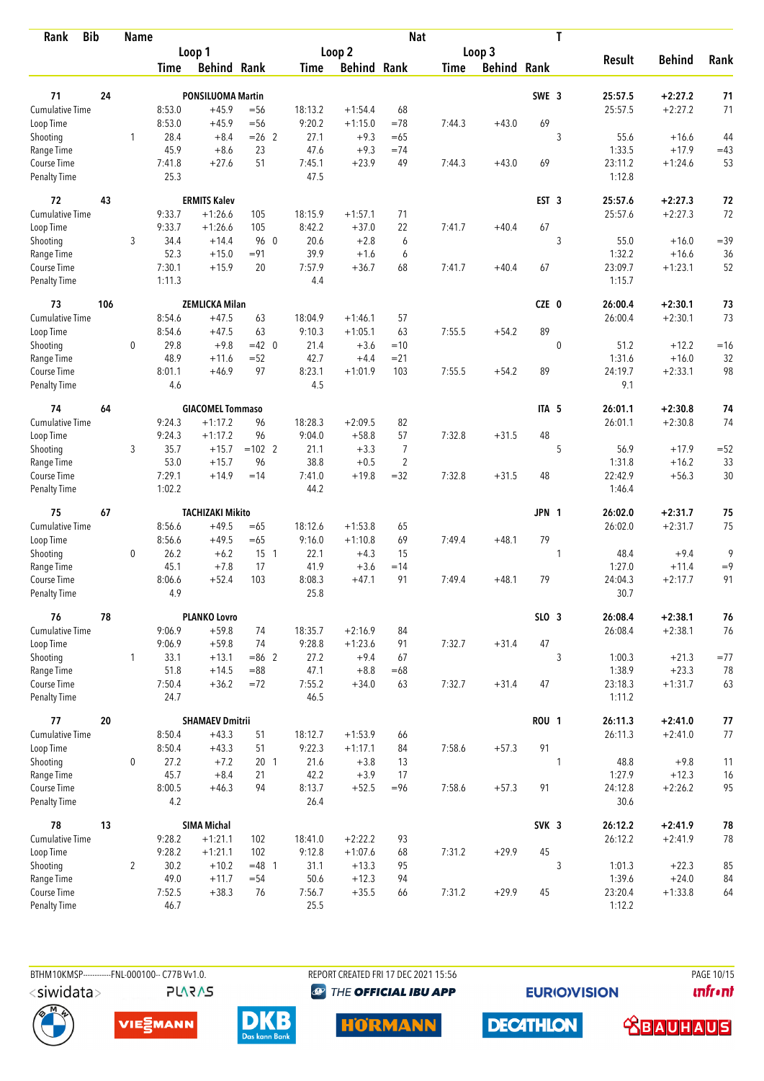| <b>Bib</b><br>Rank                 |     | <b>Name</b>    |                  |                          |                 |                   |                     | <b>Nat</b>     |        |                    |                  | T           |                   |               |             |
|------------------------------------|-----|----------------|------------------|--------------------------|-----------------|-------------------|---------------------|----------------|--------|--------------------|------------------|-------------|-------------------|---------------|-------------|
|                                    |     |                |                  | Loop 1                   |                 |                   | Loop 2              |                |        | Loop 3             |                  |             |                   |               |             |
|                                    |     |                | Time             | <b>Behind Rank</b>       |                 | Time              | <b>Behind Rank</b>  |                | Time   | <b>Behind Rank</b> |                  |             | <b>Result</b>     | <b>Behind</b> | Rank        |
| 71                                 | 24  |                |                  | <b>PONSILUOMA Martin</b> |                 |                   |                     |                |        |                    | SWE 3            |             | 25:57.5           | $+2:27.2$     | 71          |
| <b>Cumulative Time</b>             |     |                | 8:53.0           | $+45.9$                  | $= 56$          | 18:13.2           | $+1:54.4$           | 68             |        |                    |                  |             | 25:57.5           | $+2:27.2$     | 71          |
| Loop Time                          |     |                | 8:53.0           | $+45.9$                  | $=$ 56          | 9:20.2            | $+1:15.0$           | $=78$          | 7:44.3 | $+43.0$            | 69               |             |                   |               |             |
| Shooting                           |     | 1              | 28.4             | $+8.4$                   | $= 26$ 2        | 27.1              | $+9.3$              | $=65$          |        |                    |                  | 3           | 55.6              | $+16.6$       | 44          |
| Range Time                         |     |                | 45.9             | $+8.6$                   | 23              | 47.6              | $+9.3$              | $=74$          |        |                    |                  |             | 1:33.5            | $+17.9$       | $=43$       |
| Course Time                        |     |                | 7:41.8           | $+27.6$                  | 51              | 7:45.1            | $+23.9$             | 49             | 7:44.3 | $+43.0$            | 69               |             | 23:11.2           | $+1:24.6$     | 53          |
| <b>Penalty Time</b>                |     |                | 25.3             |                          |                 | 47.5              |                     |                |        |                    |                  |             | 1:12.8            |               |             |
| 72                                 | 43  |                |                  | <b>ERMITS Kalev</b>      |                 |                   |                     |                |        |                    | EST <sub>3</sub> |             | 25:57.6           | $+2:27.3$     | 72          |
| <b>Cumulative Time</b>             |     |                | 9:33.7           | $+1:26.6$                | 105             | 18:15.9           | $+1:57.1$           | 71             |        |                    |                  |             | 25:57.6           | $+2:27.3$     | 72          |
| Loop Time                          |     |                | 9:33.7           | $+1:26.6$                | 105             | 8:42.2            | $+37.0$             | 22             | 7:41.7 | $+40.4$            | 67               |             |                   |               |             |
| Shooting                           |     | 3              | 34.4             | $+14.4$                  | 96 0            | 20.6              | $+2.8$              | 6              |        |                    |                  | 3           | 55.0              | $+16.0$       | $= 39$      |
| Range Time                         |     |                | 52.3             | $+15.0$                  | $= 91$          | 39.9              | $+1.6$              | 6              |        |                    |                  |             | 1:32.2            | $+16.6$       | 36          |
| Course Time                        |     |                | 7:30.1           | $+15.9$                  | 20              | 7:57.9            | $+36.7$             | 68             | 7:41.7 | $+40.4$            | 67               |             | 23:09.7           | $+1:23.1$     | 52          |
| <b>Penalty Time</b>                |     |                | 1:11.3           |                          |                 | 4.4               |                     |                |        |                    |                  |             | 1:15.7            |               |             |
| 73                                 | 106 |                |                  | <b>ZEMLICKA Milan</b>    |                 |                   |                     |                |        |                    | CZE 0            |             | 26:00.4           | $+2:30.1$     | 73          |
| <b>Cumulative Time</b>             |     |                | 8:54.6           | $+47.5$<br>$+47.5$       | 63<br>63        | 18:04.9<br>9:10.3 | $+1:46.1$           | 57<br>63       | 7:55.5 | $+54.2$            | 89               |             | 26:00.4           | $+2:30.1$     | 73          |
| Loop Time                          |     | 0              | 8:54.6<br>29.8   | $+9.8$                   | $=42$ 0         | 21.4              | $+1:05.1$<br>$+3.6$ | $=10$          |        |                    |                  | $\mathbf 0$ | 51.2              | $+12.2$       |             |
| Shooting<br>Range Time             |     |                | 48.9             | $+11.6$                  | $= 52$          | 42.7              | $+4.4$              | $= 21$         |        |                    |                  |             | 1:31.6            | $+16.0$       | $=16$<br>32 |
| Course Time                        |     |                | 8:01.1           | $+46.9$                  | 97              | 8:23.1            | $+1:01.9$           | 103            | 7:55.5 | $+54.2$            | 89               |             | 24:19.7           | $+2:33.1$     | 98          |
| Penalty Time                       |     |                | 4.6              |                          |                 | 4.5               |                     |                |        |                    |                  |             | 9.1               |               |             |
| 74                                 | 64  |                |                  | <b>GIACOMEL Tommaso</b>  |                 |                   |                     |                |        |                    | ITA <sub>5</sub> |             | 26:01.1           | $+2:30.8$     | 74          |
| Cumulative Time                    |     |                | 9:24.3           | $+1:17.2$                | 96              | 18:28.3           | $+2:09.5$           | 82             |        |                    |                  |             | 26:01.1           | $+2:30.8$     | 74          |
| Loop Time                          |     |                | 9:24.3           | $+1:17.2$                | 96              | 9:04.0            | $+58.8$             | 57             | 7:32.8 | $+31.5$            | 48               |             |                   |               |             |
| Shooting                           |     | 3              | 35.7             | $+15.7$                  | $=102$ 2        | 21.1              | $+3.3$              | 7              |        |                    |                  | 5           | 56.9              | $+17.9$       | $= 52$      |
| Range Time                         |     |                | 53.0             | $+15.7$                  | 96              | 38.8              | $+0.5$              | $\overline{2}$ |        |                    |                  |             | 1:31.8            | $+16.2$       | 33          |
| Course Time<br><b>Penalty Time</b> |     |                | 7:29.1<br>1:02.2 | $+14.9$                  | $=14$           | 7:41.0<br>44.2    | $+19.8$             | $=32$          | 7:32.8 | $+31.5$            | 48               |             | 22:42.9<br>1:46.4 | $+56.3$       | 30          |
|                                    |     |                |                  |                          |                 |                   |                     |                |        |                    |                  |             |                   |               |             |
| 75                                 | 67  |                |                  | <b>TACHIZAKI Mikito</b>  |                 |                   |                     |                |        |                    | JPN 1            |             | 26:02.0           | $+2:31.7$     | 75          |
| <b>Cumulative Time</b>             |     |                | 8:56.6           | $+49.5$                  | $=65$           | 18:12.6           | $+1:53.8$           | 65             |        |                    |                  |             | 26:02.0           | $+2:31.7$     | 75          |
| Loop Time                          |     |                | 8:56.6           | $+49.5$                  | $=65$           | 9:16.0            | $+1:10.8$           | 69             | 7:49.4 | $+48.1$            | 79               |             |                   |               |             |
| Shooting                           |     | $\mathbf 0$    | 26.2             | $+6.2$                   | $15-1$          | 22.1              | $+4.3$              | 15             |        |                    |                  | 1           | 48.4              | $+9.4$        | 9           |
| Range Time                         |     |                | 45.1<br>8:06.6   | $+7.8$                   | 17<br>103       | 41.9<br>8:08.3    | $+3.6$              | $=14$<br>91    |        | $+48.1$            | 79               |             | 1:27.0<br>24:04.3 | $+11.4$       | $=9$<br>91  |
| Course Time<br>Penalty Time        |     |                | 4.9              | $+52.4$                  |                 | 25.8              | $+47.1$             |                | 7:49.4 |                    |                  |             | 30.7              | $+2:17.7$     |             |
| 76                                 | 78  |                |                  | <b>PLANKO Lovro</b>      |                 |                   |                     |                |        |                    | SLO 3            |             | 26:08.4           | $+2:38.1$     | 76          |
| Cumulative Time                    |     |                | 9:06.9           | $+59.8$                  | 74              | 18:35.7           | $+2:16.9$           | 84             |        |                    |                  |             | 26:08.4           | $+2:38.1$     | 76          |
| Loop Time                          |     |                | 9:06.9           | $+59.8$                  | 74              | 9:28.8            | $+1:23.6$           | 91             | 7:32.7 | $+31.4$            | 47               |             |                   |               |             |
| Shooting                           |     | $\mathbf{1}$   | 33.1             | $+13.1$                  | $= 86$ 2        | 27.2              | $+9.4$              | 67             |        |                    |                  | 3           | 1:00.3            | $+21.3$       | $= 77$      |
| Range Time                         |     |                | 51.8             | $+14.5$                  | $= 88$          | 47.1              | $+8.8$              | $=68$          |        |                    |                  |             | 1:38.9            | $+23.3$       | 78          |
| Course Time                        |     |                | 7:50.4           | $+36.2$                  | $=72$           | 7:55.2            | $+34.0$             | 63             | 7:32.7 | $+31.4$            | 47               |             | 23:18.3           | $+1:31.7$     | 63          |
| Penalty Time                       |     |                | 24.7             |                          |                 | 46.5              |                     |                |        |                    |                  |             | 1:11.2            |               |             |
| 77                                 | 20  |                |                  | <b>SHAMAEV Dmitrii</b>   |                 |                   |                     |                |        |                    | <b>ROU 1</b>     |             | 26:11.3           | $+2:41.0$     | 77          |
| Cumulative Time                    |     |                | 8:50.4           | $+43.3$                  | 51              | 18:12.7           | $+1:53.9$           | 66             |        |                    |                  |             | 26:11.3           | $+2:41.0$     | 77          |
| Loop Time                          |     |                | 8:50.4           | $+43.3$                  | 51              | 9:22.3            | $+1:17.1$           | 84             | 7:58.6 | $+57.3$            | 91               |             |                   |               |             |
| Shooting                           |     | 0              | 27.2             | $+7.2$                   | 20 <sub>1</sub> | 21.6              | $+3.8$              | 13             |        |                    |                  | 1           | 48.8              | $+9.8$        | 11          |
| Range Time                         |     |                | 45.7             | $+8.4$                   | 21<br>94        | 42.2              | $+3.9$              | 17             |        |                    | 91               |             | 1:27.9            | $+12.3$       | 16          |
| Course Time<br>Penalty Time        |     |                | 8:00.5<br>4.2    | $+46.3$                  |                 | 8:13.7<br>26.4    | $+52.5$             | $= 96$         | 7:58.6 | $+57.3$            |                  |             | 24:12.8<br>30.6   | $+2:26.2$     | 95          |
| 78                                 | 13  |                |                  | <b>SIMA Michal</b>       |                 |                   |                     |                |        |                    | SVK 3            |             | 26:12.2           | $+2:41.9$     | 78          |
| Cumulative Time                    |     |                | 9:28.2           | $+1:21.1$                | 102             | 18:41.0           | $+2:22.2$           | 93             |        |                    |                  |             | 26:12.2           | $+2:41.9$     | 78          |
| Loop Time                          |     |                | 9:28.2           | $+1:21.1$                | 102             | 9:12.8            | $+1:07.6$           | 68             | 7:31.2 | $+29.9$            | 45               |             |                   |               |             |
| Shooting                           |     | $\overline{2}$ | 30.2             | $+10.2$                  | $= 48$ 1        | 31.1              | $+13.3$             | 95             |        |                    |                  | 3           | 1:01.3            | $+22.3$       | 85          |
| Range Time                         |     |                | 49.0             | $+11.7$                  | $= 54$          | 50.6              | $+12.3$             | 94             |        |                    |                  |             | 1:39.6            | $+24.0$       | 84          |
| Course Time                        |     |                | 7:52.5           | $+38.3$                  | 76              | 7:56.7            | $+35.5$             | 66             | 7:31.2 | $+29.9$            | 45               |             | 23:20.4           | $+1:33.8$     | 64          |
| <b>Penalty Time</b>                |     |                | 46.7             |                          |                 | 25.5              |                     |                |        |                    |                  |             | 1:12.2            |               |             |

**PLARAS** 

BTHM10KMSP-----------FNL-000100-- C77B Vv1.0. REPORT CREATED FRI 17 DEC 2021 15:56 PAGE 10/15 **<sup><sup>3</sup>** THE OFFICIAL IBU APP</sup>

**EURIOVISION** 

**unfront** 









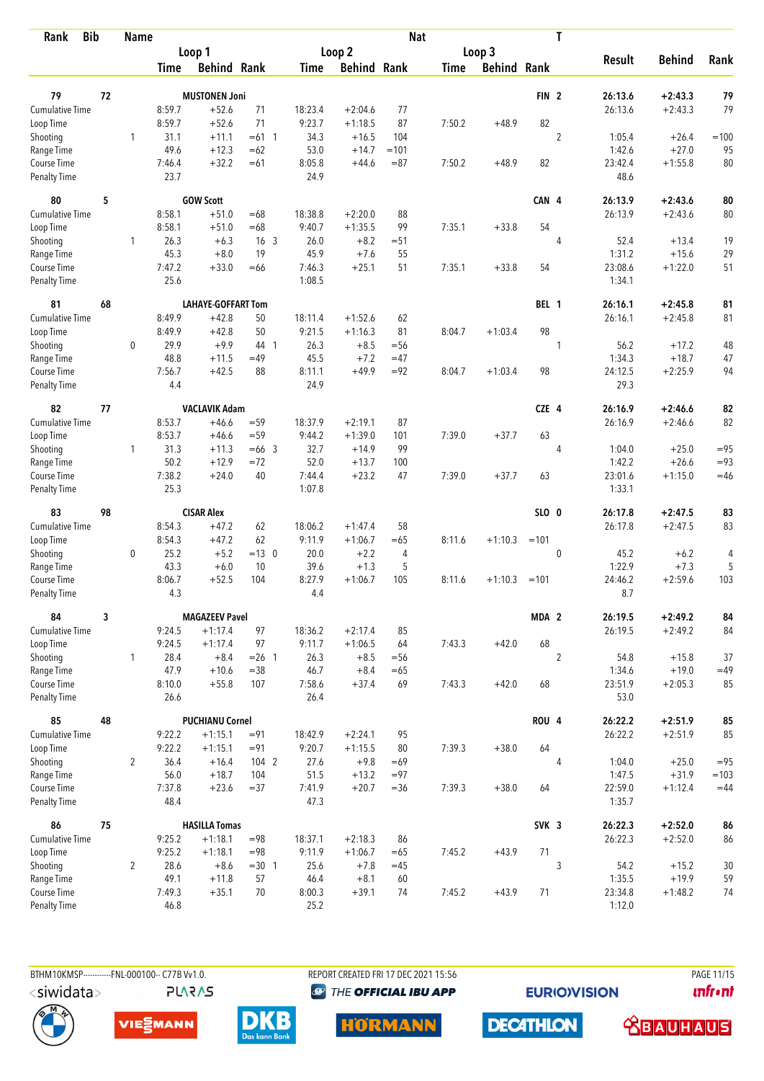| <b>Bib</b><br>Rank                 |    | <b>Name</b>    |                |                           |                 |                |                    | <b>Nat</b> |             |                    |                  | T              |                   |                      |            |
|------------------------------------|----|----------------|----------------|---------------------------|-----------------|----------------|--------------------|------------|-------------|--------------------|------------------|----------------|-------------------|----------------------|------------|
|                                    |    |                |                | Loop 1                    |                 |                | Loop 2             |            |             | Loop 3             |                  |                |                   |                      |            |
|                                    |    |                | Time           | <b>Behind Rank</b>        |                 | Time           | <b>Behind Rank</b> |            | <b>Time</b> | <b>Behind Rank</b> |                  |                | <b>Result</b>     | <b>Behind</b>        | Rank       |
| 79                                 | 72 |                |                | <b>MUSTONEN Joni</b>      |                 |                |                    |            |             |                    | FIN <sub>2</sub> |                | 26:13.6           | $+2:43.3$            | 79         |
| <b>Cumulative Time</b>             |    |                | 8:59.7         | $+52.6$                   | 71              | 18:23.4        | $+2:04.6$          | 77         |             |                    |                  |                | 26:13.6           | $+2:43.3$            | 79         |
| Loop Time                          |    |                | 8:59.7         | $+52.6$                   | 71              | 9:23.7         | $+1:18.5$          | 87         | 7:50.2      | $+48.9$            | 82               |                |                   |                      |            |
| Shooting                           |    | 1              | 31.1           | $+11.1$                   | $=61$ 1         | 34.3           | $+16.5$            | 104        |             |                    |                  | $\overline{2}$ | 1:05.4            | $+26.4$              | $=100$     |
| Range Time                         |    |                | 49.6           | $+12.3$                   | $=62$           | 53.0           | $+14.7$            | $=101$     |             |                    |                  |                | 1:42.6            | $+27.0$              | 95         |
| Course Time                        |    |                | 7:46.4         | $+32.2$                   | $=61$           | 8:05.8         | $+44.6$            | $= 87$     | 7:50.2      | $+48.9$            | 82               |                | 23:42.4           | $+1:55.8$            | 80         |
| <b>Penalty Time</b>                |    |                | 23.7           |                           |                 | 24.9           |                    |            |             |                    |                  |                | 48.6              |                      |            |
| 80                                 | 5  |                |                | <b>GOW Scott</b>          |                 |                |                    |            |             |                    | CAN 4            |                | 26:13.9           | $+2:43.6$            | 80         |
| Cumulative Time                    |    |                | 8:58.1         | $+51.0$                   | $=68$           | 18:38.8        | $+2:20.0$          | 88         |             |                    |                  |                | 26:13.9           | $+2:43.6$            | 80         |
| Loop Time                          |    |                | 8:58.1         | $+51.0$                   | $=68$           | 9:40.7         | $+1:35.5$          | 99         | 7:35.1      | $+33.8$            | 54               |                |                   |                      |            |
| Shooting                           |    | 1              | 26.3           | $+6.3$                    | 16 <sub>3</sub> | 26.0           | $+8.2$             | $= 51$     |             |                    |                  | 4              | 52.4              | $+13.4$              | 19         |
| Range Time                         |    |                | 45.3           | $+8.0$                    | 19              | 45.9           | $+7.6$             | 55         |             |                    |                  |                | 1:31.2            | $+15.6$              | 29         |
| Course Time                        |    |                | 7:47.2         | $+33.0$                   | $=66$           | 7:46.3         | $+25.1$            | 51         | 7:35.1      | $+33.8$            | 54               |                | 23:08.6           | $+1:22.0$            | 51         |
| Penalty Time                       |    |                | 25.6           |                           |                 | 1:08.5         |                    |            |             |                    |                  |                | 1:34.1            |                      |            |
| 81                                 | 68 |                |                | <b>LAHAYE-GOFFART Tom</b> |                 |                |                    |            |             |                    | BEL 1            |                | 26:16.1           | $+2:45.8$            | 81         |
| Cumulative Time                    |    |                | 8:49.9         | $+42.8$                   | 50              | 18:11.4        | $+1:52.6$          | 62         |             |                    |                  |                | 26:16.1           | $+2:45.8$            | 81         |
| Loop Time                          |    |                | 8:49.9         | $+42.8$                   | 50              | 9:21.5         | $+1:16.3$          | 81         | 8:04.7      | $+1:03.4$          | 98               |                |                   |                      |            |
| Shooting                           |    | 0              | 29.9           | $+9.9$                    | 44 1            | 26.3           | $+8.5$             | $= 56$     |             |                    |                  | 1              | 56.2              | $+17.2$              | 48         |
| Range Time                         |    |                | 48.8<br>7:56.7 | $+11.5$                   | $=49$<br>88     | 45.5           | $+7.2$<br>$+49.9$  | $=47$      |             |                    | 98               |                | 1:34.3<br>24:12.5 | $+18.7$<br>$+2:25.9$ | 47<br>94   |
| Course Time<br><b>Penalty Time</b> |    |                | 4.4            | $+42.5$                   |                 | 8:11.1<br>24.9 |                    | $= 92$     | 8:04.7      | $+1:03.4$          |                  |                | 29.3              |                      |            |
| 82                                 | 77 |                |                | <b>VACLAVIK Adam</b>      |                 |                |                    |            |             |                    | CZE 4            |                | 26:16.9           | $+2:46.6$            | 82         |
| <b>Cumulative Time</b>             |    |                | 8:53.7         | $+46.6$                   | $=$ 59          | 18:37.9        | $+2:19.1$          | 87         |             |                    |                  |                | 26:16.9           | $+2:46.6$            | 82         |
| Loop Time                          |    |                | 8:53.7         | $+46.6$                   | $= 59$          | 9:44.2         | $+1:39.0$          | 101        | 7:39.0      | $+37.7$            | 63               |                |                   |                      |            |
| Shooting                           |    | $\mathbf{1}$   | 31.3           | $+11.3$                   | $=66$ 3         | 32.7           | $+14.9$            | 99         |             |                    |                  | 4              | 1:04.0            | $+25.0$              | $= 95$     |
| Range Time                         |    |                | 50.2           | $+12.9$                   | $= 72$          | 52.0           | $+13.7$            | 100        |             |                    |                  |                | 1:42.2            | $+26.6$              | $= 93$     |
| Course Time                        |    |                | 7:38.2         | $+24.0$                   | 40              | 7:44.4         | $+23.2$            | 47         | 7:39.0      | $+37.7$            | 63               |                | 23:01.6           | $+1:15.0$            | $=46$      |
| <b>Penalty Time</b>                |    |                | 25.3           |                           |                 | 1:07.8         |                    |            |             |                    |                  |                | 1:33.1            |                      |            |
| 83                                 | 98 |                |                | <b>CISAR Alex</b>         |                 |                |                    |            |             |                    | SLO 0            |                | 26:17.8           | $+2:47.5$            | 83         |
| <b>Cumulative Time</b>             |    |                | 8:54.3         | $+47.2$                   | 62              | 18:06.2        | $+1:47.4$          | 58         |             |                    |                  |                | 26:17.8           | $+2:47.5$            | 83         |
| Loop Time                          |    |                | 8:54.3         | $+47.2$                   | 62              | 9:11.9         | $+1:06.7$          | $=65$      | 8:11.6      | $+1:10.3$          | $=101$           |                |                   |                      |            |
| Shooting                           |    | 0              | 25.2           | $+5.2$                    | $=13$ 0         | 20.0           | $+2.2$             | 4          |             |                    |                  | $\mathbf 0$    | 45.2              | $+6.2$               | 4          |
| Range Time                         |    |                | 43.3           | $+6.0$                    | 10              | 39.6           | $+1.3$             | 5          |             |                    |                  |                | 1:22.9            | $+7.3$               | $\sqrt{5}$ |
| Course Time<br><b>Penalty Time</b> |    |                | 8:06.7<br>4.3  | $+52.5$                   | 104             | 8:27.9<br>4.4  | $+1:06.7$          | 105        | 8:11.6      | $+1:10.3$          | $=101$           |                | 24:46.2<br>8.7    | $+2:59.6$            | 103        |
| 84                                 | 3  |                |                | <b>MAGAZEEV Pavel</b>     |                 |                |                    |            |             |                    | MDA 2            |                | 26:19.5           | $+2:49.2$            | 84         |
| <b>Cumulative Time</b>             |    |                | 9:24.5         | $+1:17.4$                 | 97              | 18:36.2        | $+2:17.4$          | 85         |             |                    |                  |                | 26:19.5           | $+2:49.2$            | 84         |
| Loop Time                          |    |                | 9:24.5         | $+1:17.4$                 | 97              | 9:11.7         | $+1:06.5$          | 64         | 7:43.3      | $+42.0$            | 68               |                |                   |                      |            |
| Shooting                           |    | $\mathbf{1}$   | 28.4           | $+8.4$                    | $= 26$ 1        | 26.3           | $+8.5$             | $=$ 56     |             |                    |                  | $\overline{2}$ | 54.8              | $+15.8$              | 37         |
| Range Time                         |    |                | 47.9           | $+10.6$                   | $= 38$          | 46.7           | $+8.4$             | $=65$      |             |                    |                  |                | 1:34.6            | $+19.0$              | $=49$      |
| Course Time                        |    |                | 8:10.0         | $+55.8$                   | 107             | 7:58.6         | $+37.4$            | 69         | 7:43.3      | $+42.0$            | 68               |                | 23:51.9           | $+2:05.3$            | 85         |
| Penalty Time                       |    |                | 26.6           |                           |                 | 26.4           |                    |            |             |                    |                  |                | 53.0              |                      |            |
| 85                                 | 48 |                |                | <b>PUCHIANU Cornel</b>    |                 |                |                    |            |             |                    | <b>ROU 4</b>     |                | 26:22.2           | $+2:51.9$            | 85         |
| Cumulative Time                    |    |                | 9:22.2         | $+1:15.1$                 | $= 91$          | 18:42.9        | $+2:24.1$          | 95         |             |                    |                  |                | 26:22.2           | $+2:51.9$            | 85         |
| Loop Time                          |    |                | 9:22.2         | $+1:15.1$                 | $= 91$          | 9:20.7         | $+1:15.5$          | 80         | 7:39.3      | $+38.0$            | 64               |                |                   |                      |            |
| Shooting                           |    | $\overline{2}$ | 36.4           | $+16.4$                   | 104 2           | 27.6           | $+9.8$             | $=69$      |             |                    |                  | $\overline{4}$ | 1:04.0            | $+25.0$              | $= 95$     |
| Range Time<br>Course Time          |    |                | 56.0           | $+18.7$                   | 104<br>$= 37$   | 51.5           | $+13.2$            | $= 97$     |             | $+38.0$            |                  |                | 1:47.5<br>22:59.0 | $+31.9$              | $=103$     |
| Penalty Time                       |    |                | 7:37.8<br>48.4 | $+23.6$                   |                 | 7:41.9<br>47.3 | $+20.7$            | $=36$      | 7:39.3      |                    | 64               |                | 1:35.7            | $+1:12.4$            | $=44$      |
| 86                                 | 75 |                |                | <b>HASILLA Tomas</b>      |                 |                |                    |            |             |                    | SVK <sub>3</sub> |                | 26:22.3           | $+2:52.0$            | 86         |
| <b>Cumulative Time</b>             |    |                | 9:25.2         | $+1:18.1$                 | $= 98$          | 18:37.1        | $+2:18.3$          | 86         |             |                    |                  |                | 26:22.3           | $+2:52.0$            | 86         |
| Loop Time                          |    |                | 9:25.2         | $+1:18.1$                 | $= 98$          | 9:11.9         | $+1:06.7$          | $=65$      | 7:45.2      | $+43.9$            | 71               |                |                   |                      |            |
| Shooting                           |    | $\overline{2}$ | 28.6           | $+8.6$                    | $=30$ 1         | 25.6           | $+7.8$             | $=45$      |             |                    |                  | 3              | 54.2              | $+15.2$              | 30         |
| Range Time                         |    |                | 49.1           | $+11.8$                   | 57              | 46.4           | $+8.1$             | 60         |             |                    |                  |                | 1:35.5            | $+19.9$              | 59         |
| Course Time                        |    |                | 7:49.3         | $+35.1$                   | 70              | 8:00.3         | $+39.1$            | 74         | 7:45.2      | $+43.9$            | 71               |                | 23:34.8           | $+1:48.2$            | 74         |
| Penalty Time                       |    |                | 46.8           |                           |                 | 25.2           |                    |            |             |                    |                  |                | 1:12.0            |                      |            |

BTHM10KMSP------------FNL-000100-- C77B Vv1.0. **PLARAS**  REPORT CREATED FRI 17 DEC 2021 15:56 **<sup><sup>3</sup>** THE OFFICIAL IBU APP</sup>

**EURIOVISION** 

PAGE 11/15 **unfront** 







**HORMANN** 

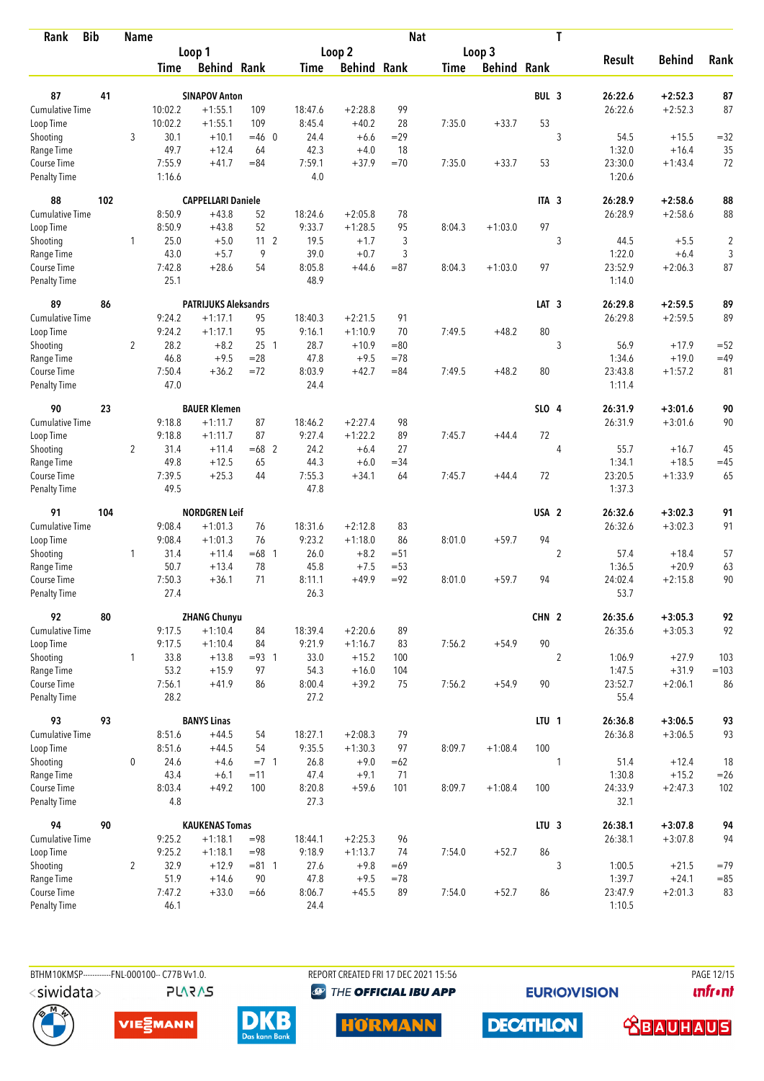| Rank                        | <b>Bib</b> | Name           |                |                             |                 |                |                    | <b>Nat</b> |        |                    |                  | T              |                 |               |                |
|-----------------------------|------------|----------------|----------------|-----------------------------|-----------------|----------------|--------------------|------------|--------|--------------------|------------------|----------------|-----------------|---------------|----------------|
|                             |            |                |                | Loop 1                      |                 |                | Loop <sub>2</sub>  |            |        | Loop 3             |                  |                |                 |               |                |
|                             |            |                | Time           | <b>Behind Rank</b>          |                 | Time           | <b>Behind Rank</b> |            | Time   | <b>Behind Rank</b> |                  |                | <b>Result</b>   | <b>Behind</b> | Rank           |
| 87                          | 41         |                |                | <b>SINAPOV Anton</b>        |                 |                |                    |            |        |                    | BUL <sub>3</sub> |                | 26:22.6         | $+2:52.3$     | 87             |
| <b>Cumulative Time</b>      |            |                | 10:02.2        | $+1:55.1$                   | 109             | 18:47.6        | $+2:28.8$          | 99         |        |                    |                  |                | 26:22.6         | $+2:52.3$     | 87             |
| Loop Time                   |            |                | 10:02.2        | $+1:55.1$                   | 109             | 8:45.4         | $+40.2$            | 28         | 7:35.0 | $+33.7$            | 53               |                |                 |               |                |
| Shooting                    |            | 3              | 30.1           | $+10.1$                     | $=46$ 0         | 24.4           | $+6.6$             | $=29$      |        |                    |                  | 3              | 54.5            | $+15.5$       | $= 32$         |
| Range Time                  |            |                | 49.7           | $+12.4$                     | 64              | 42.3           | $+4.0$             | 18         |        |                    |                  |                | 1:32.0          | $+16.4$       | 35             |
| Course Time                 |            |                | 7:55.9         | $+41.7$                     | $= 84$          | 7:59.1         | $+37.9$            | $=70$      | 7:35.0 | $+33.7$            | 53               |                | 23:30.0         | $+1:43.4$     | 72             |
| <b>Penalty Time</b>         |            |                | 1:16.6         |                             |                 | 4.0            |                    |            |        |                    |                  |                | 1:20.6          |               |                |
| 88                          | 102        |                |                | <b>CAPPELLARI Daniele</b>   |                 |                |                    |            |        |                    | ITA <sub>3</sub> |                | 26:28.9         | $+2:58.6$     | 88             |
| <b>Cumulative Time</b>      |            |                | 8:50.9         | $+43.8$                     | 52              | 18:24.6        | $+2:05.8$          | 78         |        |                    |                  |                | 26:28.9         | $+2:58.6$     | 88             |
| Loop Time                   |            |                | 8:50.9         | $+43.8$                     | 52              | 9:33.7         | $+1:28.5$          | 95         | 8:04.3 | $+1:03.0$          | 97               |                |                 |               |                |
| Shooting                    |            | 1              | 25.0           | $+5.0$                      | 11 <sub>2</sub> | 19.5           | $+1.7$             | 3          |        |                    |                  | 3              | 44.5            | $+5.5$        | $\overline{c}$ |
| Range Time                  |            |                | 43.0           | $+5.7$                      | 9               | 39.0           | $+0.7$             | 3          |        |                    |                  |                | 1:22.0          | $+6.4$        | 3              |
| Course Time                 |            |                | 7:42.8         | $+28.6$                     | 54              | 8:05.8         | $+44.6$            | $= 87$     | 8:04.3 | $+1:03.0$          | 97               |                | 23:52.9         | $+2:06.3$     | 87             |
| Penalty Time                |            |                | 25.1           |                             |                 | 48.9           |                    |            |        |                    |                  |                | 1:14.0          |               |                |
| 89                          | 86         |                |                | <b>PATRIJUKS Aleksandrs</b> |                 |                |                    |            |        |                    | LAT <sub>3</sub> |                | 26:29.8         | $+2:59.5$     | 89             |
| Cumulative Time             |            |                | 9:24.2         | $+1:17.1$                   | 95              | 18:40.3        | $+2:21.5$          | 91         |        |                    |                  |                | 26:29.8         | $+2:59.5$     | 89             |
| Loop Time                   |            |                | 9:24.2         | $+1:17.1$                   | 95              | 9:16.1         | $+1:10.9$          | 70         | 7:49.5 | $+48.2$            | 80               |                |                 |               |                |
| Shooting                    |            | $\overline{2}$ | 28.2           | $+8.2$                      | 25 <sub>1</sub> | 28.7           | $+10.9$            | $= 80$     |        |                    |                  | 3              | 56.9            | $+17.9$       | $=52$          |
| Range Time                  |            |                | 46.8           | $+9.5$                      | $= 28$          | 47.8           | $+9.5$             | $=78$      |        |                    |                  |                | 1:34.6          | $+19.0$       | $=49$          |
| Course Time                 |            |                | 7:50.4         | $+36.2$                     | $=72$           | 8:03.9         | $+42.7$            | $= 84$     | 7:49.5 | $+48.2$            | 80               |                | 23:43.8         | $+1:57.2$     | 81             |
| <b>Penalty Time</b>         |            |                | 47.0           |                             |                 | 24.4           |                    |            |        |                    |                  |                | 1:11.4          |               |                |
| 90                          | 23         |                |                | <b>BAUER Klemen</b>         |                 |                |                    |            |        |                    | SLO 4            |                | 26:31.9         | $+3:01.6$     | 90             |
| <b>Cumulative Time</b>      |            |                | 9:18.8         | $+1:11.7$                   | 87              | 18:46.2        | $+2:27.4$          | 98         |        |                    |                  |                | 26:31.9         | $+3:01.6$     | 90             |
| Loop Time                   |            |                | 9:18.8         | $+1:11.7$                   | 87              | 9:27.4         | $+1:22.2$          | 89         | 7:45.7 | $+44.4$            | 72               |                |                 |               |                |
| Shooting                    |            | $\overline{2}$ | 31.4           | $+11.4$                     | $=68$ 2         | 24.2           | $+6.4$             | 27         |        |                    |                  | 4              | 55.7            | $+16.7$       | 45             |
| Range Time                  |            |                | 49.8           | $+12.5$                     | 65              | 44.3           | $+6.0$             | $=34$      |        |                    |                  |                | 1:34.1          | $+18.5$       | $=45$          |
| Course Time                 |            |                | 7:39.5         | $+25.3$                     | 44              | 7:55.3         | $+34.1$            | 64         | 7:45.7 | $+44.4$            | 72               |                | 23:20.5         | $+1:33.9$     | 65             |
| <b>Penalty Time</b>         |            |                | 49.5           |                             |                 | 47.8           |                    |            |        |                    |                  |                | 1:37.3          |               |                |
| 91                          | 104        |                |                | <b>NORDGREN Leif</b>        |                 |                |                    |            |        |                    | USA <sub>2</sub> |                | 26:32.6         | $+3:02.3$     | 91             |
| <b>Cumulative Time</b>      |            |                | 9:08.4         | $+1:01.3$                   | 76              | 18:31.6        | $+2:12.8$          | 83         |        |                    |                  |                | 26:32.6         | $+3:02.3$     | 91             |
| Loop Time                   |            |                | 9:08.4         | $+1:01.3$                   | 76              | 9:23.2         | $+1:18.0$          | 86         | 8:01.0 | $+59.7$            | 94               |                |                 |               |                |
| Shooting                    |            | 1              | 31.4           | $+11.4$                     | $=68$ 1         | 26.0           | $+8.2$             | $= 51$     |        |                    |                  | $\overline{2}$ | 57.4            | $+18.4$       | 57             |
| Range Time                  |            |                | 50.7           | $+13.4$                     | 78              | 45.8           | $+7.5$             | $= 53$     |        |                    |                  |                | 1:36.5          | $+20.9$       | 63             |
| Course Time                 |            |                | 7:50.3         | $+36.1$                     | 71              | 8:11.1         | $+49.9$            | $= 92$     | 8:01.0 | $+59.7$            | 94               |                | 24:02.4         | $+2:15.8$     | 90             |
| <b>Penalty Time</b>         |            |                | 27.4           |                             |                 | 26.3           |                    |            |        |                    |                  |                | 53.7            |               |                |
| 92                          | 80         |                |                | <b>ZHANG Chunyu</b>         |                 |                |                    |            |        |                    | CHN 2            |                | 26:35.6         | $+3:05.3$     | 92             |
| Cumulative Time             |            |                | 9:17.5         | $+1:10.4$                   | 84              | 18:39.4        | $+2:20.6$          | 89         |        |                    |                  |                | 26:35.6         | $+3:05.3$     | 92             |
| Loop Time                   |            |                | 9:17.5         | $+1:10.4$                   | 84              | 9:21.9         | $+1:16.7$          | 83         | 7:56.2 | $+54.9$            | $90\,$           |                |                 |               |                |
| Shooting                    |            | $\mathbf{1}$   | 33.8           | $+13.8$                     | $= 93 \quad 1$  | 33.0           | $+15.2$            | 100        |        |                    |                  | $\overline{2}$ | 1:06.9          | $+27.9$       | 103            |
| Range Time                  |            |                | 53.2           | $+15.9$                     | 97              | 54.3           | $+16.0$            | 104        |        |                    |                  |                | 1:47.5          | $+31.9$       | $=103$         |
| Course Time<br>Penalty Time |            |                | 7:56.1<br>28.2 | $+41.9$                     | 86              | 8:00.4<br>27.2 | $+39.2$            | 75         | 7:56.2 | $+54.9$            | 90               |                | 23:52.7<br>55.4 | $+2:06.1$     | 86             |
| 93                          | 93         |                |                | <b>BANYS Linas</b>          |                 |                |                    |            |        |                    | LTU <sub>1</sub> |                | 26:36.8         | $+3:06.5$     | 93             |
| <b>Cumulative Time</b>      |            |                | 8:51.6         | $+44.5$                     | 54              | 18:27.1        | $+2:08.3$          | 79         |        |                    |                  |                | 26:36.8         | $+3:06.5$     | 93             |
| Loop Time                   |            |                | 8:51.6         | $+44.5$                     | 54              | 9:35.5         | $+1:30.3$          | 97         | 8:09.7 | $+1:08.4$          | 100              |                |                 |               |                |
| Shooting                    |            | $\mathbf 0$    | 24.6           | $+4.6$                      | $= 7 \quad 1$   | 26.8           | $+9.0$             | $=62$      |        |                    |                  | 1              | 51.4            | $+12.4$       | 18             |
| Range Time                  |            |                | 43.4           | $+6.1$                      | $=11$           | 47.4           | $+9.1$             | 71         |        |                    |                  |                | 1:30.8          | $+15.2$       | $=26$          |
| Course Time                 |            |                | 8:03.4         | $+49.2$                     | 100             | 8:20.8         | $+59.6$            | 101        | 8:09.7 | $+1:08.4$          | 100              |                | 24:33.9         | $+2:47.3$     | 102            |
| <b>Penalty Time</b>         |            |                | 4.8            |                             |                 | 27.3           |                    |            |        |                    |                  |                | 32.1            |               |                |
| 94                          | 90         |                |                | <b>KAUKENAS Tomas</b>       |                 |                |                    |            |        |                    | LTU <sub>3</sub> |                | 26:38.1         | $+3:07.8$     | 94             |
| Cumulative Time             |            |                | 9:25.2         | $+1:18.1$                   | $= 98$          | 18:44.1        | $+2:25.3$          | 96         |        |                    |                  |                | 26:38.1         | $+3:07.8$     | 94             |
| Loop Time                   |            |                | 9:25.2         | $+1:18.1$                   | $= 98$          | 9:18.9         | $+1:13.7$          | 74         | 7:54.0 | $+52.7$            | 86               |                |                 |               |                |
| Shooting                    |            | $\overline{2}$ | 32.9           | $+12.9$                     | $= 81$ 1        | 27.6           | $+9.8$             | $=69$      |        |                    |                  | 3              | 1:00.5          | $+21.5$       | $=79$          |
| Range Time                  |            |                | 51.9           | $+14.6$                     | 90              | 47.8           | $+9.5$             | $=78$      |        |                    |                  |                | 1:39.7          | $+24.1$       | $=85$          |
| Course Time                 |            |                | 7:47.2         | $+33.0$                     | $=66$           | 8:06.7         | $+45.5$            | 89         | 7:54.0 | $+52.7$            | 86               |                | 23:47.9         | $+2:01.3$     | 83             |
| <b>Penalty Time</b>         |            |                | 46.1           |                             |                 | 24.4           |                    |            |        |                    |                  |                | 1:10.5          |               |                |

**PLARAS** 

BTHM10KMSP-----------FNL-000100-- C77B Vv1.0. REPORT CREATED FRI 17 DEC 2021 15:56 PAGE 12/15

**<sup><sup>3</sup>** THE OFFICIAL IBU APP</sup>

**EURIOVISION** 

**unfront** 







**HORMANN** 



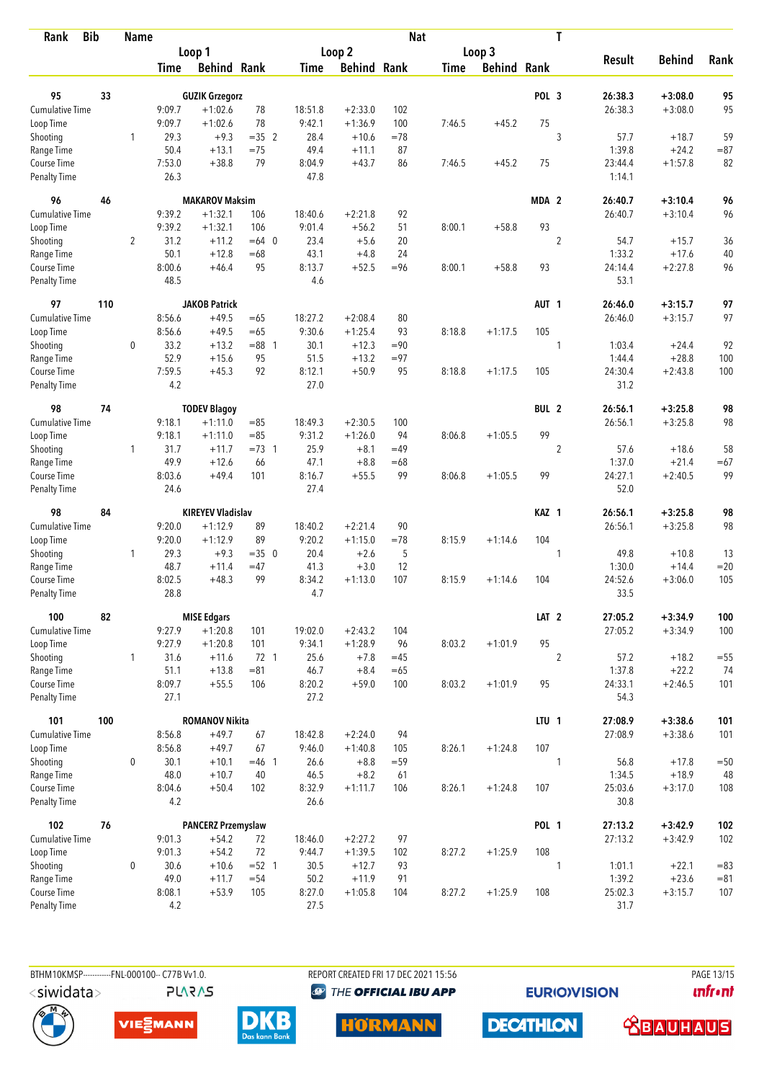| Rank                               | <b>Bib</b> | <b>Name</b>    |                  |                           |          |                |                    | <b>Nat</b> |             |                    |                  | T              |                 |               |        |
|------------------------------------|------------|----------------|------------------|---------------------------|----------|----------------|--------------------|------------|-------------|--------------------|------------------|----------------|-----------------|---------------|--------|
|                                    |            |                |                  | Loop 1                    |          |                | Loop 2             |            |             | Loop 3             |                  |                |                 |               |        |
|                                    |            |                | Time             | <b>Behind Rank</b>        |          | Time           | <b>Behind Rank</b> |            | <b>Time</b> | <b>Behind Rank</b> |                  |                | <b>Result</b>   | <b>Behind</b> | Rank   |
| 95                                 | 33         |                |                  | <b>GUZIK Grzegorz</b>     |          |                |                    |            |             |                    | POL <sub>3</sub> |                | 26:38.3         | $+3:08.0$     | 95     |
| Cumulative Time                    |            |                | 9:09.7           | $+1:02.6$                 | 78       | 18:51.8        | $+2:33.0$          | 102        |             |                    |                  |                | 26:38.3         | $+3:08.0$     | 95     |
| Loop Time                          |            |                | 9:09.7           | $+1:02.6$                 | 78       | 9:42.1         | $+1:36.9$          | 100        | 7:46.5      | $+45.2$            | 75               |                |                 |               |        |
| Shooting                           |            | 1              | 29.3             | $+9.3$                    | $=35$ 2  | 28.4           | $+10.6$            | $=78$      |             |                    |                  | 3              | 57.7            | $+18.7$       | 59     |
| Range Time                         |            |                | 50.4             | $+13.1$                   | $=75$    | 49.4           | $+11.1$            | 87         |             |                    |                  |                | 1:39.8          | $+24.2$       | $= 87$ |
| Course Time                        |            |                | 7:53.0           | $+38.8$                   | 79       | 8:04.9         | $+43.7$            | 86         | 7:46.5      | $+45.2$            | 75               |                | 23:44.4         | $+1:57.8$     | 82     |
| <b>Penalty Time</b>                |            |                | 26.3             |                           |          | 47.8           |                    |            |             |                    |                  |                | 1:14.1          |               |        |
| 96                                 | 46         |                |                  | <b>MAKAROV Maksim</b>     |          |                |                    |            |             |                    | MDA 2            |                | 26:40.7         | $+3:10.4$     | 96     |
| <b>Cumulative Time</b>             |            |                | 9:39.2           | $+1:32.1$                 | 106      | 18:40.6        | $+2:21.8$          | 92         |             |                    |                  |                | 26:40.7         | $+3:10.4$     | 96     |
| Loop Time                          |            |                | 9:39.2           | $+1:32.1$                 | 106      | 9:01.4         | $+56.2$            | 51         | 8:00.1      | $+58.8$            | 93               |                |                 |               |        |
| Shooting                           |            | $\overline{2}$ | 31.2             | $+11.2$                   | $=64$ 0  | 23.4           | $+5.6$             | 20         |             |                    |                  | $\overline{2}$ | 54.7            | $+15.7$       | 36     |
| Range Time                         |            |                | 50.1             | $+12.8$                   | $=68$    | 43.1           | $+4.8$             | 24         |             |                    |                  |                | 1:33.2          | $+17.6$       | 40     |
| Course Time                        |            |                | 8:00.6           | $+46.4$                   | 95       | 8:13.7         | $+52.5$            | $= 96$     | 8:00.1      | $+58.8$            | 93               |                | 24:14.4         | $+2:27.8$     | 96     |
| <b>Penalty Time</b>                |            |                | 48.5             |                           |          | 4.6            |                    |            |             |                    |                  |                | 53.1            |               |        |
| 97                                 | 110        |                |                  | <b>JAKOB Patrick</b>      |          |                |                    |            |             |                    | AUT <sub>1</sub> |                | 26:46.0         | $+3:15.7$     | 97     |
| Cumulative Time                    |            |                | 8:56.6           | $+49.5$                   | $=65$    | 18:27.2        | $+2:08.4$          | 80         |             |                    |                  |                | 26:46.0         | $+3:15.7$     | 97     |
| Loop Time                          |            |                | 8:56.6           | $+49.5$                   | $=65$    | 9:30.6         | $+1:25.4$          | 93         | 8:18.8      | $+1:17.5$          | 105              |                |                 |               |        |
| Shooting                           |            | 0              | 33.2             | $+13.2$                   | $= 88$ 1 | 30.1           | $+12.3$            | $= 90$     |             |                    |                  | 1              | 1:03.4          | $+24.4$       | 92     |
| Range Time                         |            |                | 52.9             | $+15.6$                   | 95       | 51.5           | $+13.2$            | $= 97$     |             |                    |                  |                | 1:44.4          | $+28.8$       | 100    |
| Course Time                        |            |                | 7:59.5<br>4.2    | $+45.3$                   | 92       | 8:12.1<br>27.0 | $+50.9$            | 95         | 8:18.8      | $+1:17.5$          | 105              |                | 24:30.4<br>31.2 | $+2:43.8$     | 100    |
| <b>Penalty Time</b>                |            |                |                  |                           |          |                |                    |            |             |                    |                  |                |                 |               |        |
| 98                                 | 74         |                |                  | <b>TODEV Blagoy</b>       |          |                |                    |            |             |                    | BUL <sub>2</sub> |                | 26:56.1         | $+3:25.8$     | 98     |
| <b>Cumulative Time</b>             |            |                | 9:18.1           | $+1:11.0$                 | $= 85$   | 18:49.3        | $+2:30.5$          | 100        |             |                    |                  |                | 26:56.1         | $+3:25.8$     | 98     |
| Loop Time                          |            |                | 9:18.1           | $+1:11.0$                 | $= 85$   | 9:31.2         | $+1:26.0$          | 94         | 8:06.8      | $+1:05.5$          | 99               |                |                 |               |        |
| Shooting                           |            | $\mathbf{1}$   | 31.7             | $+11.7$                   | $=73$ 1  | 25.9           | $+8.1$             | $=49$      |             |                    |                  | $\overline{2}$ | 57.6            | $+18.6$       | 58     |
| Range Time                         |            |                | 49.9             | $+12.6$                   | 66       | 47.1           | $+8.8$             | $=68$      |             |                    |                  |                | 1:37.0          | $+21.4$       | $=67$  |
| Course Time<br><b>Penalty Time</b> |            |                | 8:03.6<br>24.6   | $+49.4$                   | 101      | 8:16.7<br>27.4 | $+55.5$            | 99         | 8:06.8      | $+1:05.5$          | 99               |                | 24:27.1<br>52.0 | $+2:40.5$     | 99     |
| 98                                 | 84         |                |                  | <b>KIREYEV Vladislav</b>  |          |                |                    |            |             |                    | KAZ 1            |                | 26:56.1         | $+3:25.8$     | 98     |
| <b>Cumulative Time</b>             |            |                |                  | $+1:12.9$                 | 89       | 18:40.2        | $+2:21.4$          | 90         |             |                    |                  |                |                 |               | 98     |
| Loop Time                          |            |                | 9:20.0<br>9:20.0 | $+1:12.9$                 | 89       | 9:20.2         | $+1:15.0$          | $=78$      | 8:15.9      | $+1:14.6$          | 104              |                | 26:56.1         | $+3:25.8$     |        |
| Shooting                           |            | 1              | 29.3             | $+9.3$                    | $=35$ 0  | 20.4           | $+2.6$             | 5          |             |                    |                  | 1              | 49.8            | $+10.8$       | 13     |
| Range Time                         |            |                | 48.7             | $+11.4$                   | $=47$    | 41.3           | $+3.0$             | 12         |             |                    |                  |                | 1:30.0          | $+14.4$       | $=20$  |
| Course Time                        |            |                | 8:02.5           | $+48.3$                   | 99       | 8:34.2         | $+1:13.0$          | 107        | 8:15.9      | $+1:14.6$          | 104              |                | 24:52.6         | $+3:06.0$     | 105    |
| <b>Penalty Time</b>                |            |                | 28.8             |                           |          | 4.7            |                    |            |             |                    |                  |                | 33.5            |               |        |
| 100                                | 82         |                |                  | <b>MISE Edgars</b>        |          |                |                    |            |             |                    | LAT <sub>2</sub> |                | 27:05.2         | $+3:34.9$     | 100    |
| <b>Cumulative Time</b>             |            |                | 9:27.9           | $+1:20.8$                 | 101      | 19:02.0        | $+2:43.2$          | 104        |             |                    |                  |                | 27:05.2         | $+3:34.9$     | 100    |
| Loop Time                          |            |                | 9:27.9           | $+1:20.8$                 | 101      | 9:34.1         | $+1:28.9$          | 96         | 8:03.2      | $+1:01.9$          | 95               |                |                 |               |        |
| Shooting                           |            | $\mathbf{1}$   | 31.6             | $+11.6$                   | 72 1     | 25.6           | $+7.8$             | $=45$      |             |                    |                  | $\overline{2}$ | 57.2            | $+18.2$       | $=55$  |
| Range Time                         |            |                | 51.1             | $+13.8$                   | $= 81$   | 46.7           | $+8.4$             | $=65$      |             |                    |                  |                | 1:37.8          | $+22.2$       | 74     |
| Course Time                        |            |                | 8:09.7           | $+55.5$                   | 106      | 8:20.2         | $+59.0$            | 100        | 8:03.2      | $+1:01.9$          | 95               |                | 24:33.1         | $+2:46.5$     | 101    |
| Penalty Time                       |            |                | 27.1             |                           |          | 27.2           |                    |            |             |                    |                  |                | 54.3            |               |        |
| 101                                | 100        |                |                  | <b>ROMANOV Nikita</b>     |          |                |                    |            |             |                    | LTU <sub>1</sub> |                | 27:08.9         | $+3:38.6$     | 101    |
| <b>Cumulative Time</b>             |            |                | 8:56.8           | $+49.7$                   | 67       | 18:42.8        | $+2:24.0$          | 94         |             |                    |                  |                | 27:08.9         | $+3:38.6$     | 101    |
| Loop Time                          |            |                | 8:56.8           | $+49.7$                   | 67       | 9:46.0         | $+1:40.8$          | 105        | 8:26.1      | $+1:24.8$          | 107              |                |                 |               |        |
| Shooting                           |            | $\mathbf 0$    | 30.1             | $+10.1$                   | $=46$ 1  | 26.6           | $+8.8$             | $= 59$     |             |                    |                  | 1              | 56.8            | $+17.8$       | $=50$  |
| Range Time                         |            |                | 48.0             | $+10.7$                   | 40       | 46.5           | $+8.2$             | 61         |             |                    |                  |                | 1:34.5          | $+18.9$       | 48     |
| Course Time                        |            |                | 8:04.6           | $+50.4$                   | 102      | 8:32.9         | $+1:11.7$          | 106        | 8:26.1      | $+1:24.8$          | 107              |                | 25:03.6         | $+3:17.0$     | 108    |
| <b>Penalty Time</b>                |            |                | 4.2              |                           |          | 26.6           |                    |            |             |                    |                  |                | 30.8            |               |        |
| 102                                | 76         |                |                  | <b>PANCERZ Przemyslaw</b> |          |                |                    |            |             |                    | <b>POL 1</b>     |                | 27:13.2         | $+3:42.9$     | 102    |
| Cumulative Time                    |            |                | 9:01.3           | $+54.2$                   | 72       | 18:46.0        | $+2:27.2$          | 97         |             |                    |                  |                | 27:13.2         | $+3:42.9$     | 102    |
| Loop Time                          |            |                | 9:01.3           | $+54.2$                   | 72       | 9:44.7         | $+1:39.5$          | 102        | 8:27.2      | $+1:25.9$          | 108              |                |                 |               |        |
| Shooting                           |            | 0              | 30.6             | $+10.6$                   | $=52$ 1  | 30.5           | $+12.7$            | 93         |             |                    |                  | 1              | 1:01.1          | $+22.1$       | $= 83$ |
| Range Time                         |            |                | 49.0             | $+11.7$                   | $= 54$   | 50.2           | $+11.9$            | 91         |             |                    |                  |                | 1:39.2          | $+23.6$       | $= 81$ |
| Course Time                        |            |                | 8:08.1           | $+53.9$                   | 105      | 8:27.0         | $+1:05.8$          | 104        | 8:27.2      | $+1:25.9$          | 108              |                | 25:02.3         | $+3:15.7$     | 107    |
| <b>Penalty Time</b>                |            |                | 4.2              |                           |          | 27.5           |                    |            |             |                    |                  |                | 31.7            |               |        |

**PLARAS** 

BTHM10KMSP-----------FNL-000100-- C77B Vv1.0. REPORT CREATED FRI 17 DEC 2021 15:56 PAGE 13/15 **<sup><sup>3</sup>** THE OFFICIAL IBU APP</sup>

**EURIOVISION** 



VIESMANN



**HORMANN** 



 **<u>CBAUHAUS</u>** 

**unfront**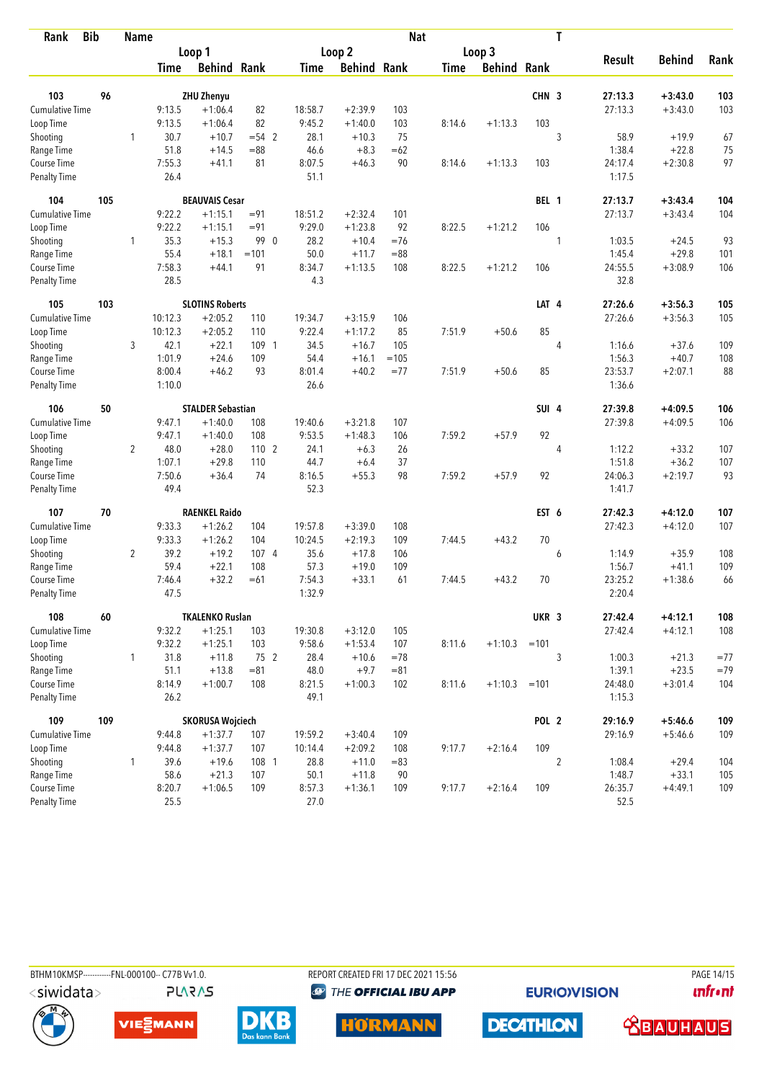| Rank                      | <b>Bib</b> | <b>Name</b>    |                |                                |          |                |                    |        | <b>Nat</b>  |               |                  | T              |               |                        |            |
|---------------------------|------------|----------------|----------------|--------------------------------|----------|----------------|--------------------|--------|-------------|---------------|------------------|----------------|---------------|------------------------|------------|
|                           |            |                |                | Loop 1                         |          |                | Loop 2             |        |             | Loop 3        |                  |                |               |                        |            |
|                           |            |                | <b>Time</b>    | <b>Behind Rank</b>             |          | <b>Time</b>    | <b>Behind Rank</b> |        | <b>Time</b> | <b>Behind</b> | Rank             |                | <b>Result</b> | <b>Behind</b>          | Rank       |
| 103                       | 96         |                |                |                                |          |                |                    |        |             |               | CHN <sub>3</sub> |                | 27:13.3       |                        |            |
| Cumulative Time           |            |                | 9:13.5         | <b>ZHU Zhenyu</b><br>$+1:06.4$ | 82       | 18:58.7        | $+2:39.9$          | 103    |             |               |                  |                | 27:13.3       | $+3:43.0$<br>$+3:43.0$ | 103<br>103 |
| Loop Time                 |            |                | 9:13.5         | $+1:06.4$                      | 82       | 9:45.2         | $+1:40.0$          | 103    | 8:14.6      | $+1:13.3$     | 103              |                |               |                        |            |
| Shooting                  |            | 1              | 30.7           | $+10.7$                        | $= 54$ 2 | 28.1           | $+10.3$            | 75     |             |               |                  | 3              | 58.9          | $+19.9$                | 67         |
| Range Time                |            |                | 51.8           | $+14.5$                        | $= 88$   | 46.6           | $+8.3$             | $=62$  |             |               |                  |                | 1:38.4        | $+22.8$                | 75         |
| Course Time               |            |                | 7:55.3         | $+41.1$                        | 81       | 8:07.5         | $+46.3$            | 90     | 8:14.6      | $+1:13.3$     | 103              |                | 24:17.4       | $+2:30.8$              | 97         |
| <b>Penalty Time</b>       |            |                | 26.4           |                                |          | 51.1           |                    |        |             |               |                  |                | 1:17.5        |                        |            |
| 104                       | 105        |                |                | <b>BEAUVAIS Cesar</b>          |          |                |                    |        |             |               | BEL 1            |                | 27:13.7       | $+3:43.4$              | 104        |
| <b>Cumulative Time</b>    |            |                | 9:22.2         | $+1:15.1$                      | $= 91$   | 18:51.2        | $+2:32.4$          | 101    |             |               |                  |                | 27:13.7       | $+3:43.4$              | 104        |
| Loop Time                 |            |                | 9:22.2         | $+1:15.1$                      | $= 91$   | 9:29.0         | $+1:23.8$          | 92     | 8:22.5      | $+1:21.2$     | 106              |                |               |                        |            |
| Shooting                  |            | 1              | 35.3           | $+15.3$                        | 99 0     | 28.2           | $+10.4$            | $=76$  |             |               |                  | 1              | 1:03.5        | $+24.5$                | 93         |
| Range Time                |            |                | 55.4           | $+18.1$                        | $=101$   | 50.0           | $+11.7$            | $= 88$ |             |               |                  |                | 1:45.4        | $+29.8$                | 101        |
| Course Time               |            |                | 7:58.3         | $+44.1$                        | 91       | 8:34.7         | $+1:13.5$          | 108    | 8:22.5      | $+1:21.2$     | 106              |                | 24:55.5       | $+3:08.9$              | 106        |
| Penalty Time              |            |                | 28.5           |                                |          | 4.3            |                    |        |             |               |                  |                | 32.8          |                        |            |
| 105                       | 103        |                |                | <b>SLOTINS Roberts</b>         |          |                |                    |        |             |               | LAT 4            |                | 27:26.6       | $+3:56.3$              | 105        |
| <b>Cumulative Time</b>    |            |                | 10:12.3        | $+2:05.2$                      | 110      | 19:34.7        | $+3:15.9$          | 106    |             |               |                  |                | 27:26.6       | $+3:56.3$              | 105        |
| Loop Time                 |            |                | 10:12.3        | $+2:05.2$                      | 110      | 9:22.4         | $+1:17.2$          | 85     | 7:51.9      | $+50.6$       | 85               |                |               |                        |            |
| Shooting                  |            | 3              | 42.1           | $+22.1$                        | 109 1    | 34.5           | $+16.7$            | 105    |             |               |                  | 4              | 1:16.6        | $+37.6$                | 109        |
| Range Time                |            |                | 1:01.9         | $+24.6$                        | 109      | 54.4           | $+16.1$            | $=105$ |             |               |                  |                | 1:56.3        | $+40.7$                | 108        |
| Course Time               |            |                | 8:00.4         | $+46.2$                        | 93       | 8:01.4         | $+40.2$            | $= 77$ | 7:51.9      | $+50.6$       | 85               |                | 23:53.7       | $+2:07.1$              | 88         |
| Penalty Time              |            |                | 1:10.0         |                                |          | 26.6           |                    |        |             |               |                  |                | 1:36.6        |                        |            |
| 106                       | 50         |                |                | <b>STALDER Sebastian</b>       |          |                |                    |        |             |               | SUI <sub>4</sub> |                | 27:39.8       | $+4:09.5$              | 106        |
| <b>Cumulative Time</b>    |            |                | 9:47.1         | $+1:40.0$                      | 108      | 19:40.6        | $+3:21.8$          | 107    |             |               |                  |                | 27:39.8       | $+4:09.5$              | 106        |
| Loop Time                 |            |                | 9:47.1         | $+1:40.0$                      | 108      | 9:53.5         | $+1:48.3$          | 106    | 7:59.2      | $+57.9$       | 92               |                |               |                        |            |
| Shooting                  |            | $\overline{2}$ | 48.0           | $+28.0$                        | 1102     | 24.1           | $+6.3$             | 26     |             |               |                  | 4              | 1:12.2        | $+33.2$                | 107        |
| Range Time                |            |                | 1:07.1         | $+29.8$                        | 110      | 44.7           | $+6.4$             | 37     |             |               |                  |                | 1:51.8        | $+36.2$                | 107        |
| Course Time               |            |                | 7:50.6<br>49.4 | $+36.4$                        | 74       | 8:16.5<br>52.3 | $+55.3$            | 98     | 7:59.2      | $+57.9$       | 92               |                | 24:06.3       | $+2:19.7$              | 93         |
| <b>Penalty Time</b>       |            |                |                |                                |          |                |                    |        |             |               |                  |                | 1:41.7        |                        |            |
| 107                       | 70         |                |                | <b>RAENKEL Raido</b>           |          |                |                    |        |             |               | EST 6            |                | 27:42.3       | $+4:12.0$              | 107        |
| <b>Cumulative Time</b>    |            |                | 9:33.3         | $+1:26.2$                      | 104      | 19:57.8        | $+3:39.0$          | 108    |             |               |                  |                | 27:42.3       | $+4:12.0$              | 107        |
| Loop Time                 |            |                | 9:33.3         | $+1:26.2$                      | 104      | 10:24.5        | $+2:19.3$          | 109    | 7:44.5      | $+43.2$       | 70               |                |               |                        |            |
| Shooting                  |            | 2              | 39.2           | $+19.2$                        | 1074     | 35.6           | $+17.8$            | 106    |             |               |                  | 6              | 1:14.9        | $+35.9$                | 108        |
| Range Time                |            |                | 59.4           | $+22.1$                        | 108      | 57.3           | $+19.0$            | 109    |             |               |                  |                | 1:56.7        | $+41.1$                | 109        |
| Course Time               |            |                | 7:46.4         | $+32.2$                        | $=61$    | 7:54.3         | $+33.1$            | 61     | 7:44.5      | $+43.2$       | 70               |                | 23:25.2       | $+1:38.6$              | 66         |
| <b>Penalty Time</b>       |            |                | 47.5           |                                |          | 1:32.9         |                    |        |             |               |                  |                | 2:20.4        |                        |            |
| 108                       | 60         |                |                | <b>TKALENKO Ruslan</b>         |          |                |                    |        |             |               | UKR 3            |                | 27:42.4       | $+4:12.1$              | 108        |
| <b>Cumulative Time</b>    |            |                | 9:32.2         | $+1:25.1$                      | 103      | 19:30.8        | $+3:12.0$          | 105    |             |               |                  |                | 27:42.4       | $+4:12.1$              | 108        |
| Loop Time                 |            |                | 9:32.2         | $+1:25.1$                      | 103      | 9:58.6         | $+1:53.4$          | 107    | 8:11.6      | $+1:10.3$     | $=101$           |                |               |                        |            |
| Shooting                  |            | 1              | 31.8           | $+11.8$                        | 75 2     | 28.4           | $+10.6$            | $=78$  |             |               |                  | 3              | 1:00.3        | $+21.3$                | $=77$      |
| Range Time                |            |                | 51.1           | $+13.8$                        | $= 81$   | 48.0           | $+9.7$             | $= 81$ |             |               |                  |                | 1:39.1        | $+23.5$                | $=79$      |
| Course Time               |            |                | 8:14.9         | $+1:00.7$                      | 108      | 8:21.5         | $+1:00.3$          | 102    | 8:11.6      | $+1:10.3$     | $=101$           |                | 24:48.0       | $+3:01.4$              | 104        |
| Penalty Time              |            |                | 26.2           |                                |          | 49.1           |                    |        |             |               |                  |                | 1:15.3        |                        |            |
| 109                       | 109        |                |                | <b>SKORUSA Wojciech</b>        |          |                |                    |        |             |               | POL 2            |                | 29:16.9       | $+5:46.6$              | 109        |
| <b>Cumulative Time</b>    |            |                | 9:44.8         | $+1:37.7$                      | 107      | 19:59.2        | $+3:40.4$          | 109    |             |               |                  |                | 29:16.9       | $+5:46.6$              | 109        |
| Loop Time                 |            |                | 9:44.8         | $+1:37.7$                      | 107      | 10:14.4        | $+2:09.2$          | 108    | 9:17.7      | $+2:16.4$     | 109              |                |               |                        |            |
| Shooting                  |            | 1              | 39.6           | $+19.6$                        | 108 1    | 28.8           | $+11.0$            | $= 83$ |             |               |                  | $\overline{2}$ | 1:08.4        | $+29.4$                | 104        |
| Range Time<br>Course Time |            |                | 58.6           | $+21.3$                        | 107      | 50.1           | $+11.8$            | 90     |             |               |                  |                | 1:48.7        | $+33.1$                | 105        |
|                           |            |                | 8:20.7         | $+1:06.5$                      | 109      | 8:57.3         | $+1:36.1$          | 109    | 9:17.7      | $+2:16.4$     | 109              |                | 26:35.7       | $+4:49.1$              | 109        |
| <b>Penalty Time</b>       |            |                | 25.5           |                                |          | 27.0           |                    |        |             |               |                  |                | 52.5          |                        |            |



BTHM10KMSP------------FNL-000100-- C77B Vv1.0.

REPORT CREATED FRI 17 DEC 2021 15:56 **<sup><sup>3</sup>** THE OFFICIAL IBU APP</sup>

**HÖRMANN** 

**EURIOVISION** 

**DECATHLON** 

PAGE 14/15 **unfront** 

 **<u>CBAUHAUS</u>** 







**PLARAS**